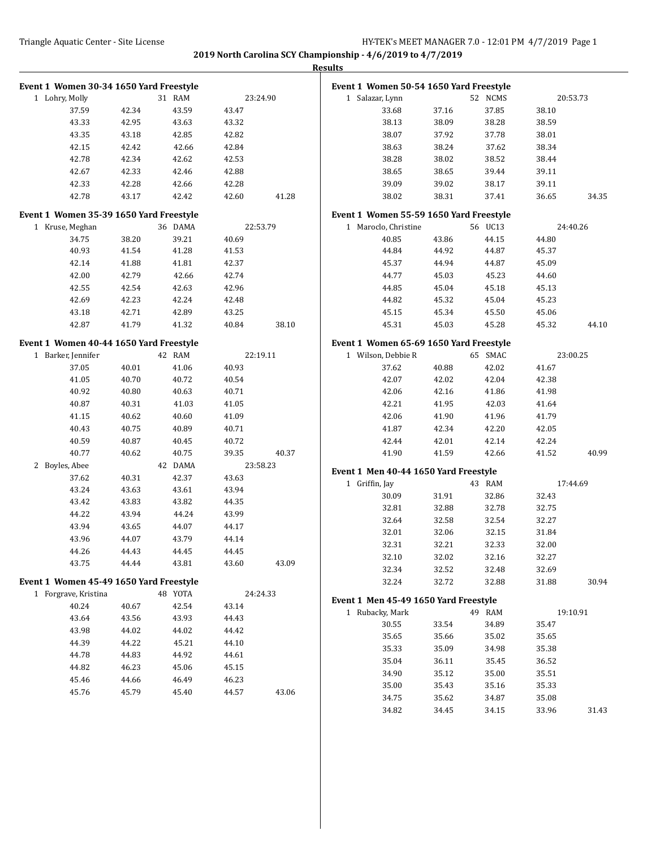| Event 1 Women 30-34 1650 Yard Freestyle |       |         |       |          | Event 1 Women 50-54 1650 Yard Freestyle |       |         |       |          |
|-----------------------------------------|-------|---------|-------|----------|-----------------------------------------|-------|---------|-------|----------|
| 1 Lohry, Molly                          |       | 31 RAM  |       | 23:24.90 | 1 Salazar, Lynn                         |       | 52 NCMS |       | 20:53.73 |
| 37.59                                   | 42.34 | 43.59   | 43.47 |          | 33.68                                   | 37.16 | 37.85   | 38.10 |          |
| 43.33                                   | 42.95 | 43.63   | 43.32 |          | 38.13                                   | 38.09 | 38.28   | 38.59 |          |
| 43.35                                   | 43.18 | 42.85   | 42.82 |          | 38.07                                   | 37.92 | 37.78   | 38.01 |          |
| 42.15                                   | 42.42 | 42.66   | 42.84 |          | 38.63                                   | 38.24 | 37.62   | 38.34 |          |
| 42.78                                   | 42.34 | 42.62   | 42.53 |          | 38.28                                   | 38.02 | 38.52   | 38.44 |          |
| 42.67                                   | 42.33 | 42.46   | 42.88 |          | 38.65                                   | 38.65 | 39.44   | 39.11 |          |
| 42.33                                   | 42.28 | 42.66   | 42.28 |          | 39.09                                   | 39.02 | 38.17   | 39.11 |          |
| 42.78                                   | 43.17 | 42.42   | 42.60 | 41.28    | 38.02                                   | 38.31 | 37.41   | 36.65 | 34.35    |
| Event 1 Women 35-39 1650 Yard Freestyle |       |         |       |          | Event 1 Women 55-59 1650 Yard Freestyle |       |         |       |          |
| 1 Kruse, Meghan                         |       | 36 DAMA |       | 22:53.79 | 1 Maroclo, Christine                    |       | 56 UC13 |       | 24:40.26 |
| 34.75                                   | 38.20 | 39.21   | 40.69 |          | 40.85                                   | 43.86 | 44.15   | 44.80 |          |
| 40.93                                   | 41.54 | 41.28   | 41.53 |          | 44.84                                   | 44.92 | 44.87   | 45.37 |          |
| 42.14                                   | 41.88 | 41.81   | 42.37 |          | 45.37                                   | 44.94 | 44.87   | 45.09 |          |
| 42.00                                   | 42.79 | 42.66   | 42.74 |          | 44.77                                   | 45.03 | 45.23   | 44.60 |          |
| 42.55                                   | 42.54 | 42.63   | 42.96 |          | 44.85                                   | 45.04 | 45.18   | 45.13 |          |
| 42.69                                   | 42.23 | 42.24   | 42.48 |          | 44.82                                   | 45.32 | 45.04   | 45.23 |          |
| 43.18                                   | 42.71 | 42.89   | 43.25 |          | 45.15                                   | 45.34 | 45.50   | 45.06 |          |
| 42.87                                   | 41.79 | 41.32   | 40.84 | 38.10    | 45.31                                   | 45.03 | 45.28   | 45.32 | 44.10    |
| Event 1 Women 40-44 1650 Yard Freestyle |       |         |       |          | Event 1 Women 65-69 1650 Yard Freestyle |       |         |       |          |
| 1 Barker, Jennifer                      |       | 42 RAM  |       | 22:19.11 | 1 Wilson, Debbie R                      |       | 65 SMAC |       | 23:00.25 |
| 37.05                                   | 40.01 | 41.06   | 40.93 |          | 37.62                                   | 40.88 | 42.02   | 41.67 |          |
| 41.05                                   | 40.70 | 40.72   | 40.54 |          | 42.07                                   | 42.02 | 42.04   | 42.38 |          |
| 40.92                                   | 40.80 | 40.63   | 40.71 |          | 42.06                                   | 42.16 | 41.86   | 41.98 |          |
| 40.87                                   | 40.31 | 41.03   | 41.05 |          | 42.21                                   | 41.95 | 42.03   | 41.64 |          |
| 41.15                                   | 40.62 | 40.60   | 41.09 |          | 42.06                                   | 41.90 | 41.96   | 41.79 |          |
| 40.43                                   | 40.75 | 40.89   | 40.71 |          | 41.87                                   | 42.34 | 42.20   | 42.05 |          |
| 40.59                                   | 40.87 | 40.45   | 40.72 |          | 42.44                                   | 42.01 | 42.14   | 42.24 |          |
| 40.77                                   | 40.62 | 40.75   | 39.35 | 40.37    | 41.90                                   | 41.59 | 42.66   | 41.52 | 40.99    |
| 2 Boyles, Abee                          |       | 42 DAMA |       | 23:58.23 | Event 1 Men 40-44 1650 Yard Freestyle   |       |         |       |          |
| 37.62                                   | 40.31 | 42.37   | 43.63 |          | 1 Griffin, Jay                          |       | 43 RAM  |       | 17:44.69 |
| 43.24                                   | 43.63 | 43.61   | 43.94 |          | 30.09                                   | 31.91 | 32.86   | 32.43 |          |
| 43.42                                   | 43.83 | 43.82   | 44.35 |          | 32.81                                   | 32.88 | 32.78   | 32.75 |          |
| 44.22                                   | 43.94 | 44.24   | 43.99 |          | 32.64                                   | 32.58 | 32.54   | 32.27 |          |
| 43.94                                   | 43.65 | 44.07   | 44.17 |          | 32.01                                   | 32.06 | 32.15   | 31.84 |          |
| 43.96                                   | 44.07 | 43.79   | 44.14 |          | 32.31                                   | 32.21 | 32.33   | 32.00 |          |
| 44.26                                   | 44.43 | 44.45   | 44.45 |          | 32.10                                   | 32.02 | 32.16   | 32.27 |          |
| 43.75                                   | 44.44 | 43.81   | 43.60 | 43.09    | 32.34                                   | 32.52 | 32.48   | 32.69 |          |
| Event 1 Women 45-49 1650 Yard Freestyle |       |         |       |          | 32.24                                   | 32.72 | 32.88   | 31.88 | 30.94    |
| 1 Forgrave, Kristina                    |       | 48 YOTA |       | 24:24.33 |                                         |       |         |       |          |
| 40.24                                   | 40.67 | 42.54   | 43.14 |          | Event 1 Men 45-49 1650 Yard Freestyle   |       |         |       |          |
| 43.64                                   | 43.56 | 43.93   | 44.43 |          | 1 Rubacky, Mark                         |       | 49 RAM  |       | 19:10.91 |
| 43.98                                   | 44.02 | 44.02   | 44.42 |          | 30.55                                   | 33.54 | 34.89   | 35.47 |          |
| 44.39                                   | 44.22 | 45.21   | 44.10 |          | 35.65                                   | 35.66 | 35.02   | 35.65 |          |
| 44.78                                   | 44.83 | 44.92   | 44.61 |          | 35.33                                   | 35.09 | 34.98   | 35.38 |          |
| 44.82                                   | 46.23 | 45.06   | 45.15 |          | 35.04                                   | 36.11 | 35.45   | 36.52 |          |
| 45.46                                   | 44.66 | 46.49   | 46.23 |          | 34.90                                   | 35.12 | 35.00   | 35.51 |          |
| 45.76                                   | 45.79 | 45.40   | 44.57 | 43.06    | 35.00                                   | 35.43 | 35.16   | 35.33 |          |
|                                         |       |         |       |          | 34.75                                   | 35.62 | 34.87   | 35.08 |          |
|                                         |       |         |       |          | 34.82                                   | 34.45 | 34.15   | 33.96 | 31.43    |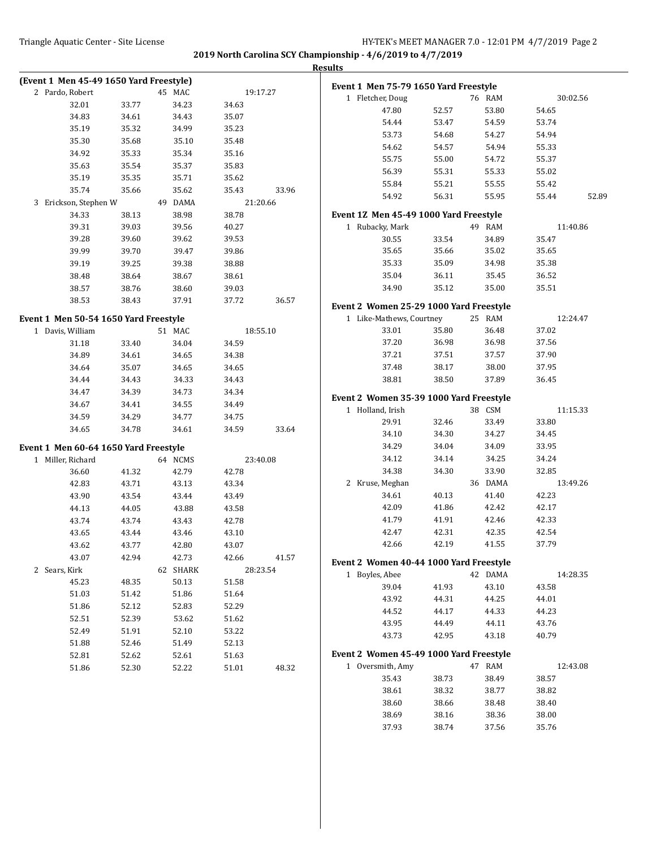| (Event 1 Men 45-49 1650 Yard Freestyle) |       |          |       |          | Event 1 Men 75-79 1650 Yard Freestyle   |       |         |          |       |
|-----------------------------------------|-------|----------|-------|----------|-----------------------------------------|-------|---------|----------|-------|
| 2 Pardo, Robert                         |       | 45 MAC   |       | 19:17.27 |                                         |       |         | 30:02.56 |       |
| 32.01                                   | 33.77 | 34.23    | 34.63 |          | 1 Fletcher, Doug                        |       | 76 RAM  |          |       |
| 34.83                                   | 34.61 | 34.43    | 35.07 |          | 47.80                                   | 52.57 | 53.80   | 54.65    |       |
| 35.19                                   | 35.32 | 34.99    | 35.23 |          | 54.44                                   | 53.47 | 54.59   | 53.74    |       |
| 35.30                                   | 35.68 | 35.10    | 35.48 |          | 53.73                                   | 54.68 | 54.27   | 54.94    |       |
| 34.92                                   | 35.33 | 35.34    | 35.16 |          | 54.62                                   | 54.57 | 54.94   | 55.33    |       |
| 35.63                                   | 35.54 | 35.37    | 35.83 |          | 55.75                                   | 55.00 | 54.72   | 55.37    |       |
| 35.19                                   | 35.35 | 35.71    | 35.62 |          | 56.39                                   | 55.31 | 55.33   | 55.02    |       |
| 35.74                                   | 35.66 | 35.62    | 35.43 | 33.96    | 55.84                                   | 55.21 | 55.55   | 55.42    |       |
| 3 Erickson, Stephen W                   |       | 49 DAMA  |       | 21:20.66 | 54.92                                   | 56.31 | 55.95   | 55.44    | 52.89 |
| 34.33                                   | 38.13 | 38.98    | 38.78 |          | Event 1Z Men 45-49 1000 Yard Freestyle  |       |         |          |       |
| 39.31                                   | 39.03 | 39.56    | 40.27 |          | 1 Rubacky, Mark                         |       | 49 RAM  | 11:40.86 |       |
|                                         |       |          |       |          |                                         |       |         |          |       |
| 39.28                                   | 39.60 | 39.62    | 39.53 |          | 30.55                                   | 33.54 | 34.89   | 35.47    |       |
| 39.99                                   | 39.70 | 39.47    | 39.86 |          | 35.65                                   | 35.66 | 35.02   | 35.65    |       |
| 39.19                                   | 39.25 | 39.38    | 38.88 |          | 35.33                                   | 35.09 | 34.98   | 35.38    |       |
| 38.48                                   | 38.64 | 38.67    | 38.61 |          | 35.04                                   | 36.11 | 35.45   | 36.52    |       |
| 38.57                                   | 38.76 | 38.60    | 39.03 |          | 34.90                                   | 35.12 | 35.00   | 35.51    |       |
| 38.53                                   | 38.43 | 37.91    | 37.72 | 36.57    | Event 2 Women 25-29 1000 Yard Freestyle |       |         |          |       |
| Event 1 Men 50-54 1650 Yard Freestyle   |       |          |       |          | 1 Like-Mathews, Courtney                |       | 25 RAM  | 12:24.47 |       |
| 1 Davis, William                        |       | 51 MAC   |       | 18:55.10 | 33.01                                   | 35.80 | 36.48   | 37.02    |       |
| 31.18                                   | 33.40 | 34.04    | 34.59 |          | 37.20                                   | 36.98 | 36.98   | 37.56    |       |
| 34.89                                   | 34.61 | 34.65    | 34.38 |          | 37.21                                   | 37.51 | 37.57   | 37.90    |       |
|                                         |       |          |       |          | 37.48                                   | 38.17 | 38.00   | 37.95    |       |
| 34.64                                   | 35.07 | 34.65    | 34.65 |          |                                         |       |         |          |       |
| 34.44                                   | 34.43 | 34.33    | 34.43 |          | 38.81                                   | 38.50 | 37.89   | 36.45    |       |
| 34.47                                   | 34.39 | 34.73    | 34.34 |          | Event 2 Women 35-39 1000 Yard Freestyle |       |         |          |       |
| 34.67                                   | 34.41 | 34.55    | 34.49 |          | 1 Holland, Irish                        |       | 38 CSM  | 11:15.33 |       |
| 34.59                                   | 34.29 | 34.77    | 34.75 |          | 29.91                                   | 32.46 | 33.49   | 33.80    |       |
| 34.65                                   | 34.78 | 34.61    | 34.59 | 33.64    | 34.10                                   | 34.30 | 34.27   | 34.45    |       |
| Event 1 Men 60-64 1650 Yard Freestyle   |       |          |       |          | 34.29                                   | 34.04 | 34.09   | 33.95    |       |
| 1 Miller, Richard                       |       | 64 NCMS  |       | 23:40.08 | 34.12                                   | 34.14 | 34.25   | 34.24    |       |
| 36.60                                   | 41.32 | 42.79    | 42.78 |          | 34.38                                   | 34.30 | 33.90   | 32.85    |       |
| 42.83                                   | 43.71 | 43.13    | 43.34 |          | 2 Kruse, Meghan                         |       | 36 DAMA | 13:49.26 |       |
| 43.90                                   | 43.54 | 43.44    | 43.49 |          | 34.61                                   | 40.13 | 41.40   | 42.23    |       |
|                                         |       |          | 43.58 |          | 42.09                                   | 41.86 | 42.42   | 42.17    |       |
| 44.13                                   | 44.05 | 43.88    |       |          | 41.79                                   | 41.91 | 42.46   | 42.33    |       |
| 43.74                                   | 43.74 | 43.43    | 42.78 |          | 42.47                                   | 42.31 | 42.35   | 42.54    |       |
| 43.65                                   | 43.44 | 43.46    | 43.10 |          |                                         |       |         |          |       |
| 43.62                                   | 43.77 | 42.80    | 43.07 |          | 42.66                                   | 42.19 | 41.55   | 37.79    |       |
| 43.07                                   | 42.94 | 42.73    | 42.66 | 41.57    | Event 2 Women 40-44 1000 Yard Freestyle |       |         |          |       |
| 2 Sears, Kirk                           |       | 62 SHARK |       | 28:23.54 | 1 Boyles, Abee                          |       | 42 DAMA | 14:28.35 |       |
| 45.23                                   | 48.35 | 50.13    | 51.58 |          | 39.04                                   | 41.93 | 43.10   | 43.58    |       |
| 51.03                                   | 51.42 | 51.86    | 51.64 |          | 43.92                                   | 44.31 | 44.25   | 44.01    |       |
| 51.86                                   | 52.12 | 52.83    | 52.29 |          | 44.52                                   | 44.17 | 44.33   | 44.23    |       |
| 52.51                                   | 52.39 | 53.62    | 51.62 |          | 43.95                                   | 44.49 | 44.11   | 43.76    |       |
| 52.49                                   | 51.91 | 52.10    | 53.22 |          | 43.73                                   | 42.95 | 43.18   | 40.79    |       |
| 51.88                                   | 52.46 | 51.49    | 52.13 |          |                                         |       |         |          |       |
| 52.81                                   | 52.62 | 52.61    | 51.63 |          | Event 2 Women 45-49 1000 Yard Freestyle |       |         |          |       |
| 51.86                                   | 52.30 | 52.22    | 51.01 | 48.32    | 1 Oversmith, Amy                        |       | 47 RAM  | 12:43.08 |       |
|                                         |       |          |       |          | 35.43                                   | 38.73 | 38.49   | 38.57    |       |
|                                         |       |          |       |          | 38.61                                   | 38.32 | 38.77   | 38.82    |       |
|                                         |       |          |       |          | 38.60                                   | 38.66 | 38.48   | 38.40    |       |
|                                         |       |          |       |          | 38.69                                   | 38.16 | 38.36   | 38.00    |       |
|                                         |       |          |       |          | 37.93                                   | 38.74 | 37.56   | 35.76    |       |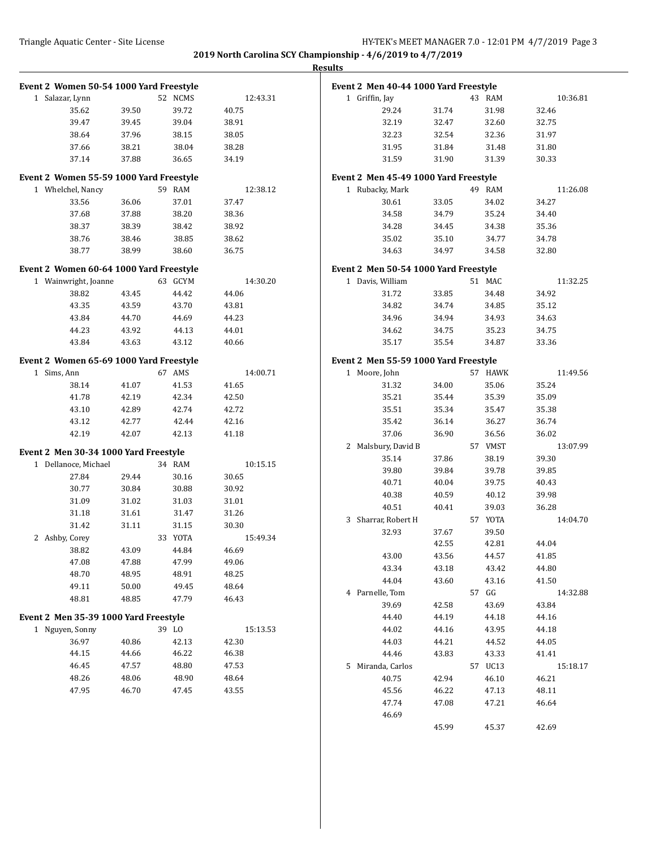| <b>Results</b> |  |
|----------------|--|
|                |  |

| Event 2 Women 50-54 1000 Yard Freestyle |       |         |          | Event 2 Men 40-44 1000 Yard Freestyle |       |         |          |
|-----------------------------------------|-------|---------|----------|---------------------------------------|-------|---------|----------|
| 1 Salazar, Lynn                         |       | 52 NCMS | 12:43.31 | 1 Griffin, Jay                        |       | 43 RAM  | 10:36.81 |
| 35.62                                   | 39.50 | 39.72   | 40.75    | 29.24                                 | 31.74 | 31.98   | 32.46    |
| 39.47                                   | 39.45 | 39.04   | 38.91    | 32.19                                 | 32.47 | 32.60   | 32.75    |
| 38.64                                   | 37.96 | 38.15   | 38.05    | 32.23                                 | 32.54 | 32.36   | 31.97    |
| 37.66                                   | 38.21 | 38.04   | 38.28    | 31.95                                 | 31.84 | 31.48   | 31.80    |
| 37.14                                   | 37.88 | 36.65   | 34.19    | 31.59                                 | 31.90 | 31.39   | 30.33    |
| Event 2 Women 55-59 1000 Yard Freestyle |       |         |          | Event 2 Men 45-49 1000 Yard Freestyle |       |         |          |
| 1 Whelchel, Nancy                       |       | 59 RAM  | 12:38.12 | 1 Rubacky, Mark                       |       | 49 RAM  | 11:26.08 |
| 33.56                                   | 36.06 | 37.01   | 37.47    | 30.61                                 | 33.05 | 34.02   | 34.27    |
| 37.68                                   | 37.88 | 38.20   | 38.36    | 34.58                                 | 34.79 | 35.24   | 34.40    |
| 38.37                                   | 38.39 | 38.42   | 38.92    | 34.28                                 | 34.45 | 34.38   | 35.36    |
| 38.76                                   | 38.46 | 38.85   | 38.62    | 35.02                                 | 35.10 | 34.77   | 34.78    |
| 38.77                                   | 38.99 | 38.60   | 36.75    | 34.63                                 | 34.97 | 34.58   | 32.80    |
|                                         |       |         |          |                                       |       |         |          |
| Event 2 Women 60-64 1000 Yard Freestyle |       |         |          | Event 2 Men 50-54 1000 Yard Freestyle |       |         |          |
| 1 Wainwright, Joanne                    |       | 63 GCYM | 14:30.20 | 1 Davis, William                      |       | 51 MAC  | 11:32.25 |
| 38.82                                   | 43.45 | 44.42   | 44.06    | 31.72                                 | 33.85 | 34.48   | 34.92    |
| 43.35                                   | 43.59 | 43.70   | 43.81    | 34.82                                 | 34.74 | 34.85   | 35.12    |
| 43.84                                   | 44.70 | 44.69   | 44.23    | 34.96                                 | 34.94 | 34.93   | 34.63    |
| 44.23                                   | 43.92 | 44.13   | 44.01    | 34.62                                 | 34.75 | 35.23   | 34.75    |
| 43.84                                   | 43.63 | 43.12   | 40.66    | 35.17                                 | 35.54 | 34.87   | 33.36    |
| Event 2 Women 65-69 1000 Yard Freestyle |       |         |          | Event 2 Men 55-59 1000 Yard Freestyle |       |         |          |
| 1 Sims, Ann                             |       | 67 AMS  | 14:00.71 | 1 Moore, John                         |       | 57 HAWK | 11:49.56 |
| 38.14                                   | 41.07 | 41.53   | 41.65    | 31.32                                 | 34.00 | 35.06   | 35.24    |
| 41.78                                   | 42.19 | 42.34   | 42.50    | 35.21                                 | 35.44 | 35.39   | 35.09    |
| 43.10                                   | 42.89 | 42.74   | 42.72    | 35.51                                 | 35.34 | 35.47   | 35.38    |
| 43.12                                   | 42.77 | 42.44   | 42.16    | 35.42                                 | 36.14 | 36.27   | 36.74    |
| 42.19                                   | 42.07 | 42.13   | 41.18    | 37.06                                 | 36.90 | 36.56   | 36.02    |
| Event 2 Men 30-34 1000 Yard Freestyle   |       |         |          | 2 Malsbury, David B                   |       | 57 VMST | 13:07.99 |
| 1 Dellanoce, Michael                    |       | 34 RAM  | 10:15.15 | 35.14                                 | 37.86 | 38.19   | 39.30    |
| 27.84                                   | 29.44 | 30.16   | 30.65    | 39.80                                 | 39.84 | 39.78   | 39.85    |
| 30.77                                   | 30.84 | 30.88   | 30.92    | 40.71                                 | 40.04 | 39.75   | 40.43    |
| 31.09                                   | 31.02 | 31.03   | 31.01    | 40.38                                 | 40.59 | 40.12   | 39.98    |
| 31.18                                   | 31.61 | 31.47   | 31.26    | 40.51                                 | 40.41 | 39.03   | 36.28    |
| 31.42                                   | 31.11 | 31.15   | 30.30    | 3 Sharrar, Robert H                   |       | 57 YOTA | 14:04.70 |
| 2 Ashby, Corey                          |       | 33 YOTA | 15:49.34 | 32.93                                 | 37.67 | 39.50   |          |
| 38.82                                   | 43.09 | 44.84   | 46.69    |                                       | 42.55 | 42.81   | 44.04    |
| 47.08                                   | 47.88 | 47.99   | 49.06    | 43.00                                 | 43.56 | 44.57   | 41.85    |
| 48.70                                   | 48.95 | 48.91   | 48.25    | 43.34                                 | 43.18 | 43.42   | 44.80    |
| 49.11                                   | 50.00 | 49.45   | 48.64    | 44.04                                 | 43.60 | 43.16   | 41.50    |
| 48.81                                   | 48.85 | 47.79   | 46.43    | 4 Parnelle, Tom                       |       | 57 GG   | 14:32.88 |
|                                         |       |         |          | 39.69                                 | 42.58 | 43.69   | 43.84    |
| Event 2 Men 35-39 1000 Yard Freestyle   |       |         |          | 44.40                                 | 44.19 | 44.18   | 44.16    |
| 1 Nguyen, Sonny                         |       | 39 LO   | 15:13.53 | 44.02                                 | 44.16 | 43.95   | 44.18    |
| 36.97                                   | 40.86 | 42.13   | 42.30    | 44.03                                 | 44.21 | 44.52   | 44.05    |
| 44.15                                   | 44.66 | 46.22   | 46.38    | 44.46                                 | 43.83 | 43.33   | 41.41    |
| 46.45                                   | 47.57 | 48.80   | 47.53    | 5 Miranda, Carlos                     |       | 57 UC13 | 15:18.17 |
| 48.26                                   | 48.06 | 48.90   | 48.64    | 40.75                                 | 42.94 | 46.10   | 46.21    |
| 47.95                                   | 46.70 | 47.45   | 43.55    | 45.56                                 | 46.22 | 47.13   | 48.11    |
|                                         |       |         |          | 47.74                                 | 47.08 | 47.21   | 46.64    |
|                                         |       |         |          | 46.69                                 |       |         |          |
|                                         |       |         |          |                                       | 45.99 | 45.37   | 42.69    |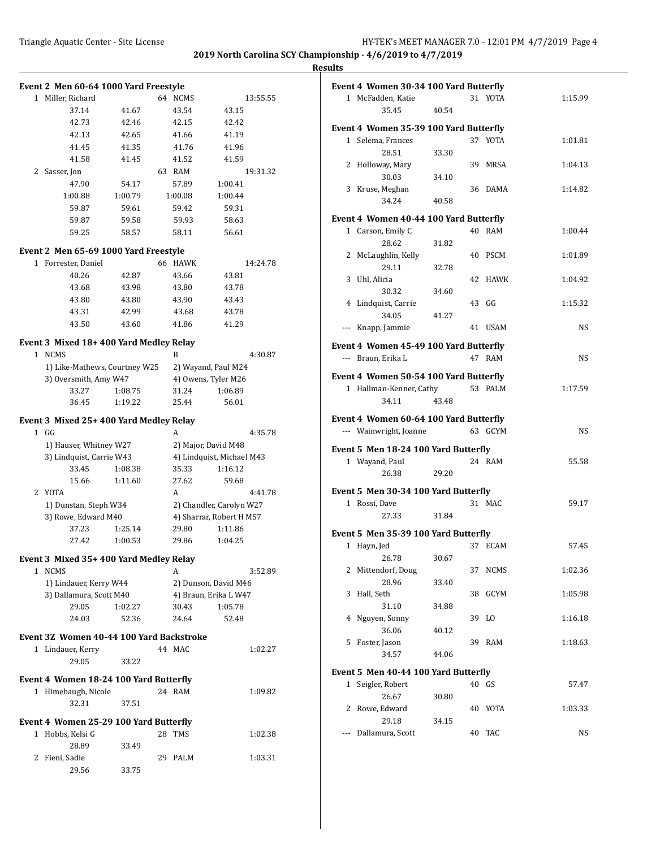**Results**

| 1 Miller, Richard<br>64 NCMS<br>13:55.55<br>37.14<br>41.67<br>43.54<br>43.15<br>42.73<br>42.46<br>42.42<br>42.15<br>42.13<br>42.65<br>41.66<br>41.19<br>41.45<br>41.35<br>41.76<br>41.96<br>41.58<br>41.52<br>41.59<br>41.45<br>Sasser, Jon<br>63 RAM<br>19:31.32<br>2<br>47.90<br>54.17<br>57.89<br>1:00.41<br>1:00.88<br>1:00.79<br>1:00.08<br>1:00.44<br>59.87<br>59.61<br>59.42<br>59.31<br>59.87<br>59.58<br>59.93<br>58.63<br>59.25<br>58.11<br>56.61<br>58.57<br>Event 2 Men 65-69 1000 Yard Freestyle<br>1 Forrester, Daniel<br>66 HAWK<br>14:24.78<br>40.26<br>43.66<br>42.87<br>43.81<br>43.68<br>43.80<br>43.78<br>43.98<br>43.80<br>43.80<br>43.90<br>43.43<br>43.31<br>42.99<br>43.68<br>43.78<br>43.50<br>43.60<br>41.86<br>41.29<br>Event 3 Mixed 18+400 Yard Medley Relay<br>1 NCMS<br>B<br>4:30.87<br>1) Like-Mathews, Courtney W25<br>2) Wayand, Paul M24<br>3) Oversmith, Amy W47<br>4) Owens, Tyler M26<br>33.27<br>31.24<br>1:06.89<br>1:08.75<br>36.45<br>1:19.22<br>25.44<br>56.01<br>Event 3 Mixed 25+400 Yard Medley Relay<br>$1$ GG<br>A<br>4:35.78<br>1) Hauser, Whitney W27<br>2) Major, David M48<br>3) Lindquist, Carrie W43<br>4) Lindquist, Michael M43<br>33.45<br>1:08.38<br>35.33<br>1:16.12<br>15.66<br>1:11.60<br>27.62<br>59.68<br>2 YOTA<br>A<br>4:41.78<br>1) Dunstan, Steph W34<br>2) Chandler, Carolyn W27<br>3) Rowe, Edward M40<br>4) Sharrar, Robert H M57<br>29.80<br>37.23<br>1:25.14<br>1:11.86<br>27.42<br>1:00.53<br>29.86<br>1:04.25<br>Event 3 Mixed 35+400 Yard Medley Relay<br><b>NCMS</b><br>A<br>$\mathbf{1}$<br>3:52.89<br>1) Lindauer, Kerry W44<br>2) Dunson, David M46<br>3) Dallamura, Scott M40<br>4) Braun, Erika L W47<br>29.05<br>1:02.27<br>30.43<br>1:05.78<br>52.48<br>24.03<br>52.36<br>24.64<br>Event 3Z Women 40-44 100 Yard Backstroke<br>1 Lindauer, Kerry<br>44 MAC<br>1:02.27<br>29.05<br>33.22<br>Event 4 Women 18-24 100 Yard Butterfly<br>24 RAM<br>1 Himebaugh, Nicole<br>1:09.82<br>32.31<br>37.51<br>Event 4 Women 25-29 100 Yard Butterfly<br>Hobbs, Kelsi G<br>28 TMS<br>$\mathbf{1}$<br>1:02.38<br>28.89<br>33.49<br>Fieni, Sadie<br>2<br>29<br>PALM<br>1:03.31<br>29.56<br>33.75 | Event 2 Men 60-64 1000 Yard Freestyle |  |  |  |
|-----------------------------------------------------------------------------------------------------------------------------------------------------------------------------------------------------------------------------------------------------------------------------------------------------------------------------------------------------------------------------------------------------------------------------------------------------------------------------------------------------------------------------------------------------------------------------------------------------------------------------------------------------------------------------------------------------------------------------------------------------------------------------------------------------------------------------------------------------------------------------------------------------------------------------------------------------------------------------------------------------------------------------------------------------------------------------------------------------------------------------------------------------------------------------------------------------------------------------------------------------------------------------------------------------------------------------------------------------------------------------------------------------------------------------------------------------------------------------------------------------------------------------------------------------------------------------------------------------------------------------------------------------------------------------------------------------------------------------------------------------------------------------------------------------------------------------------------------------------------------------------------------------------------------------------------------------------------------------------------------------------------------------------------------------------------------------------------------------------------------------------------------------------------------|---------------------------------------|--|--|--|
|                                                                                                                                                                                                                                                                                                                                                                                                                                                                                                                                                                                                                                                                                                                                                                                                                                                                                                                                                                                                                                                                                                                                                                                                                                                                                                                                                                                                                                                                                                                                                                                                                                                                                                                                                                                                                                                                                                                                                                                                                                                                                                                                                                       |                                       |  |  |  |
|                                                                                                                                                                                                                                                                                                                                                                                                                                                                                                                                                                                                                                                                                                                                                                                                                                                                                                                                                                                                                                                                                                                                                                                                                                                                                                                                                                                                                                                                                                                                                                                                                                                                                                                                                                                                                                                                                                                                                                                                                                                                                                                                                                       |                                       |  |  |  |
|                                                                                                                                                                                                                                                                                                                                                                                                                                                                                                                                                                                                                                                                                                                                                                                                                                                                                                                                                                                                                                                                                                                                                                                                                                                                                                                                                                                                                                                                                                                                                                                                                                                                                                                                                                                                                                                                                                                                                                                                                                                                                                                                                                       |                                       |  |  |  |
|                                                                                                                                                                                                                                                                                                                                                                                                                                                                                                                                                                                                                                                                                                                                                                                                                                                                                                                                                                                                                                                                                                                                                                                                                                                                                                                                                                                                                                                                                                                                                                                                                                                                                                                                                                                                                                                                                                                                                                                                                                                                                                                                                                       |                                       |  |  |  |
|                                                                                                                                                                                                                                                                                                                                                                                                                                                                                                                                                                                                                                                                                                                                                                                                                                                                                                                                                                                                                                                                                                                                                                                                                                                                                                                                                                                                                                                                                                                                                                                                                                                                                                                                                                                                                                                                                                                                                                                                                                                                                                                                                                       |                                       |  |  |  |
|                                                                                                                                                                                                                                                                                                                                                                                                                                                                                                                                                                                                                                                                                                                                                                                                                                                                                                                                                                                                                                                                                                                                                                                                                                                                                                                                                                                                                                                                                                                                                                                                                                                                                                                                                                                                                                                                                                                                                                                                                                                                                                                                                                       |                                       |  |  |  |
|                                                                                                                                                                                                                                                                                                                                                                                                                                                                                                                                                                                                                                                                                                                                                                                                                                                                                                                                                                                                                                                                                                                                                                                                                                                                                                                                                                                                                                                                                                                                                                                                                                                                                                                                                                                                                                                                                                                                                                                                                                                                                                                                                                       |                                       |  |  |  |
|                                                                                                                                                                                                                                                                                                                                                                                                                                                                                                                                                                                                                                                                                                                                                                                                                                                                                                                                                                                                                                                                                                                                                                                                                                                                                                                                                                                                                                                                                                                                                                                                                                                                                                                                                                                                                                                                                                                                                                                                                                                                                                                                                                       |                                       |  |  |  |
|                                                                                                                                                                                                                                                                                                                                                                                                                                                                                                                                                                                                                                                                                                                                                                                                                                                                                                                                                                                                                                                                                                                                                                                                                                                                                                                                                                                                                                                                                                                                                                                                                                                                                                                                                                                                                                                                                                                                                                                                                                                                                                                                                                       |                                       |  |  |  |
|                                                                                                                                                                                                                                                                                                                                                                                                                                                                                                                                                                                                                                                                                                                                                                                                                                                                                                                                                                                                                                                                                                                                                                                                                                                                                                                                                                                                                                                                                                                                                                                                                                                                                                                                                                                                                                                                                                                                                                                                                                                                                                                                                                       |                                       |  |  |  |
|                                                                                                                                                                                                                                                                                                                                                                                                                                                                                                                                                                                                                                                                                                                                                                                                                                                                                                                                                                                                                                                                                                                                                                                                                                                                                                                                                                                                                                                                                                                                                                                                                                                                                                                                                                                                                                                                                                                                                                                                                                                                                                                                                                       |                                       |  |  |  |
|                                                                                                                                                                                                                                                                                                                                                                                                                                                                                                                                                                                                                                                                                                                                                                                                                                                                                                                                                                                                                                                                                                                                                                                                                                                                                                                                                                                                                                                                                                                                                                                                                                                                                                                                                                                                                                                                                                                                                                                                                                                                                                                                                                       |                                       |  |  |  |
|                                                                                                                                                                                                                                                                                                                                                                                                                                                                                                                                                                                                                                                                                                                                                                                                                                                                                                                                                                                                                                                                                                                                                                                                                                                                                                                                                                                                                                                                                                                                                                                                                                                                                                                                                                                                                                                                                                                                                                                                                                                                                                                                                                       |                                       |  |  |  |
|                                                                                                                                                                                                                                                                                                                                                                                                                                                                                                                                                                                                                                                                                                                                                                                                                                                                                                                                                                                                                                                                                                                                                                                                                                                                                                                                                                                                                                                                                                                                                                                                                                                                                                                                                                                                                                                                                                                                                                                                                                                                                                                                                                       |                                       |  |  |  |
|                                                                                                                                                                                                                                                                                                                                                                                                                                                                                                                                                                                                                                                                                                                                                                                                                                                                                                                                                                                                                                                                                                                                                                                                                                                                                                                                                                                                                                                                                                                                                                                                                                                                                                                                                                                                                                                                                                                                                                                                                                                                                                                                                                       |                                       |  |  |  |
|                                                                                                                                                                                                                                                                                                                                                                                                                                                                                                                                                                                                                                                                                                                                                                                                                                                                                                                                                                                                                                                                                                                                                                                                                                                                                                                                                                                                                                                                                                                                                                                                                                                                                                                                                                                                                                                                                                                                                                                                                                                                                                                                                                       |                                       |  |  |  |
|                                                                                                                                                                                                                                                                                                                                                                                                                                                                                                                                                                                                                                                                                                                                                                                                                                                                                                                                                                                                                                                                                                                                                                                                                                                                                                                                                                                                                                                                                                                                                                                                                                                                                                                                                                                                                                                                                                                                                                                                                                                                                                                                                                       |                                       |  |  |  |
|                                                                                                                                                                                                                                                                                                                                                                                                                                                                                                                                                                                                                                                                                                                                                                                                                                                                                                                                                                                                                                                                                                                                                                                                                                                                                                                                                                                                                                                                                                                                                                                                                                                                                                                                                                                                                                                                                                                                                                                                                                                                                                                                                                       |                                       |  |  |  |
|                                                                                                                                                                                                                                                                                                                                                                                                                                                                                                                                                                                                                                                                                                                                                                                                                                                                                                                                                                                                                                                                                                                                                                                                                                                                                                                                                                                                                                                                                                                                                                                                                                                                                                                                                                                                                                                                                                                                                                                                                                                                                                                                                                       |                                       |  |  |  |
|                                                                                                                                                                                                                                                                                                                                                                                                                                                                                                                                                                                                                                                                                                                                                                                                                                                                                                                                                                                                                                                                                                                                                                                                                                                                                                                                                                                                                                                                                                                                                                                                                                                                                                                                                                                                                                                                                                                                                                                                                                                                                                                                                                       |                                       |  |  |  |
|                                                                                                                                                                                                                                                                                                                                                                                                                                                                                                                                                                                                                                                                                                                                                                                                                                                                                                                                                                                                                                                                                                                                                                                                                                                                                                                                                                                                                                                                                                                                                                                                                                                                                                                                                                                                                                                                                                                                                                                                                                                                                                                                                                       |                                       |  |  |  |
|                                                                                                                                                                                                                                                                                                                                                                                                                                                                                                                                                                                                                                                                                                                                                                                                                                                                                                                                                                                                                                                                                                                                                                                                                                                                                                                                                                                                                                                                                                                                                                                                                                                                                                                                                                                                                                                                                                                                                                                                                                                                                                                                                                       |                                       |  |  |  |
|                                                                                                                                                                                                                                                                                                                                                                                                                                                                                                                                                                                                                                                                                                                                                                                                                                                                                                                                                                                                                                                                                                                                                                                                                                                                                                                                                                                                                                                                                                                                                                                                                                                                                                                                                                                                                                                                                                                                                                                                                                                                                                                                                                       |                                       |  |  |  |
|                                                                                                                                                                                                                                                                                                                                                                                                                                                                                                                                                                                                                                                                                                                                                                                                                                                                                                                                                                                                                                                                                                                                                                                                                                                                                                                                                                                                                                                                                                                                                                                                                                                                                                                                                                                                                                                                                                                                                                                                                                                                                                                                                                       |                                       |  |  |  |
|                                                                                                                                                                                                                                                                                                                                                                                                                                                                                                                                                                                                                                                                                                                                                                                                                                                                                                                                                                                                                                                                                                                                                                                                                                                                                                                                                                                                                                                                                                                                                                                                                                                                                                                                                                                                                                                                                                                                                                                                                                                                                                                                                                       |                                       |  |  |  |
|                                                                                                                                                                                                                                                                                                                                                                                                                                                                                                                                                                                                                                                                                                                                                                                                                                                                                                                                                                                                                                                                                                                                                                                                                                                                                                                                                                                                                                                                                                                                                                                                                                                                                                                                                                                                                                                                                                                                                                                                                                                                                                                                                                       |                                       |  |  |  |
|                                                                                                                                                                                                                                                                                                                                                                                                                                                                                                                                                                                                                                                                                                                                                                                                                                                                                                                                                                                                                                                                                                                                                                                                                                                                                                                                                                                                                                                                                                                                                                                                                                                                                                                                                                                                                                                                                                                                                                                                                                                                                                                                                                       |                                       |  |  |  |
|                                                                                                                                                                                                                                                                                                                                                                                                                                                                                                                                                                                                                                                                                                                                                                                                                                                                                                                                                                                                                                                                                                                                                                                                                                                                                                                                                                                                                                                                                                                                                                                                                                                                                                                                                                                                                                                                                                                                                                                                                                                                                                                                                                       |                                       |  |  |  |
|                                                                                                                                                                                                                                                                                                                                                                                                                                                                                                                                                                                                                                                                                                                                                                                                                                                                                                                                                                                                                                                                                                                                                                                                                                                                                                                                                                                                                                                                                                                                                                                                                                                                                                                                                                                                                                                                                                                                                                                                                                                                                                                                                                       |                                       |  |  |  |
|                                                                                                                                                                                                                                                                                                                                                                                                                                                                                                                                                                                                                                                                                                                                                                                                                                                                                                                                                                                                                                                                                                                                                                                                                                                                                                                                                                                                                                                                                                                                                                                                                                                                                                                                                                                                                                                                                                                                                                                                                                                                                                                                                                       |                                       |  |  |  |
|                                                                                                                                                                                                                                                                                                                                                                                                                                                                                                                                                                                                                                                                                                                                                                                                                                                                                                                                                                                                                                                                                                                                                                                                                                                                                                                                                                                                                                                                                                                                                                                                                                                                                                                                                                                                                                                                                                                                                                                                                                                                                                                                                                       |                                       |  |  |  |
|                                                                                                                                                                                                                                                                                                                                                                                                                                                                                                                                                                                                                                                                                                                                                                                                                                                                                                                                                                                                                                                                                                                                                                                                                                                                                                                                                                                                                                                                                                                                                                                                                                                                                                                                                                                                                                                                                                                                                                                                                                                                                                                                                                       |                                       |  |  |  |
|                                                                                                                                                                                                                                                                                                                                                                                                                                                                                                                                                                                                                                                                                                                                                                                                                                                                                                                                                                                                                                                                                                                                                                                                                                                                                                                                                                                                                                                                                                                                                                                                                                                                                                                                                                                                                                                                                                                                                                                                                                                                                                                                                                       |                                       |  |  |  |
|                                                                                                                                                                                                                                                                                                                                                                                                                                                                                                                                                                                                                                                                                                                                                                                                                                                                                                                                                                                                                                                                                                                                                                                                                                                                                                                                                                                                                                                                                                                                                                                                                                                                                                                                                                                                                                                                                                                                                                                                                                                                                                                                                                       |                                       |  |  |  |
|                                                                                                                                                                                                                                                                                                                                                                                                                                                                                                                                                                                                                                                                                                                                                                                                                                                                                                                                                                                                                                                                                                                                                                                                                                                                                                                                                                                                                                                                                                                                                                                                                                                                                                                                                                                                                                                                                                                                                                                                                                                                                                                                                                       |                                       |  |  |  |
|                                                                                                                                                                                                                                                                                                                                                                                                                                                                                                                                                                                                                                                                                                                                                                                                                                                                                                                                                                                                                                                                                                                                                                                                                                                                                                                                                                                                                                                                                                                                                                                                                                                                                                                                                                                                                                                                                                                                                                                                                                                                                                                                                                       |                                       |  |  |  |
|                                                                                                                                                                                                                                                                                                                                                                                                                                                                                                                                                                                                                                                                                                                                                                                                                                                                                                                                                                                                                                                                                                                                                                                                                                                                                                                                                                                                                                                                                                                                                                                                                                                                                                                                                                                                                                                                                                                                                                                                                                                                                                                                                                       |                                       |  |  |  |
|                                                                                                                                                                                                                                                                                                                                                                                                                                                                                                                                                                                                                                                                                                                                                                                                                                                                                                                                                                                                                                                                                                                                                                                                                                                                                                                                                                                                                                                                                                                                                                                                                                                                                                                                                                                                                                                                                                                                                                                                                                                                                                                                                                       |                                       |  |  |  |
|                                                                                                                                                                                                                                                                                                                                                                                                                                                                                                                                                                                                                                                                                                                                                                                                                                                                                                                                                                                                                                                                                                                                                                                                                                                                                                                                                                                                                                                                                                                                                                                                                                                                                                                                                                                                                                                                                                                                                                                                                                                                                                                                                                       |                                       |  |  |  |
|                                                                                                                                                                                                                                                                                                                                                                                                                                                                                                                                                                                                                                                                                                                                                                                                                                                                                                                                                                                                                                                                                                                                                                                                                                                                                                                                                                                                                                                                                                                                                                                                                                                                                                                                                                                                                                                                                                                                                                                                                                                                                                                                                                       |                                       |  |  |  |
|                                                                                                                                                                                                                                                                                                                                                                                                                                                                                                                                                                                                                                                                                                                                                                                                                                                                                                                                                                                                                                                                                                                                                                                                                                                                                                                                                                                                                                                                                                                                                                                                                                                                                                                                                                                                                                                                                                                                                                                                                                                                                                                                                                       |                                       |  |  |  |
|                                                                                                                                                                                                                                                                                                                                                                                                                                                                                                                                                                                                                                                                                                                                                                                                                                                                                                                                                                                                                                                                                                                                                                                                                                                                                                                                                                                                                                                                                                                                                                                                                                                                                                                                                                                                                                                                                                                                                                                                                                                                                                                                                                       |                                       |  |  |  |
|                                                                                                                                                                                                                                                                                                                                                                                                                                                                                                                                                                                                                                                                                                                                                                                                                                                                                                                                                                                                                                                                                                                                                                                                                                                                                                                                                                                                                                                                                                                                                                                                                                                                                                                                                                                                                                                                                                                                                                                                                                                                                                                                                                       |                                       |  |  |  |
|                                                                                                                                                                                                                                                                                                                                                                                                                                                                                                                                                                                                                                                                                                                                                                                                                                                                                                                                                                                                                                                                                                                                                                                                                                                                                                                                                                                                                                                                                                                                                                                                                                                                                                                                                                                                                                                                                                                                                                                                                                                                                                                                                                       |                                       |  |  |  |
|                                                                                                                                                                                                                                                                                                                                                                                                                                                                                                                                                                                                                                                                                                                                                                                                                                                                                                                                                                                                                                                                                                                                                                                                                                                                                                                                                                                                                                                                                                                                                                                                                                                                                                                                                                                                                                                                                                                                                                                                                                                                                                                                                                       |                                       |  |  |  |
|                                                                                                                                                                                                                                                                                                                                                                                                                                                                                                                                                                                                                                                                                                                                                                                                                                                                                                                                                                                                                                                                                                                                                                                                                                                                                                                                                                                                                                                                                                                                                                                                                                                                                                                                                                                                                                                                                                                                                                                                                                                                                                                                                                       |                                       |  |  |  |
|                                                                                                                                                                                                                                                                                                                                                                                                                                                                                                                                                                                                                                                                                                                                                                                                                                                                                                                                                                                                                                                                                                                                                                                                                                                                                                                                                                                                                                                                                                                                                                                                                                                                                                                                                                                                                                                                                                                                                                                                                                                                                                                                                                       |                                       |  |  |  |
|                                                                                                                                                                                                                                                                                                                                                                                                                                                                                                                                                                                                                                                                                                                                                                                                                                                                                                                                                                                                                                                                                                                                                                                                                                                                                                                                                                                                                                                                                                                                                                                                                                                                                                                                                                                                                                                                                                                                                                                                                                                                                                                                                                       |                                       |  |  |  |
|                                                                                                                                                                                                                                                                                                                                                                                                                                                                                                                                                                                                                                                                                                                                                                                                                                                                                                                                                                                                                                                                                                                                                                                                                                                                                                                                                                                                                                                                                                                                                                                                                                                                                                                                                                                                                                                                                                                                                                                                                                                                                                                                                                       |                                       |  |  |  |
|                                                                                                                                                                                                                                                                                                                                                                                                                                                                                                                                                                                                                                                                                                                                                                                                                                                                                                                                                                                                                                                                                                                                                                                                                                                                                                                                                                                                                                                                                                                                                                                                                                                                                                                                                                                                                                                                                                                                                                                                                                                                                                                                                                       |                                       |  |  |  |
|                                                                                                                                                                                                                                                                                                                                                                                                                                                                                                                                                                                                                                                                                                                                                                                                                                                                                                                                                                                                                                                                                                                                                                                                                                                                                                                                                                                                                                                                                                                                                                                                                                                                                                                                                                                                                                                                                                                                                                                                                                                                                                                                                                       |                                       |  |  |  |
|                                                                                                                                                                                                                                                                                                                                                                                                                                                                                                                                                                                                                                                                                                                                                                                                                                                                                                                                                                                                                                                                                                                                                                                                                                                                                                                                                                                                                                                                                                                                                                                                                                                                                                                                                                                                                                                                                                                                                                                                                                                                                                                                                                       |                                       |  |  |  |
|                                                                                                                                                                                                                                                                                                                                                                                                                                                                                                                                                                                                                                                                                                                                                                                                                                                                                                                                                                                                                                                                                                                                                                                                                                                                                                                                                                                                                                                                                                                                                                                                                                                                                                                                                                                                                                                                                                                                                                                                                                                                                                                                                                       |                                       |  |  |  |
|                                                                                                                                                                                                                                                                                                                                                                                                                                                                                                                                                                                                                                                                                                                                                                                                                                                                                                                                                                                                                                                                                                                                                                                                                                                                                                                                                                                                                                                                                                                                                                                                                                                                                                                                                                                                                                                                                                                                                                                                                                                                                                                                                                       |                                       |  |  |  |
|                                                                                                                                                                                                                                                                                                                                                                                                                                                                                                                                                                                                                                                                                                                                                                                                                                                                                                                                                                                                                                                                                                                                                                                                                                                                                                                                                                                                                                                                                                                                                                                                                                                                                                                                                                                                                                                                                                                                                                                                                                                                                                                                                                       |                                       |  |  |  |

|              | Event 4 Women 30-34 100 Yard Butterfly                      |       |    |         |         |  |
|--------------|-------------------------------------------------------------|-------|----|---------|---------|--|
|              | 1 McFadden, Katie                                           |       |    | 31 YOTA | 1:15.99 |  |
|              | 35.45                                                       | 40.54 |    |         |         |  |
|              | Event 4 Women 35-39 100 Yard Butterfly                      |       |    |         |         |  |
|              | 1 Selema, Frances                                           |       |    | 37 YOTA | 1:01.81 |  |
|              | 28.51                                                       | 33.30 |    |         |         |  |
| 2            | Holloway, Mary                                              |       |    | 39 MRSA | 1:04.13 |  |
|              | 30.03                                                       | 34.10 |    |         |         |  |
| 3            | Kruse, Meghan                                               |       |    | 36 DAMA | 1:14.82 |  |
|              | 34.24                                                       | 40.58 |    |         |         |  |
|              |                                                             |       |    |         |         |  |
|              | Event 4 Women 40-44 100 Yard Butterfly<br>1 Carson, Emily C |       |    | 40 RAM  | 1:00.44 |  |
|              | 28.62                                                       | 31.82 |    |         |         |  |
| 2            | McLaughlin, Kelly                                           |       |    | 40 PSCM | 1:01.89 |  |
|              | 29.11                                                       | 32.78 |    |         |         |  |
| 3            | Uhl, Alicia                                                 |       |    | 42 HAWK | 1:04.92 |  |
|              | 30.32                                                       | 34.60 |    |         |         |  |
| 4            | Lindquist, Carrie                                           |       |    | 43 GG   | 1:15.32 |  |
|              | 34.05                                                       | 41.27 |    |         |         |  |
| ---          | Knapp, Jammie                                               |       |    | 41 USAM | NS      |  |
|              |                                                             |       |    |         |         |  |
|              | Event 4 Women 45-49 100 Yard Butterfly                      |       |    | 47 RAM  |         |  |
|              | --- Braun, Erika L                                          |       |    |         | NS      |  |
|              | Event 4 Women 50-54 100 Yard Butterfly                      |       |    |         |         |  |
|              | 1 Hallman-Kenner, Cathy                                     |       |    | 53 PALM | 1:17.59 |  |
|              | 34.11                                                       | 43.48 |    |         |         |  |
|              | Event 4 Women 60-64 100 Yard Butterfly                      |       |    |         |         |  |
|              | --- Wainwright, Joanne                                      |       |    | 63 GCYM | NS      |  |
|              |                                                             |       |    |         |         |  |
|              | Event 5 Men 18-24 100 Yard Butterfly                        |       |    |         |         |  |
|              |                                                             |       |    |         |         |  |
|              | 1 Wayand, Paul                                              |       |    | 24 RAM  | 55.58   |  |
|              | 26.38                                                       | 29.20 |    |         |         |  |
|              | Event 5 Men 30-34 100 Yard Butterfly                        |       |    |         |         |  |
|              | 1 Rossi, Dave                                               |       |    | 31 MAC  | 59.17   |  |
|              | 27.33                                                       | 31.84 |    |         |         |  |
|              |                                                             |       |    |         |         |  |
|              | Event 5 Men 35-39 100 Yard Butterfly<br>1 Hayn, Jed         |       |    | 37 ECAM | 57.45   |  |
|              | 26.78                                                       | 30.67 |    |         |         |  |
| 2            | Mittendorf, Doug                                            |       | 37 | NCMS    | 1:02.36 |  |
|              | 28.96                                                       | 33.40 |    |         |         |  |
| 3            | Hall, Seth                                                  |       | 38 | GCYM    | 1:05.98 |  |
|              | 31.10                                                       | 34.88 |    |         |         |  |
| 4            | Nguyen, Sonny                                               |       |    | 39 LO   | 1:16.18 |  |
|              | 36.06                                                       | 40.12 |    |         |         |  |
| 5            | Foster, Jason                                               |       | 39 | RAM     | 1:18.63 |  |
|              | 34.57                                                       | 44.06 |    |         |         |  |
|              | Event 5 Men 40-44 100 Yard Butterfly                        |       |    |         |         |  |
| $\mathbf{1}$ | Seigler, Robert                                             |       |    | 40 GS   | 57.47   |  |
|              | 26.67                                                       | 30.80 |    |         |         |  |
| 2            | Rowe, Edward                                                |       | 40 | YOTA    | 1:03.33 |  |
|              | 29.18                                                       | 34.15 |    |         |         |  |
| ---          | Dallamura, Scott                                            |       | 40 | TAC     | NS      |  |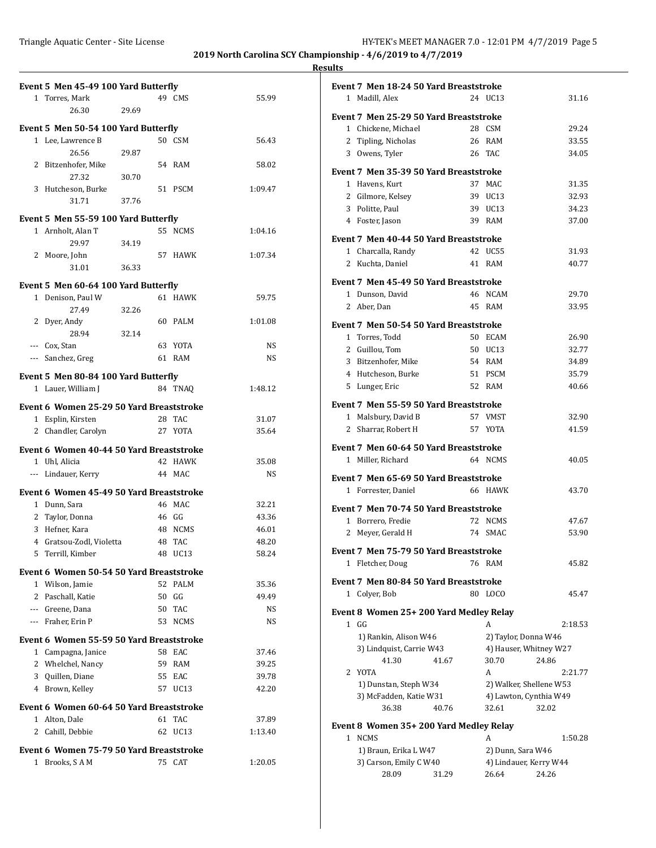|                | Event 5 Men 45-49 100 Yard Butterfly                          |       |    |                  |           |
|----------------|---------------------------------------------------------------|-------|----|------------------|-----------|
|                | 1 Torres, Mark                                                |       |    | 49 CMS           | 55.99     |
|                | 26.30                                                         | 29.69 |    |                  |           |
|                |                                                               |       |    |                  |           |
|                | Event 5 Men 50-54 100 Yard Butterfly                          |       |    | 50 CSM           |           |
|                | 1 Lee, Lawrence B<br>26.56                                    | 29.87 |    |                  | 56.43     |
|                | 2 Bitzenhofer, Mike                                           |       |    | 54 RAM           | 58.02     |
|                | 27.32                                                         | 30.70 |    |                  |           |
|                | 3 Hutcheson, Burke                                            |       |    | 51 PSCM          | 1:09.47   |
|                | 31.71                                                         | 37.76 |    |                  |           |
|                | Event 5 Men 55-59 100 Yard Butterfly                          |       |    |                  |           |
|                | 1 Arnholt, Alan T                                             |       |    | 55 NCMS          | 1:04.16   |
|                | 29.97                                                         | 34.19 |    |                  |           |
|                | 2 Moore, John                                                 |       |    | 57 HAWK          | 1:07.34   |
|                | 31.01                                                         | 36.33 |    |                  |           |
|                | Event 5 Men 60-64 100 Yard Butterfly                          |       |    |                  |           |
|                | 1 Denison, Paul W                                             |       |    | 61 HAWK          | 59.75     |
|                | 27.49                                                         | 32.26 |    |                  |           |
|                | 2 Dyer, Andy                                                  |       |    | 60 PALM          | 1:01.08   |
|                | 28.94                                                         | 32.14 |    |                  |           |
|                | --- Cox, Stan                                                 |       |    | 63 YOTA          | NS        |
| $\cdots$       | Sanchez, Greg                                                 |       |    | 61 RAM           | <b>NS</b> |
|                | Event 5 Men 80-84 100 Yard Butterfly                          |       |    |                  |           |
|                | 1 Lauer, William J                                            |       |    | 84 TNAO          | 1:48.12   |
|                |                                                               |       |    |                  |           |
|                | Event 6 Women 25-29 50 Yard Breaststroke<br>1 Esplin, Kirsten |       |    | 28 TAC           | 31.07     |
|                | 2 Chandler, Carolyn                                           |       |    | 27 YOTA          | 35.64     |
|                |                                                               |       |    |                  |           |
|                | Event 6 Women 40-44 50 Yard Breaststroke                      |       |    |                  |           |
|                | 1 Uhl, Alicia                                                 |       |    | 42 HAWK          | 35.08     |
|                | --- Lindauer, Kerry                                           |       |    | 44 MAC           | NS        |
|                | Event 6 Women 45-49 50 Yard Breaststroke                      |       |    |                  |           |
|                | 1 Dunn, Sara                                                  |       |    | 46 MAC           | 32.21     |
|                | 2 Taylor, Donna                                               |       |    | $46$ GG          | 43.36     |
|                | 3 Hefner, Kara                                                |       |    | 48 NCMS          | 46.01     |
|                | 4 Gratsou-Zodl, Violetta                                      |       | 48 | TAC              | 48.20     |
| 5              | Terrill, Kimber                                               |       |    | 48 UC13          | 58.24     |
|                | Event 6 Women 50-54 50 Yard Breaststroke                      |       |    |                  |           |
|                | 1 Wilson, Jamie                                               |       | 52 | <b>PALM</b>      | 35.36     |
| $\overline{2}$ | Paschall, Katie                                               |       | 50 | GG               | 49.49     |
|                | --- Greene, Dana                                              |       | 50 | TAC              | NS        |
|                | --- Fraher, Erin P                                            |       | 53 | <b>NCMS</b>      | NS        |
|                | Event 6 Women 55-59 50 Yard Breaststroke                      |       |    |                  |           |
| 1              | Campagna, Janice                                              |       | 58 | EAC              | 37.46     |
|                | 2 Whelchel, Nancy                                             |       | 59 | RAM              | 39.25     |
|                | 3 Quillen, Diane                                              |       | 55 | EAC              | 39.78     |
|                | 4 Brown, Kelley                                               |       | 57 | UC13             | 42.20     |
|                | Event 6 Women 60-64 50 Yard Breaststroke                      |       |    |                  |           |
|                | 1 Alton, Dale                                                 |       |    | 61 TAC           | 37.89     |
| 2              | Cahill, Debbie                                                |       | 62 | UC <sub>13</sub> | 1:13.40   |
|                | Event 6 Women 75-79 50 Yard Breaststroke                      |       |    |                  |           |
| 1              | Brooks, SAM                                                   |       | 75 | CAT              | 1:20.05   |
|                |                                                               |       |    |                  |           |

|              | Event 7 Men 18-24 50 Yard Breaststroke |    |                         |         |
|--------------|----------------------------------------|----|-------------------------|---------|
|              | 1 Madill, Alex                         |    | 24 UC13                 | 31.16   |
|              |                                        |    |                         |         |
|              | Event 7 Men 25-29 50 Yard Breaststroke |    |                         |         |
|              | 1 Chickene, Michael                    |    | 28 CSM                  | 29.24   |
|              | 2 Tipling, Nicholas                    |    | 26 RAM                  | 33.55   |
|              | 3 Owens, Tyler                         |    | 26 TAC                  | 34.05   |
|              | Event 7 Men 35-39 50 Yard Breaststroke |    |                         |         |
|              | 1 Havens, Kurt                         |    | 37 MAC                  | 31.35   |
|              | 2 Gilmore, Kelsey                      |    | 39 UC13                 | 32.93   |
|              | 3 Politte, Paul                        |    | 39 UC13                 | 34.23   |
|              | 4 Foster, Jason                        |    | 39 RAM                  | 37.00   |
|              | Event 7 Men 40-44 50 Yard Breaststroke |    |                         |         |
|              | 1 Charcalla, Randy                     |    | 42 UC55                 | 31.93   |
|              | 2 Kuchta, Daniel                       |    | 41 RAM                  | 40.77   |
|              |                                        |    |                         |         |
|              | Event 7 Men 45-49 50 Yard Breaststroke |    |                         |         |
|              | 1 Dunson, David                        |    | 46 NCAM                 | 29.70   |
|              | 2 Aber, Dan                            |    | 45 RAM                  | 33.95   |
|              | Event 7 Men 50-54 50 Yard Breaststroke |    |                         |         |
|              | 1 Torres, Todd                         |    | 50 ECAM                 | 26.90   |
|              | 2 Guillou, Tom                         |    | 50 UC13                 | 32.77   |
|              | 3 Bitzenhofer, Mike                    |    | 54 RAM                  | 34.89   |
|              | 4 Hutcheson, Burke                     |    | 51 PSCM                 | 35.79   |
|              | 5 Lunger, Eric                         |    | 52 RAM                  | 40.66   |
|              | Event 7 Men 55-59 50 Yard Breaststroke |    |                         |         |
| $\mathbf{1}$ | Malsbury, David B                      |    | 57 VMST                 | 32.90   |
| $\mathbf{2}$ | Sharrar, Robert H                      |    | 57 YOTA                 | 41.59   |
|              | Event 7 Men 60-64 50 Yard Breaststroke |    |                         |         |
|              | 1 Miller, Richard                      |    | 64 NCMS                 | 40.05   |
|              |                                        |    |                         |         |
|              | Event 7 Men 65-69 50 Yard Breaststroke |    |                         |         |
|              | 1 Forrester, Daniel                    |    | 66 HAWK                 | 43.70   |
|              | Event 7 Men 70-74 50 Yard Breaststroke |    |                         |         |
| 1            | Borrero, Fredie                        |    | 72 NCMS                 | 47.67   |
| 2            | Meyer, Gerald H                        |    | 74 SMAC                 | 53.90   |
|              | Event 7 Men 75-79 50 Yard Breaststroke |    |                         |         |
|              | 1 Fletcher, Doug                       |    | 76 RAM                  | 45.82   |
|              |                                        |    |                         |         |
|              | Event 7 Men 80-84 50 Yard Breaststroke |    |                         |         |
|              | 1 Colyer, Bob                          | 80 | LOCO                    | 45.47   |
|              | Event 8 Women 25+200 Yard Medley Relay |    |                         |         |
|              | 1 GG                                   |    | А                       | 2:18.53 |
|              | 1) Rankin, Alison W46                  |    | 2) Taylor, Donna W46    |         |
|              | 3) Lindquist, Carrie W43               |    | 4) Hauser, Whitney W27  |         |
|              | 41.30<br>41.67                         |    | 30.70                   | 24.86   |
|              | 2 YOTA                                 |    | A                       | 2:21.77 |
|              | 1) Dunstan, Steph W34                  |    | 2) Walker, Shellene W53 |         |
|              | 3) McFadden, Katie W31                 |    | 4) Lawton, Cynthia W49  | 32.02   |
|              | 36.38<br>40.76                         |    | 32.61                   |         |
|              | Event 8 Women 35+200 Yard Medley Relay |    |                         |         |
|              | 1 NCMS                                 |    | A                       | 1:50.28 |
|              | 1) Braun, Erika L W47                  |    | 2) Dunn, Sara W46       |         |
|              | 3) Carson, Emily C W40                 |    | 4) Lindauer, Kerry W44  |         |

28.09 31.29 26.64 24.26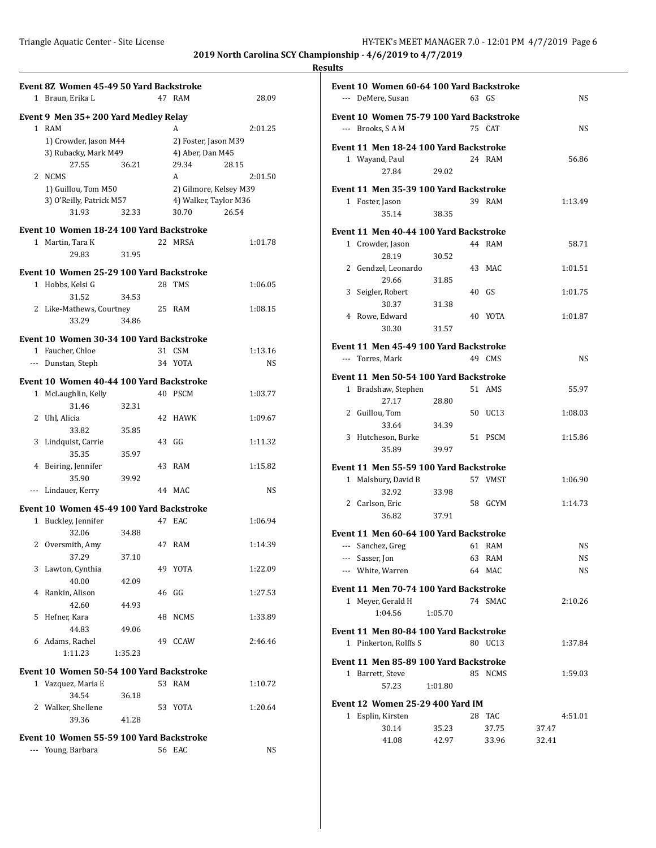|   | Event 8Z Women 45-49 50 Yard Backstroke  |         |    |                        |         |
|---|------------------------------------------|---------|----|------------------------|---------|
|   | 1 Braun, Erika L                         |         |    | 47 RAM                 | 28.09   |
|   | Event 9 Men 35+200 Yard Medley Relay     |         |    |                        |         |
|   | 1 RAM                                    |         |    | A                      | 2:01.25 |
|   | 1) Crowder, Jason M44                    |         |    | 2) Foster, Jason M39   |         |
|   | 3) Rubacky, Mark M49                     |         |    | 4) Aber, Dan M45       |         |
|   | 27.55<br>2 NCMS                          | 36.21   |    | 29.34<br>28.15<br>A    | 2:01.50 |
|   | 1) Guillou, Tom M50                      |         |    | 2) Gilmore, Kelsey M39 |         |
|   | 3) O'Reilly, Patrick M57                 |         |    | 4) Walker, Taylor M36  |         |
|   | 31.93                                    | 32.33   |    | 30.70<br>26.54         |         |
|   | Event 10 Women 18-24 100 Yard Backstroke |         |    |                        |         |
|   | 1 Martin, Tara K                         |         |    | 22 MRSA                | 1:01.78 |
|   | 29.83                                    | 31.95   |    |                        |         |
|   |                                          |         |    |                        |         |
|   | Event 10 Women 25-29 100 Yard Backstroke |         |    |                        |         |
|   | 1 Hobbs, Kelsi G                         |         |    | 28 TMS                 | 1:06.05 |
|   | 31.52                                    | 34.53   |    |                        |         |
|   | 2 Like-Mathews, Courtney                 |         |    | 25 RAM                 | 1:08.15 |
|   | 33.29                                    | 34.86   |    |                        |         |
|   | Event 10 Women 30-34 100 Yard Backstroke |         |    |                        |         |
|   | 1 Faucher, Chloe                         |         |    | 31 CSM                 | 1:13.16 |
|   | --- Dunstan, Steph                       |         |    | 34 YOTA                | NS      |
|   | Event 10 Women 40-44 100 Yard Backstroke |         |    |                        |         |
|   | 1 McLaughlin, Kelly                      |         |    | 40 PSCM                | 1:03.77 |
|   | 31.46                                    | 32.31   |    |                        |         |
| 2 | Uhl, Alicia                              |         |    | 42 HAWK                | 1:09.67 |
|   | 33.82                                    | 35.85   |    |                        |         |
|   | 3 Lindquist, Carrie                      |         |    | 43 GG                  | 1:11.32 |
|   | 35.35                                    | 35.97   |    |                        |         |
|   | 4 Beiring, Jennifer                      |         |    | 43 RAM                 | 1:15.82 |
|   | 35.90                                    | 39.92   |    |                        |         |
|   | --- Lindauer, Kerry                      |         |    | 44 MAC                 | NS      |
|   | Event 10 Women 45-49 100 Yard Backstroke |         |    |                        |         |
|   | 1 Buckley, Jennifer                      |         |    | 47 EAC                 | 1:06.94 |
|   | 32.06                                    | 34.88   |    |                        |         |
| 2 | Oversmith, Amy                           |         |    | 47 RAM                 | 1:14.39 |
|   | 37.29                                    | 37.10   |    |                        |         |
|   | 3 Lawton, Cynthia                        |         |    | 49 YOTA                | 1:22.09 |
|   | 40.00                                    | 42.09   |    |                        |         |
| 4 | Rankin, Alison                           |         |    | 46 GG                  | 1:27.53 |
|   | 42.60                                    | 44.93   |    |                        |         |
| 5 | Hefner, Kara                             |         | 48 | <b>NCMS</b>            | 1:33.89 |
|   | 44.83                                    | 49.06   |    |                        |         |
|   | 6 Adams, Rachel                          |         | 49 | CCAW                   | 2:46.46 |
|   | 1:11.23                                  | 1:35.23 |    |                        |         |
|   | Event 10 Women 50-54 100 Yard Backstroke |         |    |                        |         |
|   | 1 Vazquez, Maria E                       |         |    | 53 RAM                 | 1:10.72 |
|   | 34.54                                    | 36.18   |    |                        |         |
|   | 2 Walker, Shellene                       |         |    | 53 YOTA                | 1:20.64 |
|   | 39.36                                    | 41.28   |    |                        |         |
|   | Event 10 Women 55-59 100 Yard Backstroke |         |    |                        |         |
|   | --- Young, Barbara                       |         |    | 56 EAC                 | NS      |
|   |                                          |         |    |                        |         |

|                      | Event 10 Women 60-64 100 Yard Backstroke |         |       |         |           |
|----------------------|------------------------------------------|---------|-------|---------|-----------|
|                      | --- DeMere, Susan                        |         | 63 GS |         | NS        |
|                      | Event 10 Women 75-79 100 Yard Backstroke |         |       |         |           |
|                      | --- Brooks, SAM                          |         |       | 75 CAT  | NS        |
|                      |                                          |         |       |         |           |
|                      | Event 11 Men 18-24 100 Yard Backstroke   |         |       |         |           |
|                      | 1 Wayand, Paul                           |         |       | 24 RAM  | 56.86     |
|                      | 27.84                                    | 29.02   |       |         |           |
|                      | Event 11 Men 35-39 100 Yard Backstroke   |         |       |         |           |
|                      | 1 Foster, Jason                          |         |       | 39 RAM  | 1:13.49   |
|                      | 35.14                                    | 38.35   |       |         |           |
|                      | Event 11 Men 40-44 100 Yard Backstroke   |         |       |         |           |
|                      | 1 Crowder, Jason                         |         |       | 44 RAM  | 58.71     |
|                      | 28.19                                    | 30.52   |       |         |           |
|                      | 2 Gendzel, Leonardo                      |         |       | 43 MAC  | 1:01.51   |
|                      | 29.66                                    | 31.85   |       |         |           |
|                      | 3 Seigler, Robert                        |         | 40 GS |         | 1:01.75   |
|                      | 30.37                                    | 31.38   |       |         |           |
|                      | 4 Rowe, Edward                           |         |       | 40 YOTA | 1:01.87   |
|                      | 30.30                                    | 31.57   |       |         |           |
|                      | Event 11 Men 45-49 100 Yard Backstroke   |         |       |         |           |
| $\sim$ $\sim$ $\sim$ | Torres, Mark                             |         |       | 49 CMS  | NS        |
|                      |                                          |         |       |         |           |
|                      | Event 11 Men 50-54 100 Yard Backstroke   |         |       | 51 AMS  | 55.97     |
|                      | 1 Bradshaw, Stephen<br>27.17             | 28.80   |       |         |           |
|                      | 2 Guillou, Tom                           |         |       | 50 UC13 | 1:08.03   |
|                      | 33.64                                    | 34.39   |       |         |           |
|                      | 3 Hutcheson, Burke                       |         |       | 51 PSCM | 1:15.86   |
|                      | 35.89                                    | 39.97   |       |         |           |
|                      |                                          |         |       |         |           |
|                      | Event 11 Men 55-59 100 Yard Backstroke   |         |       | 57 VMST |           |
|                      | 1 Malsbury, David B<br>32.92             | 33.98   |       |         | 1:06.90   |
|                      | 2 Carlson, Eric                          |         |       | 58 GCYM | 1:14.73   |
|                      | 36.82                                    | 37.91   |       |         |           |
|                      |                                          |         |       |         |           |
|                      | Event 11 Men 60-64 100 Yard Backstroke   |         |       |         |           |
| $\frac{1}{2}$        | Sanchez, Greg                            |         |       | 61 RAM  | NS        |
|                      | --- Sasser, Jon                          |         |       | 63 RAM  | <b>NS</b> |
|                      | --- White, Warren                        |         |       | 64 MAC  | NS        |
|                      | Event 11 Men 70-74 100 Yard Backstroke   |         |       |         |           |
|                      | 1 Meyer, Gerald H                        |         |       | 74 SMAC | 2:10.26   |
|                      | 1:04.56                                  | 1:05.70 |       |         |           |
|                      | Event 11 Men 80-84 100 Yard Backstroke   |         |       |         |           |
|                      | 1 Pinkerton, Rolffs S                    |         |       | 80 UC13 | 1:37.84   |
|                      |                                          |         |       |         |           |
|                      | Event 11 Men 85-89 100 Yard Backstroke   |         |       |         |           |
|                      | 1 Barrett, Steve                         |         |       | 85 NCMS | 1:59.03   |
|                      | 57.23                                    | 1:01.80 |       |         |           |
|                      | Event 12 Women 25-29 400 Yard IM         |         |       |         |           |
| 1                    | Esplin, Kirsten                          |         | 28    | TAC     | 4:51.01   |
|                      | 30.14                                    | 35.23   |       | 37.75   | 37.47     |
|                      | 41.08                                    | 42.97   |       | 33.96   | 32.41     |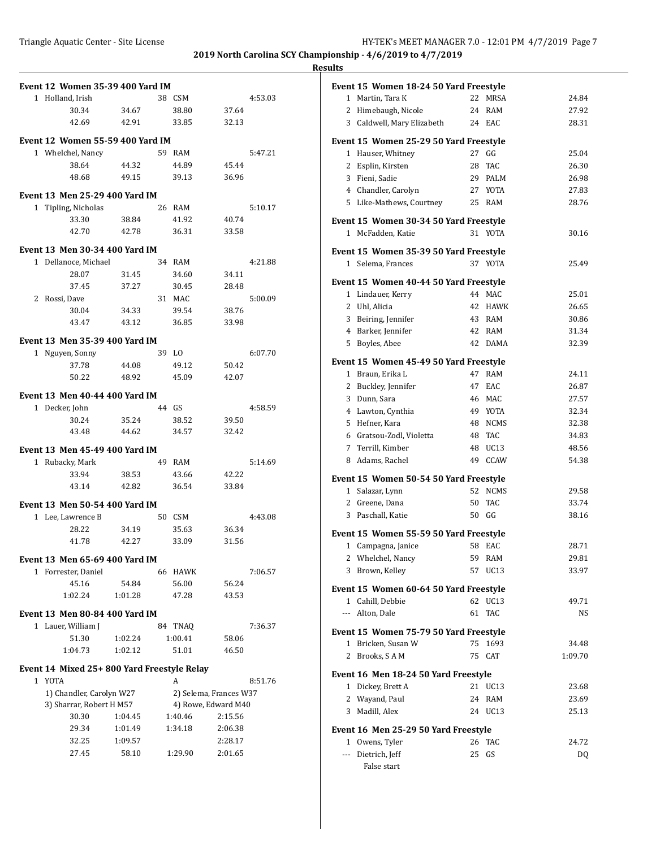**2019 North Carolina SCY Championship - 4/6/2019 to 4/7/2019**  $\overline{\phantom{a}}$ **Results**

| <b>Event 12 Women 35-39 400 Yard IM</b>    |                |    |                |                        |         |
|--------------------------------------------|----------------|----|----------------|------------------------|---------|
| 1 Holland, Irish                           |                |    | 38 CSM         |                        | 4:53.03 |
| 30.34                                      | 34.67          |    | 38.80          | 37.64                  |         |
| 42.69                                      | 42.91          |    | 33.85          | 32.13                  |         |
|                                            |                |    |                |                        |         |
| <b>Event 12 Women 55-59 400 Yard IM</b>    |                |    |                |                        |         |
| 1 Whelchel, Nancy                          |                |    | 59 RAM         |                        | 5:47.21 |
| 38.64                                      | 44.32          |    | 44.89          | 45.44                  |         |
| 48.68                                      | 49.15          |    | 39.13          | 36.96                  |         |
| <b>Event 13 Men 25-29 400 Yard IM</b>      |                |    |                |                        |         |
| 1 Tipling, Nicholas                        |                |    | 26 RAM         |                        | 5:10.17 |
| 33.30                                      | 38.84          |    | 41.92          | 40.74                  |         |
| 42.70                                      | 42.78          |    | 36.31          | 33.58                  |         |
| <b>Event 13 Men 30-34 400 Yard IM</b>      |                |    |                |                        |         |
| 1 Dellanoce, Michael                       |                |    | 34 RAM         |                        | 4:21.88 |
| 28.07                                      | 31.45          |    | 34.60          | 34.11                  |         |
| 37.45                                      | 37.27          |    | 30.45          | 28.48                  |         |
| 2 Rossi, Dave                              |                |    | 31 MAC         |                        | 5:00.09 |
| 30.04                                      | 34.33          |    | 39.54          | 38.76                  |         |
| 43.47                                      | 43.12          |    | 36.85          | 33.98                  |         |
|                                            |                |    |                |                        |         |
| Event 13 Men 35-39 400 Yard IM             |                |    |                |                        |         |
| 1 Nguyen, Sonny<br>37.78                   |                |    | 39 LO<br>49.12 | 50.42                  | 6:07.70 |
| 50.22                                      | 44.08<br>48.92 |    | 45.09          | 42.07                  |         |
|                                            |                |    |                |                        |         |
| Event 13 Men 40-44 400 Yard IM             |                |    |                |                        |         |
| 1 Decker, John                             |                |    | 44 GS          |                        | 4:58.59 |
| 30.24                                      | 35.24          |    | 38.52          | 39.50                  |         |
| 43.48                                      | 44.62          |    | 34.57          | 32.42                  |         |
| Event 13 Men 45-49 400 Yard IM             |                |    |                |                        |         |
| 1 Rubacky, Mark                            |                | 49 | RAM            |                        | 5:14.69 |
| 33.94                                      | 38.53          |    | 43.66          | 42.22                  |         |
| 43.14                                      | 42.82          |    | 36.54          | 33.84                  |         |
| <b>Event 13 Men 50-54 400 Yard IM</b>      |                |    |                |                        |         |
| 1 Lee, Lawrence B                          |                |    | 50 CSM         |                        | 4:43.08 |
| 28.22                                      | 34.19          |    | 35.63          | 36.34                  |         |
| 41.78                                      | 42.27          |    | 33.09          | 31.56                  |         |
|                                            |                |    |                |                        |         |
| Event 13 Men 65-69 400 Yard IM             |                |    |                |                        |         |
| 1 Forrester, Daniel                        |                | 66 | HAWK           |                        | 7:06.57 |
| 45.16                                      | 54.84          |    | 56.00          | 56.24                  |         |
| 1:02.24                                    | 1:01.28        |    | 47.28          | 43.53                  |         |
| <b>Event 13 Men 80-84 400 Yard IM</b>      |                |    |                |                        |         |
| 1 Lauer, William J                         |                | 84 | TNAQ           |                        | 7:36.37 |
| 51.30                                      | 1:02.24        |    | 1:00.41        | 58.06                  |         |
| 1:04.73                                    | 1:02.12        |    | 51.01          | 46.50                  |         |
| Event 14 Mixed 25+800 Yard Freestyle Relay |                |    |                |                        |         |
| 1 YOTA                                     |                |    | A              |                        | 8:51.76 |
| 1) Chandler, Carolyn W27                   |                |    |                | 2) Selema, Frances W37 |         |
| 3) Sharrar, Robert H M57                   |                |    |                | 4) Rowe, Edward M40    |         |
| 30.30                                      | 1:04.45        |    | 1:40.46        | 2:15.56                |         |
| 29.34                                      | 1:01.49        |    | 1:34.18        | 2:06.38                |         |
| 32.25                                      | 1:09.57        |    |                | 2:28.17                |         |
| 27.45                                      | 58.10          |    | 1:29.90        | 2:01.65                |         |
|                                            |                |    |                |                        |         |

|             | Event 15 Women 18-24 50 Yard Freestyle |    |                  |         |
|-------------|----------------------------------------|----|------------------|---------|
|             | 1 Martin, Tara K                       | 22 | MRSA             | 24.84   |
|             | 2 Himebaugh, Nicole                    |    | 24 RAM           | 27.92   |
|             | 3 Caldwell, Mary Elizabeth             |    | 24 EAC           | 28.31   |
|             |                                        |    |                  |         |
|             | Event 15 Women 25-29 50 Yard Freestyle |    |                  |         |
|             | 1 Hauser, Whitney                      | 27 | GG               | 25.04   |
|             | 2 Esplin, Kirsten                      | 28 | TAC              | 26.30   |
|             | 3 Fieni, Sadie                         |    | 29 PALM          | 26.98   |
|             | 4 Chandler, Carolyn                    |    | 27 YOTA          | 27.83   |
|             | 5 Like-Mathews, Courtney               |    | 25 RAM           | 28.76   |
|             | Event 15 Women 30-34 50 Yard Freestyle |    |                  |         |
|             | 1 McFadden, Katie                      |    | 31 YOTA          | 30.16   |
|             | Event 15 Women 35-39 50 Yard Freestyle |    |                  |         |
|             | 1 Selema, Frances                      |    | 37 YOTA          | 25.49   |
|             |                                        |    |                  |         |
|             | Event 15 Women 40-44 50 Yard Freestyle |    |                  |         |
|             | 1 Lindauer, Kerry                      |    | 44 MAC           | 25.01   |
|             | 2 Uhl, Alicia                          |    | 42 HAWK          | 26.65   |
|             | 3 Beiring, Jennifer                    |    | 43 RAM           | 30.86   |
|             | 4 Barker, Jennifer                     |    | 42 RAM           | 31.34   |
|             | 5 Boyles, Abee                         |    | 42 DAMA          | 32.39   |
|             | Event 15 Women 45-49 50 Yard Freestyle |    |                  |         |
|             | 1 Braun, Erika L                       |    | 47 RAM           | 24.11   |
|             | 2 Buckley, Jennifer                    | 47 | EAC              | 26.87   |
|             | 3 Dunn, Sara                           |    | 46 MAC           | 27.57   |
|             | 4 Lawton, Cynthia                      |    | 49 YOTA          | 32.34   |
|             | 5 Hefner, Kara                         | 48 | NCMS             | 32.38   |
|             | 6 Gratsou-Zodl, Violetta               | 48 | TAC              | 34.83   |
|             | 7 Terrill, Kimber                      |    | 48 UC13          | 48.56   |
|             | 8 Adams, Rachel                        | 49 | CCAW             | 54.38   |
|             | Event 15 Women 50-54 50 Yard Freestyle |    |                  |         |
|             | 1 Salazar, Lynn                        |    | 52 NCMS          | 29.58   |
|             | 2 Greene, Dana                         | 50 | TAC              | 33.74   |
|             | 3 Paschall, Katie                      |    | 50 GG            | 38.16   |
|             |                                        |    |                  |         |
|             | Event 15 Women 55-59 50 Yard Freestyle |    |                  |         |
|             | 1 Campagna, Janice                     |    | 58 EAC           | 28.71   |
|             | 2 Whelchel, Nancy                      |    | 59 RAM           | 29.81   |
|             | 3 Brown, Kelley                        | 57 | UC <sub>13</sub> | 33.97   |
|             | Event 15 Women 60-64 50 Yard Freestyle |    |                  |         |
|             | 1 Cahill, Debbie                       |    | 62 UC13          | 49.71   |
|             | --- Alton, Dale                        | 61 | <b>TAC</b>       | NS      |
|             | Event 15 Women 75-79 50 Yard Freestyle |    |                  |         |
| 1           | Bricken, Susan W                       | 75 | 1693             | 34.48   |
| 2           | Brooks, SAM                            | 75 | CAT              | 1:09.70 |
|             |                                        |    |                  |         |
|             | Event 16 Men 18-24 50 Yard Freestyle   |    |                  |         |
| $\mathbf 1$ | Dickey, Brett A                        | 21 | UC <sub>13</sub> | 23.68   |
|             | 2 Wayand, Paul                         | 24 | RAM              | 23.69   |
| 3           | Madill, Alex                           | 24 | UC13             | 25.13   |
|             | Event 16 Men 25-29 50 Yard Freestyle   |    |                  |         |
|             | 1 Owens, Tyler                         | 26 | TAC              | 24.72   |
| ---         | Dietrich, Jeff                         | 25 | GS               | DQ      |
|             | False start                            |    |                  |         |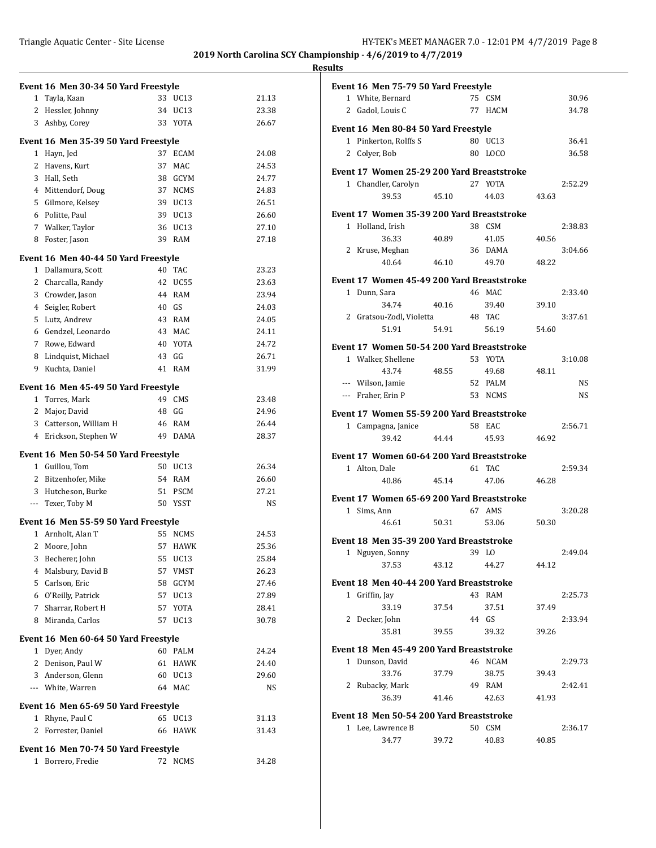|                                      | Event 16 Men 30-34 50 Yard Freestyle |       |                  |       |  |  |  |
|--------------------------------------|--------------------------------------|-------|------------------|-------|--|--|--|
|                                      | 1 Tayla, Kaan                        |       | 33 UC13          | 21.13 |  |  |  |
|                                      | 2 Hessler, Johnny                    |       | 34 UC13          | 23.38 |  |  |  |
|                                      | 3 Ashby, Corey                       |       | 33 YOTA          | 26.67 |  |  |  |
|                                      | Event 16 Men 35-39 50 Yard Freestyle |       |                  |       |  |  |  |
|                                      | 1 Hayn, Jed                          |       | 37 ECAM          | 24.08 |  |  |  |
|                                      | 2 Havens, Kurt                       | 37    | MAC              | 24.53 |  |  |  |
|                                      | 3 Hall, Seth                         |       | 38 GCYM          | 24.77 |  |  |  |
|                                      | 4 Mittendorf, Doug                   |       | 37 NCMS          | 24.83 |  |  |  |
|                                      | 5 Gilmore, Kelsey                    |       | 39 UC13          | 26.51 |  |  |  |
|                                      | 6 Politte, Paul                      |       | 39 UC13          | 26.60 |  |  |  |
|                                      |                                      |       | 36 UC13          |       |  |  |  |
|                                      | 7 Walker, Taylor                     |       |                  | 27.10 |  |  |  |
|                                      | 8 Foster, Jason                      |       | 39 RAM           | 27.18 |  |  |  |
|                                      | Event 16 Men 40-44 50 Yard Freestyle |       |                  |       |  |  |  |
|                                      | 1 Dallamura, Scott                   |       | 40 TAC           | 23.23 |  |  |  |
|                                      | 2 Charcalla, Randy                   |       | 42 UC55          | 23.63 |  |  |  |
|                                      | 3 Crowder, Jason                     |       | 44 RAM           | 23.94 |  |  |  |
|                                      | 4 Seigler, Robert                    | 40 GS |                  | 24.03 |  |  |  |
|                                      | 5 Lutz, Andrew                       |       | 43 RAM           | 24.05 |  |  |  |
|                                      | 6 Gendzel, Leonardo                  |       | 43 MAC           | 24.11 |  |  |  |
|                                      | 7 Rowe, Edward                       |       | 40 YOTA          | 24.72 |  |  |  |
|                                      | 8 Lindquist, Michael                 |       | 43 GG            | 26.71 |  |  |  |
| 9                                    | Kuchta, Daniel                       |       | 41 RAM           | 31.99 |  |  |  |
| Event 16 Men 45-49 50 Yard Freestyle |                                      |       |                  |       |  |  |  |
|                                      | 1 Torres, Mark                       |       | 49 CMS           | 23.48 |  |  |  |
|                                      | 2 Major, David                       |       | 48 GG            | 24.96 |  |  |  |
|                                      | 3 Catterson, William H               |       | 46 RAM           | 26.44 |  |  |  |
|                                      | 4 Erickson, Stephen W                |       | 49 DAMA          | 28.37 |  |  |  |
|                                      |                                      |       |                  |       |  |  |  |
|                                      | Event 16 Men 50-54 50 Yard Freestyle |       | 50 UC13          | 26.34 |  |  |  |
|                                      | 1 Guillou, Tom                       |       |                  |       |  |  |  |
|                                      | 2 Bitzenhofer, Mike                  |       | 54 RAM           | 26.60 |  |  |  |
|                                      | 3 Hutcheson, Burke                   |       | 51 PSCM          | 27.21 |  |  |  |
|                                      | --- Texer, Toby M                    |       | 50 YSST          | NS    |  |  |  |
|                                      | Event 16 Men 55-59 50 Yard Freestyle |       |                  |       |  |  |  |
|                                      | 1 Arnholt, Alan T                    |       | 55 NCMS          | 24.53 |  |  |  |
| 2                                    | Moore, John                          | 57    | <b>HAWK</b>      | 25.36 |  |  |  |
|                                      | 3 Becherer, John                     | 55    | UC <sub>13</sub> | 25.84 |  |  |  |
|                                      | 4 Malsbury, David B                  | 57    | <b>VMST</b>      | 26.23 |  |  |  |
|                                      | 5 Carlson, Eric                      | 58    | GCYM             | 27.46 |  |  |  |
|                                      | 6 O'Reilly, Patrick                  | 57    | UC <sub>13</sub> | 27.89 |  |  |  |
|                                      | 7 Sharrar, Robert H                  |       | 57 YOTA          | 28.41 |  |  |  |
|                                      | 8 Miranda, Carlos                    | 57    | <b>UC13</b>      | 30.78 |  |  |  |
|                                      | Event 16 Men 60-64 50 Yard Freestyle |       |                  |       |  |  |  |
|                                      | 1 Dyer, Andy                         | 60    | PALM             | 24.24 |  |  |  |
|                                      | 2 Denison, Paul W                    | 61    | <b>HAWK</b>      | 24.40 |  |  |  |
|                                      | 3 Anderson, Glenn                    |       | 60 UC13          | 29.60 |  |  |  |
|                                      | --- White, Warren                    |       | 64 MAC           | NS    |  |  |  |
|                                      | Event 16 Men 65-69 50 Yard Freestyle |       |                  |       |  |  |  |
| $1 \quad$                            | Rhyne, Paul C                        | 65    | UC <sub>13</sub> | 31.13 |  |  |  |
|                                      | 2 Forrester, Daniel                  | 66    | <b>HAWK</b>      | 31.43 |  |  |  |
|                                      |                                      |       |                  |       |  |  |  |
|                                      | Event 16 Men 70-74 50 Yard Freestyle |       |                  |       |  |  |  |
| $1 \quad$                            | Borrero, Fredie                      | 72    | NCMS             | 34.28 |  |  |  |
|                                      |                                      |       |                  |       |  |  |  |

|              | Event 16 Men 75-79 50 Yard Freestyle       |       |    |         |       |         |
|--------------|--------------------------------------------|-------|----|---------|-------|---------|
|              | 1 White, Bernard                           |       |    | 75 CSM  |       | 30.96   |
| 2            | Gadol, Louis C                             |       |    | 77 HACM |       | 34.78   |
|              | Event 16 Men 80-84 50 Yard Freestyle       |       |    |         |       |         |
| $\mathbf{1}$ | Pinkerton, Rolffs S                        |       | 80 | UC13    |       | 36.41   |
| 2            | Colyer, Bob                                |       | 80 | LOCO    |       | 36.58   |
|              | Event 17 Women 25-29 200 Yard Breaststroke |       |    |         |       |         |
|              | 1 Chandler, Carolyn                        |       |    | 27 YOTA |       | 2:52.29 |
|              | 39.53                                      | 45.10 |    | 44.03   | 43.63 |         |
|              | Event 17 Women 35-39 200 Yard Breaststroke |       |    |         |       |         |
|              | 1 Holland, Irish                           |       |    | 38 CSM  |       | 2:38.83 |
|              | 36.33                                      | 40.89 |    | 41.05   | 40.56 |         |
|              | 2 Kruse, Meghan                            |       |    | 36 DAMA |       | 3:04.66 |
|              | 40.64                                      | 46.10 |    | 49.70   | 48.22 |         |
|              | Event 17 Women 45-49 200 Yard Breaststroke |       |    |         |       |         |
|              | 1 Dunn, Sara                               |       |    | 46 MAC  |       | 2:33.40 |
|              | 34.74                                      | 40.16 |    | 39.40   | 39.10 |         |
|              | 2 Gratsou-Zodl, Violetta                   |       |    | 48 TAC  |       | 3:37.61 |
|              | 51.91                                      | 54.91 |    | 56.19   | 54.60 |         |
|              | Event 17 Women 50-54 200 Yard Breaststroke |       |    |         |       |         |
|              | 1 Walker, Shellene                         |       |    | 53 YOTA |       | 3:10.08 |
|              | 43.74                                      | 48.55 |    | 49.68   | 48.11 |         |
|              | --- Wilson, Jamie                          |       |    | 52 PALM |       | NS      |
|              | --- Fraher, Erin P                         |       |    | 53 NCMS |       | NS      |
|              | Event 17 Women 55-59 200 Yard Breaststroke |       |    |         |       |         |
|              | 1 Campagna, Janice                         |       |    | 58 EAC  |       | 2:56.71 |
|              | 39.42                                      | 44.44 |    | 45.93   | 46.92 |         |
|              | Event 17 Women 60-64 200 Yard Breaststroke |       |    |         |       |         |
| $\mathbf{1}$ | Alton, Dale                                |       |    | 61 TAC  |       | 2:59.34 |
|              | 40.86                                      | 45.14 |    | 47.06   | 46.28 |         |
|              | Event 17 Women 65-69 200 Yard Breaststroke |       |    |         |       |         |
|              | 1 Sims, Ann                                |       |    | 67 AMS  |       | 3:20.28 |
|              | 46.61                                      | 50.31 |    | 53.06   | 50.30 |         |
|              | Event 18 Men 35-39 200 Yard Breaststroke   |       |    |         |       |         |
| 1            | Nguyen, Sonny                              |       |    | 39 LO   |       | 2:49.04 |
|              | 37.53                                      | 43.12 |    | 44.27   | 44.12 |         |
|              |                                            |       |    |         |       |         |
|              | Event 18 Men 40-44 200 Yard Breaststroke   |       |    |         |       |         |
|              | 1 Griffin, Jay                             |       |    | 43 RAM  |       | 2:25.73 |
|              | 33.19                                      | 37.54 |    | 37.51   | 37.49 |         |
|              | 2 Decker, John                             |       |    | 44 GS   |       | 2:33.94 |
|              | 35.81                                      | 39.55 |    | 39.32   | 39.26 |         |
|              | Event 18 Men 45-49 200 Yard Breaststroke   |       |    |         |       |         |
|              | 1 Dunson, David                            |       |    | 46 NCAM |       | 2:29.73 |
|              | 33.76                                      | 37.79 |    | 38.75   | 39.43 |         |
|              | 2 Rubacky, Mark                            |       |    | 49 RAM  |       | 2:42.41 |
|              | 36.39                                      | 41.46 |    | 42.63   | 41.93 |         |
|              | Event 18 Men 50-54 200 Yard Breaststroke   |       |    |         |       |         |
|              | 1 Lee, Lawrence B                          |       |    | 50 CSM  |       | 2:36.17 |
|              | 34.77                                      | 39.72 |    | 40.83   | 40.85 |         |
|              |                                            |       |    |         |       |         |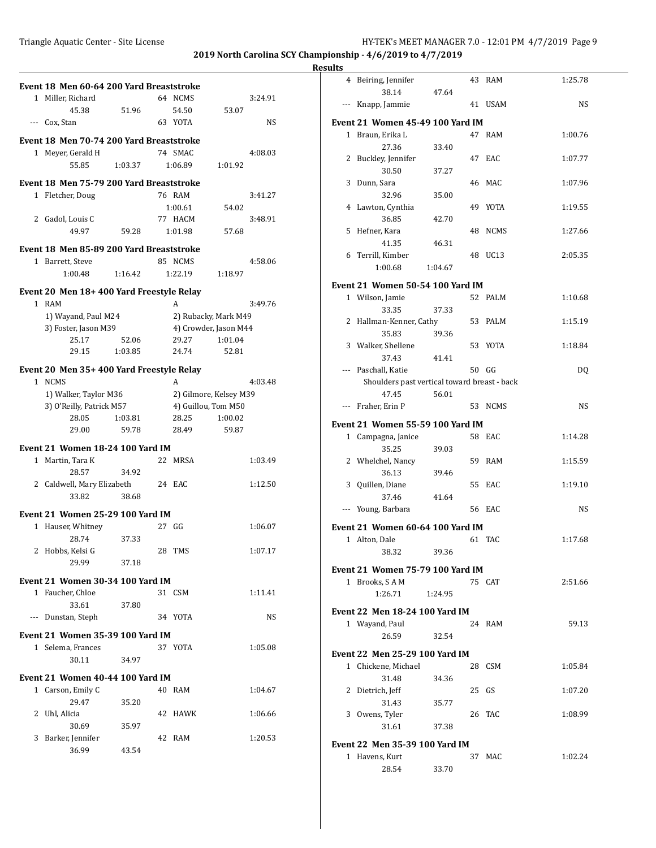| $\mathbf{1}$ | Event 18 Men 60-64 200 Yard Breaststroke<br>Miller, Richard |         |    | 64 NCMS                                       |         | 3:24.91 |
|--------------|-------------------------------------------------------------|---------|----|-----------------------------------------------|---------|---------|
|              | 45.38                                                       | 51.96   |    | 54.50                                         |         |         |
| $\cdots$     | Cox, Stan                                                   |         |    | 63 YOTA                                       | 53.07   | NS      |
|              |                                                             |         |    |                                               |         |         |
|              | Event 18 Men 70-74 200 Yard Breaststroke                    |         |    |                                               |         |         |
| $1\,$        | Meyer, Gerald H                                             |         |    | 74 SMAC                                       |         | 4:08.03 |
|              | 55.85                                                       | 1:03.37 |    | 1:06.89                                       | 1:01.92 |         |
|              | Event 18 Men 75-79 200 Yard Breaststroke                    |         |    |                                               |         |         |
|              | 1 Fletcher, Doug                                            |         |    | 76 RAM                                        |         | 3:41.27 |
|              |                                                             |         |    | 1:00.61                                       | 54.02   |         |
|              | 2 Gadol, Louis C                                            |         |    | 77 HACM                                       |         | 3:48.91 |
|              | 49.97                                                       | 59.28   |    | 1:01.98                                       | 57.68   |         |
|              |                                                             |         |    |                                               |         |         |
|              | Event 18 Men 85-89 200 Yard Breaststroke                    |         |    |                                               |         |         |
|              | 1 Barrett, Steve                                            |         |    | 85 NCMS                                       |         | 4:58.06 |
|              | 1:00.48                                                     | 1:16.42 |    | 1:22.19                                       | 1:18.97 |         |
|              | Event 20 Men 18+ 400 Yard Freestyle Relay                   |         |    |                                               |         |         |
|              | 1 RAM                                                       |         |    | A                                             |         | 3:49.76 |
|              | 1) Wayand, Paul M24                                         |         |    | 2) Rubacky, Mark M49                          |         |         |
|              | 3) Foster, Jason M39                                        |         |    | 4) Crowder, Jason M44                         |         |         |
|              | 25.17                                                       | 52.06   |    | 29.27                                         | 1:01.04 |         |
|              | 29.15                                                       | 1:03.85 |    | 24.74                                         | 52.81   |         |
|              |                                                             |         |    |                                               |         |         |
|              | Event 20 Men 35+400 Yard Freestyle Relay<br>1 NCMS          |         |    |                                               |         |         |
|              |                                                             |         |    | A                                             |         | 4:03.48 |
|              | 1) Walker, Taylor M36<br>3) O'Reilly, Patrick M57           |         |    | 2) Gilmore, Kelsey M39<br>4) Guillou, Tom M50 |         |         |
|              | 28.05                                                       | 1:03.81 |    | 28.25                                         | 1:00.02 |         |
|              | 29.00                                                       | 59.78   |    | 28.49                                         | 59.87   |         |
|              |                                                             |         |    |                                               |         |         |
|              | Event 21 Women 18-24 100 Yard IM                            |         |    |                                               |         |         |
|              | 1 Martin, Tara K                                            |         |    | 22 MRSA                                       |         | 1:03.49 |
|              | 28.57                                                       | 34.92   |    |                                               |         |         |
|              | 2 Caldwell, Mary Elizabeth                                  |         |    | 24 EAC                                        |         | 1:12.50 |
|              | 33.82                                                       | 38.68   |    |                                               |         |         |
|              | <b>Event 21 Women 25-29 100 Yard IM</b>                     |         |    |                                               |         |         |
|              | 1 Hauser, Whitney                                           |         |    | 27 GG                                         |         | 1:06.07 |
|              | 28.74                                                       | 37.33   |    |                                               |         |         |
|              | 2 Hobbs, Kelsi G                                            |         | 28 | <b>TMS</b>                                    |         | 1:07.17 |
|              | 29.99                                                       | 37.18   |    |                                               |         |         |
|              |                                                             |         |    |                                               |         |         |
|              | Event 21 Women 30-34 100 Yard IM                            |         |    |                                               |         |         |
|              | 1 Faucher, Chloe                                            |         |    | 31 CSM                                        |         | 1:11.41 |
|              | 33.61                                                       | 37.80   |    |                                               |         |         |
| ---          | Dunstan, Steph                                              |         |    | 34 YOTA                                       |         | NS      |
|              | <b>Event 21 Women 35-39 100 Yard IM</b>                     |         |    |                                               |         |         |
|              | 1 Selema, Frances                                           |         |    | 37 YOTA                                       |         | 1:05.08 |
|              | 30.11                                                       | 34.97   |    |                                               |         |         |
|              |                                                             |         |    |                                               |         |         |
|              | Event 21 Women 40-44 100 Yard IM<br>1 Carson, Emily C       |         |    | 40 RAM                                        |         |         |
|              | 29.47                                                       |         |    |                                               |         | 1:04.67 |
|              | 2 Uhl, Alicia                                               | 35.20   |    | 42 HAWK                                       |         | 1:06.66 |
|              | 30.69                                                       |         |    |                                               |         |         |
|              | 3 Barker, Jennifer                                          | 35.97   |    | 42 RAM                                        |         | 1:20.53 |
|              | 36.99                                                       | 43.54   |    |                                               |         |         |
|              |                                                             |         |    |                                               |         |         |

|       | 4 Beiring, Jennifer                          |         |       | 43 RAM  | 1:25.78 |
|-------|----------------------------------------------|---------|-------|---------|---------|
|       | 38.14                                        | 47.64   |       |         |         |
| $---$ | Knapp, Jammie                                |         |       | 41 USAM | NS      |
|       | Event 21 Women 45-49 100 Yard IM             |         |       |         |         |
|       | 1 Braun, Erika L                             |         |       | 47 RAM  | 1:00.76 |
|       | 27.36                                        | 33.40   |       |         |         |
| 2     | Buckley, Jennifer                            |         |       | 47 EAC  | 1:07.77 |
|       | 30.50                                        | 37.27   |       |         |         |
| 3     | Dunn, Sara                                   |         |       | 46 MAC  | 1:07.96 |
|       | 32.96                                        | 35.00   |       |         |         |
|       | 4 Lawton, Cynthia                            |         |       | 49 YOTA | 1:19.55 |
|       | 36.85                                        | 42.70   |       | 48 NCMS |         |
| 5     | Hefner, Kara<br>41.35                        | 46.31   |       |         | 1:27.66 |
| 6     | Terrill, Kimber                              |         |       | 48 UC13 | 2:05.35 |
|       | 1:00.68                                      | 1:04.67 |       |         |         |
|       |                                              |         |       |         |         |
|       | Event 21 Women 50-54 100 Yard IM             |         |       |         |         |
|       | 1 Wilson, Jamie                              |         |       | 52 PALM | 1:10.68 |
|       | 33.35                                        | 37.33   |       |         |         |
|       | 2 Hallman-Kenner, Cathy                      |         |       | 53 PALM | 1:15.19 |
|       | 35.83                                        | 39.36   |       |         |         |
|       | 3 Walker, Shellene                           |         |       | 53 YOTA | 1:18.84 |
|       | 37.43<br>--- Paschall, Katie                 | 41.41   | 50 GG |         | DQ      |
|       | Shoulders past vertical toward breast - back |         |       |         |         |
|       | 47.45                                        | 56.01   |       |         |         |
| $---$ | Fraher, Erin P                               |         |       | 53 NCMS | NS      |
|       | Event 21 Women 55-59 100 Yard IM             |         |       |         |         |
|       | 1 Campagna, Janice                           |         |       | 58 EAC  | 1:14.28 |
|       | 35.25                                        | 39.03   |       |         |         |
|       | 2 Whelchel, Nancy                            |         |       | 59 RAM  | 1:15.59 |
|       | 36.13                                        | 39.46   |       |         |         |
|       | 3 Quillen, Diane                             |         |       | 55 EAC  | 1:19.10 |
|       | 37.46                                        | 41.64   |       |         |         |
|       | --- Young, Barbara                           |         |       | 56 EAC  | NS      |
|       | Event 21 Women 60-64 100 Yard IM             |         |       |         |         |
|       | 1 Alton, Dale                                |         |       | 61 TAC  | 1:17.68 |
|       | 38.32                                        | 39.36   |       |         |         |
|       |                                              |         |       |         |         |
|       | Event 21 Women 75-79 100 Yard IM             |         |       |         |         |
| $1\,$ | Brooks, SAM                                  |         |       | 75 CAT  | 2:51.66 |
|       | 1:26.71                                      | 1:24.95 |       |         |         |
|       | Event 22  Men 18-24 100 Yard IM              |         |       |         |         |
|       | 1 Wayand, Paul                               |         |       | 24 RAM  | 59.13   |
|       | 26.59                                        | 32.54   |       |         |         |
|       | Event 22  Men 25-29 100 Yard IM              |         |       |         |         |
|       | 1 Chickene, Michael                          |         |       | 28 CSM  | 1:05.84 |
|       | 31.48                                        | 34.36   |       |         |         |
| 2     | Dietrich, Jeff                               |         | 25 GS |         | 1:07.20 |
|       | 31.43                                        | 35.77   |       |         |         |
| 3     | Owens, Tyler                                 |         |       | 26 TAC  | 1:08.99 |
|       | 31.61                                        | 37.38   |       |         |         |
|       |                                              |         |       |         |         |
|       | Event 22  Men 35-39 100 Yard IM              |         |       |         |         |
|       | 1 Havens, Kurt                               |         | 37    | MAC     | 1:02.24 |
|       | 28.54                                        | 33.70   |       |         |         |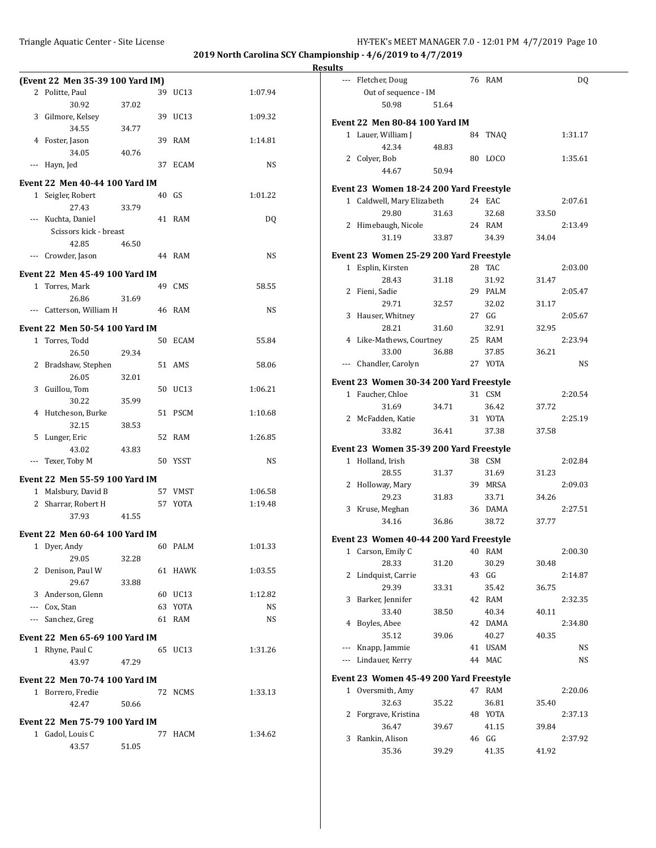|                | (Event 22 Men 35-39 100 Yard IM)      |       |       |             |         |
|----------------|---------------------------------------|-------|-------|-------------|---------|
| 2              | Politte, Paul                         |       |       | 39 UC13     | 1:07.94 |
|                | 30.92                                 | 37.02 |       |             |         |
| 3              | Gilmore, Kelsey                       |       |       | 39 UC13     | 1:09.32 |
|                | 34.55                                 | 34.77 |       |             |         |
|                | 4 Foster, Jason                       |       | 39    | RAM         | 1:14.81 |
|                | 34.05                                 | 40.76 |       |             |         |
| ---            | Hayn, Jed                             |       | 37    | ECAM        | NS      |
|                | <b>Event 22 Men 40-44 100 Yard IM</b> |       |       |             |         |
|                | 1 Seigler, Robert                     |       | 40 GS |             | 1:01.22 |
|                | 27.43                                 | 33.79 |       |             |         |
| $---$          | Kuchta, Daniel                        |       | 41    | RAM         | DQ      |
|                | Scissors kick - breast                |       |       |             |         |
|                | 42.85                                 | 46.50 |       |             |         |
| ---            | Crowder, Jason                        |       |       | 44 RAM      | NS      |
|                |                                       |       |       |             |         |
|                | <b>Event 22 Men 45-49 100 Yard IM</b> |       |       |             |         |
| 1              | Torres, Mark                          |       | 49    | CMS         | 58.55   |
|                | 26.86                                 | 31.69 |       |             |         |
| $\cdots$       | Catterson, William H                  |       | 46    | RAM         | NS      |
|                | <b>Event 22 Men 50-54 100 Yard IM</b> |       |       |             |         |
|                | 1 Torres, Todd                        |       | 50    | ECAM        | 55.84   |
|                | 26.50                                 | 29.34 |       |             |         |
|                | 2 Bradshaw, Stephen                   |       |       | 51 AMS      | 58.06   |
|                | 26.05                                 | 32.01 |       |             |         |
| 3              | Guillou, Tom                          |       | 50    | UC13        | 1:06.21 |
|                | 30.22                                 | 35.99 |       |             |         |
| 4              | Hutcheson, Burke                      |       | 51    | <b>PSCM</b> | 1:10.68 |
|                | 32.15                                 | 38.53 |       |             |         |
| 5              | Lunger, Eric                          |       | 52    | RAM         | 1:26.85 |
|                | 43.02                                 | 43.83 |       |             |         |
| ---            | Texer, Toby M                         |       |       | 50 YSST     | NS      |
|                |                                       |       |       |             |         |
|                | Event 22 Men 55-59 100 Yard IM        |       |       |             |         |
|                | 1 Malsbury, David B                   |       |       | 57 VMST     | 1:06.58 |
| $\overline{2}$ | Sharrar, Robert H                     |       | 57    | YOTA        | 1:19.48 |
|                | 37.93                                 | 41.55 |       |             |         |
|                | <b>Event 22 Men 60-64 100 Yard IM</b> |       |       |             |         |
|                | 1 Dyer, Andy                          |       |       | 60 PALM     | 1:01.33 |
|                | 29.05                                 | 32.28 |       |             |         |
| 2              | Denison, Paul W                       |       |       | 61 HAWK     | 1:03.55 |
|                | 29.67                                 | 33.88 |       |             |         |
|                | 3 Anderson, Glenn                     |       |       | 60 UC13     | 1:12.82 |
|                | --- Cox, Stan                         |       |       | 63 YOTA     | NS      |
|                | --- Sanchez, Greg                     |       |       | 61 RAM      | NS      |
|                |                                       |       |       |             |         |
|                | Event 22 Men 65-69 100 Yard IM        |       |       |             |         |
|                | 1 Rhyne, Paul C                       |       |       | 65 UC13     | 1:31.26 |
|                | 43.97                                 | 47.29 |       |             |         |
|                | <b>Event 22 Men 70-74 100 Yard IM</b> |       |       |             |         |
| 1              | Borrero, Fredie                       |       |       | 72 NCMS     | 1:33.13 |
|                | 42.47                                 | 50.66 |       |             |         |
|                |                                       |       |       |             |         |
|                | <b>Event 22 Men 75-79 100 Yard IM</b> |       |       |             |         |
|                | 1 Gadol, Louis C                      |       |       | 77 HACM     | 1:34.62 |
|                | 43.57                                 | 51.05 |       |             |         |

|              | --- Fletcher, Doug                                          |       |    | 76 RAM           |       | <b>DQ</b> |
|--------------|-------------------------------------------------------------|-------|----|------------------|-------|-----------|
|              | Out of sequence - IM                                        |       |    |                  |       |           |
|              | 50.98                                                       | 51.64 |    |                  |       |           |
|              | Event 22  Men 80-84 100 Yard IM                             |       |    |                  |       |           |
|              | 1 Lauer, William J                                          |       | 84 | <b>TNAO</b>      |       | 1:31.17   |
|              | 42.34                                                       | 48.83 |    |                  |       |           |
| 2            | Colyer, Bob                                                 |       | 80 | LOCO             |       | 1:35.61   |
|              | 44.67                                                       | 50.94 |    |                  |       |           |
|              | Event 23 Women 18-24 200 Yard Freestyle                     |       |    |                  |       |           |
|              | 1 Caldwell, Mary Elizabeth                                  |       |    | 24 EAC           |       | 2:07.61   |
|              | 29.80                                                       | 31.63 |    | 32.68            | 33.50 |           |
|              | 2 Himebaugh, Nicole                                         |       |    | 24 RAM           |       | 2:13.49   |
|              | 31.19                                                       | 33.87 |    | 34.39            | 34.04 |           |
|              | Event 23 Women 25-29 200 Yard Freestyle                     |       |    |                  |       |           |
| 1            | Esplin, Kirsten                                             |       |    | 28 TAC           |       | 2:03.00   |
|              | 28.43                                                       | 31.18 |    | 31.92            | 31.47 |           |
|              | 2 Fieni, Sadie                                              |       |    | 29 PALM          |       | 2:05.47   |
|              | 29.71                                                       | 32.57 |    | 32.02            | 31.17 |           |
| 3            | Hauser, Whitney                                             |       |    | 27 GG            |       | 2:05.67   |
|              | 28.21                                                       | 31.60 |    | 32.91            | 32.95 |           |
|              | 4 Like-Mathews, Courtney                                    |       |    | 25 RAM           |       | 2:23.94   |
|              | 33.00                                                       | 36.88 |    | 37.85            | 36.21 |           |
|              | --- Chandler, Carolyn                                       |       |    | 27 YOTA          |       | NS        |
|              |                                                             |       |    |                  |       |           |
|              | Event 23 Women 30-34 200 Yard Freestyle<br>1 Faucher, Chloe |       |    | 31 CSM           |       | 2:20.54   |
|              | 31.69                                                       |       |    |                  |       |           |
|              | 2 McFadden, Katie                                           | 34.71 |    | 36.42<br>31 YOTA | 37.72 | 2:25.19   |
|              | 33.82                                                       | 36.41 |    | 37.38            | 37.58 |           |
|              |                                                             |       |    |                  |       |           |
|              | Event 23 Women 35-39 200 Yard Freestyle                     |       |    |                  |       |           |
| $\mathbf{1}$ | Holland, Irish                                              |       |    | 38 CSM           |       | 2:02.84   |
|              | 28.55                                                       | 31.37 |    | 31.69            | 31.23 |           |
| 2            | Holloway, Mary                                              |       |    | 39 MRSA          |       | 2:09.03   |
|              | 29.23                                                       | 31.83 |    | 33.71            | 34.26 |           |
| 3            | Kruse, Meghan                                               |       |    | 36 DAMA          |       | 2:27.51   |
|              | 34.16                                                       | 36.86 |    | 38.72            | 37.77 |           |
|              | Event 23 Women 40-44 200 Yard Freestyle                     |       |    |                  |       |           |
|              | 1 Carson, Emily C                                           |       |    | 40 RAM           |       | 2:00.30   |
|              | 28.33                                                       | 31.20 |    | 30.29            | 30.48 |           |
| 2            | Lindquist, Carrie                                           |       | 43 | GG               |       | 2:14.87   |
|              | 29.39                                                       | 33.31 |    | 35.42            | 36.75 |           |
| 3            | Barker, Jennifer                                            |       |    | 42 RAM           |       | 2:32.35   |
|              | 33.40                                                       | 38.50 |    | 40.34            | 40.11 |           |
| 4            | Boyles, Abee                                                |       | 42 | <b>DAMA</b>      |       | 2:34.80   |
|              | 35.12                                                       | 39.06 |    | 40.27            | 40.35 |           |
| ---          | Knapp, Jammie                                               |       | 41 | <b>USAM</b>      |       | NS        |
| ---          | Lindauer, Kerry                                             |       | 44 | MAC              |       | NS        |
|              | Event 23 Women 45-49 200 Yard Freestyle                     |       |    |                  |       |           |
| $\mathbf{1}$ | Oversmith, Amy                                              |       |    | 47 RAM           |       | 2:20.06   |
|              | 32.63                                                       | 35.22 |    | 36.81            | 35.40 |           |
| 2            | Forgrave, Kristina                                          |       |    | 48 YOTA          |       | 2:37.13   |
|              | 36.47                                                       | 39.67 |    | 41.15            | 39.84 |           |
| 3            | Rankin, Alison                                              |       |    | 46 GG            |       | 2:37.92   |
|              | 35.36                                                       | 39.29 |    | 41.35            | 41.92 |           |
|              |                                                             |       |    |                  |       |           |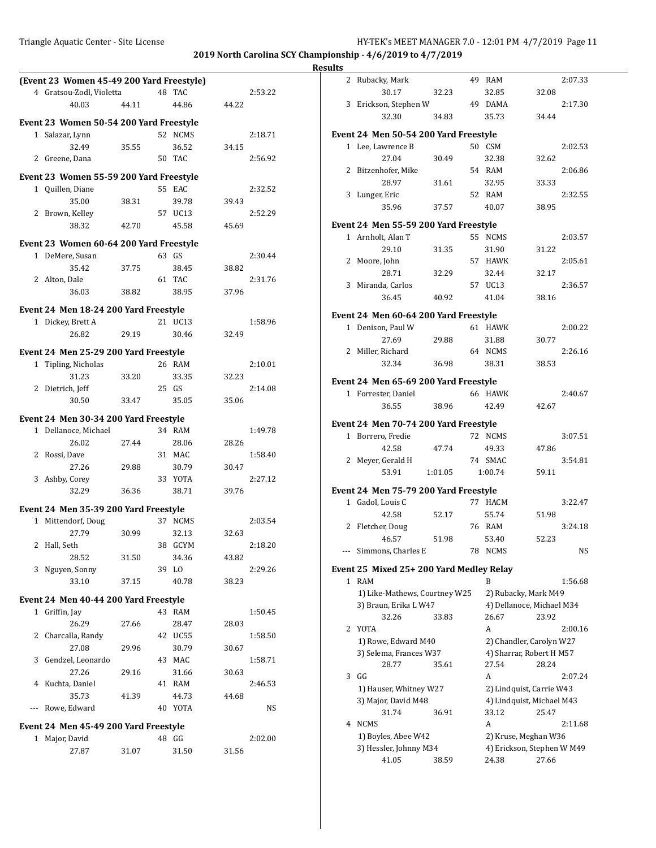|                                           |       |                  |       |         | <b>Results</b> |                                         |         |         |                            |           |
|-------------------------------------------|-------|------------------|-------|---------|----------------|-----------------------------------------|---------|---------|----------------------------|-----------|
| (Event 23 Women 45-49 200 Yard Freestyle) |       |                  |       |         |                | 2 Rubacky, Mark                         |         | 49 RAM  |                            | 2:07.33   |
| 4 Gratsou-Zodl, Violetta                  |       | 48 TAC           |       | 2:53.22 |                | 30.17                                   | 32.23   | 32.85   | 32.08                      |           |
| 40.03                                     | 44.11 | 44.86            | 44.22 |         |                | 3 Erickson, Stephen W                   |         | 49 DAMA |                            | 2:17.30   |
| Event 23 Women 50-54 200 Yard Freestyle   |       |                  |       |         |                | 32.30                                   | 34.83   | 35.73   | 34.44                      |           |
| 1 Salazar, Lynn                           |       |                  |       |         |                | Event 24 Men 50-54 200 Yard Freestyle   |         |         |                            |           |
| 32.49                                     | 35.55 | 52 NCMS<br>36.52 | 34.15 | 2:18.71 |                | 1 Lee, Lawrence B                       |         | 50 CSM  |                            | 2:02.53   |
|                                           |       | 50 TAC           |       | 2:56.92 |                | 27.04                                   | 30.49   | 32.38   | 32.62                      |           |
| 2 Greene, Dana                            |       |                  |       |         |                | 2 Bitzenhofer, Mike                     |         | 54 RAM  |                            | 2:06.86   |
| Event 23 Women 55-59 200 Yard Freestyle   |       |                  |       |         |                | 28.97                                   |         | 32.95   | 33.33                      |           |
| 1 Quillen, Diane                          |       | 55 EAC           |       | 2:32.52 |                | 3 Lunger, Eric                          | 31.61   | 52 RAM  |                            | 2:32.55   |
| 35.00                                     | 38.31 | 39.78            | 39.43 |         |                | 35.96                                   | 37.57   | 40.07   | 38.95                      |           |
| 2 Brown, Kelley                           |       | 57 UC13          |       | 2:52.29 |                |                                         |         |         |                            |           |
| 38.32                                     | 42.70 | 45.58            | 45.69 |         |                | Event 24 Men 55-59 200 Yard Freestyle   |         |         |                            |           |
| Event 23 Women 60-64 200 Yard Freestyle   |       |                  |       |         |                | 1 Arnholt, Alan T                       |         | 55 NCMS |                            | 2:03.57   |
| 1 DeMere, Susan                           |       | 63 GS            |       | 2:30.44 |                | 29.10                                   | 31.35   | 31.90   | 31.22                      |           |
| 35.42                                     | 37.75 | 38.45            | 38.82 |         |                | 2 Moore, John                           |         | 57 HAWK |                            | 2:05.61   |
| 2 Alton, Dale                             |       | 61 TAC           |       | 2:31.76 |                | 28.71                                   | 32.29   | 32.44   | 32.17                      |           |
| 36.03                                     | 38.82 | 38.95            | 37.96 |         |                | 3 Miranda, Carlos                       |         | 57 UC13 |                            | 2:36.57   |
|                                           |       |                  |       |         |                | 36.45                                   | 40.92   | 41.04   | 38.16                      |           |
| Event 24 Men 18-24 200 Yard Freestyle     |       |                  |       |         |                | Event 24 Men 60-64 200 Yard Freestyle   |         |         |                            |           |
| 1 Dickey, Brett A                         |       | 21 UC13          |       | 1:58.96 |                | 1 Denison, Paul W                       |         | 61 HAWK |                            | 2:00.22   |
| 26.82                                     | 29.19 | 30.46            | 32.49 |         |                | 27.69                                   | 29.88   | 31.88   | 30.77                      |           |
| Event 24 Men 25-29 200 Yard Freestyle     |       |                  |       |         |                | 2 Miller, Richard                       |         | 64 NCMS |                            | 2:26.16   |
| 1 Tipling, Nicholas                       |       | 26 RAM           |       | 2:10.01 |                | 32.34                                   | 36.98   | 38.31   | 38.53                      |           |
| 31.23                                     | 33.20 | 33.35            | 32.23 |         |                |                                         |         |         |                            |           |
| 2 Dietrich, Jeff                          |       | 25 GS            |       | 2:14.08 |                | Event 24 Men 65-69 200 Yard Freestyle   |         |         |                            |           |
| 30.50                                     | 33.47 | 35.05            | 35.06 |         |                | 1 Forrester, Daniel                     |         | 66 HAWK |                            | 2:40.67   |
|                                           |       |                  |       |         |                | 36.55                                   | 38.96   | 42.49   | 42.67                      |           |
| Event 24 Men 30-34 200 Yard Freestyle     |       |                  |       |         |                | Event 24 Men 70-74 200 Yard Freestyle   |         |         |                            |           |
| 1 Dellanoce, Michael                      |       | 34 RAM           |       | 1:49.78 |                | 1 Borrero, Fredie                       |         | 72 NCMS |                            | 3:07.51   |
| 26.02                                     | 27.44 | 28.06            | 28.26 |         |                | 42.58                                   | 47.74   | 49.33   | 47.86                      |           |
| 2 Rossi, Dave                             |       | 31 MAC           |       | 1:58.40 |                | 2 Meyer, Gerald H                       |         | 74 SMAC |                            | 3:54.81   |
| 27.26                                     | 29.88 | 30.79            | 30.47 |         |                | 53.91                                   | 1:01.05 | 1:00.74 | 59.11                      |           |
| 3 Ashby, Corey                            |       | 33 YOTA          |       | 2:27.12 |                |                                         |         |         |                            |           |
| 32.29                                     | 36.36 | 38.71            | 39.76 |         |                | Event 24 Men 75-79 200 Yard Freestyle   |         |         |                            |           |
| Event 24 Men 35-39 200 Yard Freestyle     |       |                  |       |         |                | 1 Gadol, Louis C                        |         | 77 HACM |                            | 3:22.47   |
| 1 Mittendorf, Doug                        |       | 37 NCMS          |       | 2:03.54 |                | 42.58                                   | 52.17   | 55.74   | 51.98                      |           |
| 27.79                                     | 30.99 | 32.13            | 32.63 |         |                | 2 Fletcher, Doug                        |         | 76 RAM  |                            | 3:24.18   |
| 2 Hall, Seth                              |       | 38 GCYM          |       | 2:18.20 |                | 46.57                                   | 51.98   | 53.40   | 52.23                      |           |
| 28.52                                     | 31.50 | 34.36            | 43.82 |         |                | --- Simmons, Charles E                  |         | 78 NCMS |                            | <b>NS</b> |
| 3 Nguyen, Sonny                           |       | 39 LO            |       | 2:29.26 |                | Event 25 Mixed 25+200 Yard Medley Relay |         |         |                            |           |
| 33.10                                     | 37.15 | 40.78            | 38.23 |         |                | 1 RAM                                   |         | B       |                            | 1:56.68   |
|                                           |       |                  |       |         |                | 1) Like-Mathews, Courtney W25           |         |         | 2) Rubacky, Mark M49       |           |
| Event 24 Men 40-44 200 Yard Freestyle     |       |                  |       |         |                | 3) Braun, Erika L W47                   |         |         | 4) Dellanoce, Michael M34  |           |
| 1 Griffin, Jay                            |       | 43 RAM           |       | 1:50.45 |                | 32.26                                   | 33.83   | 26.67   | 23.92                      |           |
| 26.29                                     | 27.66 | 28.47            | 28.03 |         |                | 2 YOTA                                  |         | A       |                            | 2:00.16   |
| 2 Charcalla, Randy                        |       | 42 UC55          |       | 1:58.50 |                | 1) Rowe, Edward M40                     |         |         | 2) Chandler, Carolyn W27   |           |
| 27.08                                     | 29.96 | 30.79            | 30.67 |         |                | 3) Selema, Frances W37                  |         |         | 4) Sharrar, Robert H M57   |           |
| 3 Gendzel, Leonardo                       |       | 43 MAC           |       | 1:58.71 |                | 28.77                                   | 35.61   | 27.54   | 28.24                      |           |
| 27.26                                     | 29.16 | 31.66            | 30.63 |         |                | $3$ GG                                  |         | A       |                            | 2:07.24   |
| 4 Kuchta, Daniel                          |       | 41 RAM           |       | 2:46.53 |                | 1) Hauser, Whitney W27                  |         |         | 2) Lindquist, Carrie W43   |           |
| 35.73                                     | 41.39 | 44.73            | 44.68 |         |                | 3) Major, David M48                     |         |         | 4) Lindquist, Michael M43  |           |
| --- Rowe, Edward                          |       | 40 YOTA          |       | NS      |                | 31.74                                   | 36.91   | 33.12   | 25.47                      |           |
| Event 24 Men 45-49 200 Yard Freestyle     |       |                  |       |         |                | 4 NCMS                                  |         | A       |                            | 2:11.68   |
| 1 Major, David                            |       | 48 GG            |       | 2:02.00 |                | 1) Boyles, Abee W42                     |         |         | 2) Kruse, Meghan W36       |           |
| 27.87                                     | 31.07 | 31.50            | 31.56 |         |                | 3) Hessler, Johnny M34                  |         |         | 4) Erickson, Stephen W M49 |           |
|                                           |       |                  |       |         |                | 41.05                                   | 38.59   | 24.38   | 27.66                      |           |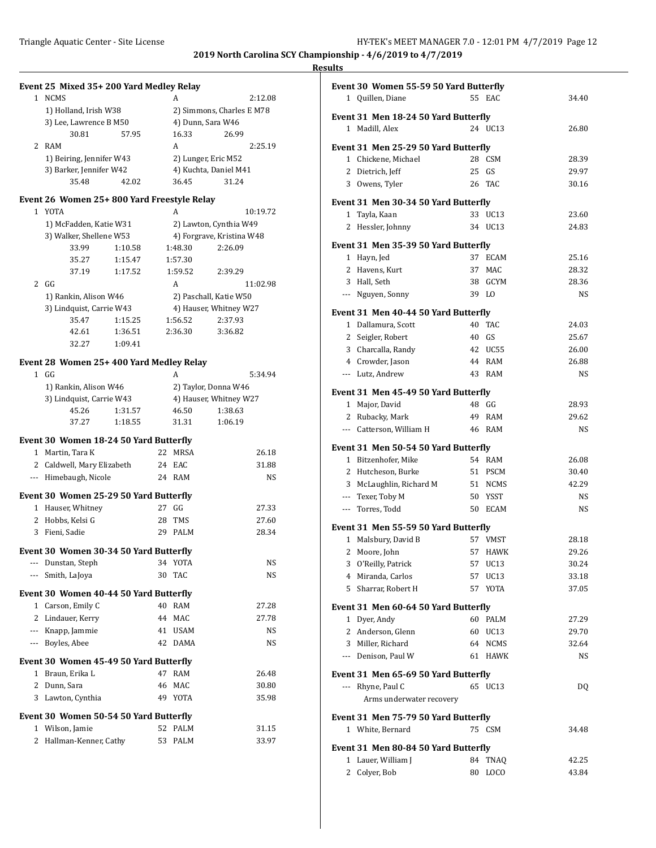#### **Results**

### **Event 25 Mixed 35+ 200 Yard Medley Relay**

| <b>NCMS</b>              |       | А                     | 2:12.08                   |  |  |
|--------------------------|-------|-----------------------|---------------------------|--|--|
| 1) Holland, Irish W38    |       |                       | 2) Simmons, Charles E M78 |  |  |
| 3) Lee, Lawrence B M50   |       |                       | 4) Dunn, Sara W46         |  |  |
| 30.81                    | 57.95 | 16.33                 | 26.99                     |  |  |
| RAM                      |       | А                     | 2:25.19                   |  |  |
| 1) Beiring, Jennifer W43 |       | 2) Lunger, Eric M52   |                           |  |  |
| 3) Barker, Jennifer W42  |       | 4) Kuchta, Daniel M41 |                           |  |  |
| 35.48                    | 42.02 | 36.45                 | 31 24                     |  |  |

### **Event 26 Women 25+ 800 Yard Freestyle Relay**

|   | <b>YOTA</b>              |         | А                      | 10:19.72                  |  |  |  |
|---|--------------------------|---------|------------------------|---------------------------|--|--|--|
|   | 1) McFadden, Katie W31   |         | 2) Lawton, Cynthia W49 |                           |  |  |  |
|   | 3) Walker, Shellene W53  |         |                        | 4) Forgrave, Kristina W48 |  |  |  |
|   | 33.99                    | 1:10.58 | 1:48.30                | 2:26.09                   |  |  |  |
|   | 35.27                    | 1:15.47 | 1:57.30                |                           |  |  |  |
|   | 37.19                    | 1:17.52 | 1:59.52                | 2:39.29                   |  |  |  |
| 2 | GG                       |         | A                      | 11:02.98                  |  |  |  |
|   | 1) Rankin, Alison W46    |         | 2) Paschall, Katie W50 |                           |  |  |  |
|   | 3) Lindquist, Carrie W43 |         |                        | 4) Hauser, Whitney W27    |  |  |  |
|   |                          |         |                        |                           |  |  |  |
|   | 35.47                    | 1:15.25 | 1:56.52                | 2:37.93                   |  |  |  |
|   | 42.61                    | 1:36.51 | 2:36.30                | 3:36.82                   |  |  |  |

### **Event 28 Women 25+ 400 Yard Medley Relay**

| $\mathbf{1}$ | GG                                     | A       |    | 5:34.94                |         |           |
|--------------|----------------------------------------|---------|----|------------------------|---------|-----------|
|              | 1) Rankin, Alison W46                  |         |    | 2) Taylor, Donna W46   |         |           |
|              | 3) Lindquist, Carrie W43               |         |    | 4) Hauser, Whitney W27 |         |           |
|              | 45.26                                  | 1:31.57 |    | 46.50                  | 1:38.63 |           |
|              | 37.27                                  | 1:18.55 |    | 31.31                  | 1:06.19 |           |
|              | Event 30 Women 18-24 50 Yard Butterfly |         |    |                        |         |           |
| $\mathbf{1}$ | Martin, Tara K                         |         | 22 | <b>MRSA</b>            |         | 26.18     |
|              | 2 Caldwell, Mary Elizabeth             |         | 24 | EAC                    |         | 31.88     |
|              | --- Himebaugh, Nicole                  |         |    | 24 RAM                 |         | <b>NS</b> |
|              | Event 30 Women 25-29 50 Yard Butterfly |         |    |                        |         |           |
| $\mathbf{1}$ | Hauser, Whitney                        |         |    | 27 GG                  |         | 27.33     |
| 2            | Hobbs, Kelsi G                         |         | 28 | <b>TMS</b>             |         | 27.60     |
| 3            | Fieni, Sadie                           |         |    | 29 PALM                |         | 28.34     |
|              | Event 30 Women 30-34 50 Yard Butterfly |         |    |                        |         |           |
|              | --- Dunstan, Steph                     |         |    | 34 YOTA                |         | <b>NS</b> |
| ---          | Smith, LaJoya                          |         | 30 | <b>TAC</b>             |         | <b>NS</b> |
|              | Event 30 Women 40-44 50 Yard Butterfly |         |    |                        |         |           |
| $1\,$        | Carson, Emily C                        |         | 40 | <b>RAM</b>             |         | 27.28     |
| 2            | Lindauer, Kerry                        |         | 44 | MAC                    |         | 27.78     |
|              | --- Knapp, Jammie                      |         | 41 | <b>USAM</b>            |         | <b>NS</b> |
| $---$        | Boyles, Abee                           |         | 42 | <b>DAMA</b>            |         | <b>NS</b> |
|              | Event 30 Women 45-49 50 Yard Butterfly |         |    |                        |         |           |
| $\mathbf{1}$ | Braun, Erika L                         |         | 47 | <b>RAM</b>             |         | 26.48     |
|              | 2 Dunn, Sara                           |         |    | 46 MAC                 |         | 30.80     |
| 3            | Lawton, Cynthia                        |         |    | 49 YOTA                |         | 35.98     |
|              | Event 30 Women 50-54 50 Yard Butterfly |         |    |                        |         |           |
|              | 1 Wilson, Jamie                        |         | 52 | PALM                   |         | 31.15     |
| 2            | Hallman-Kenner, Cathy                  |         |    | 53 PALM                |         | 33.97     |
|              |                                        |         |    |                        |         |           |

| Event 30 Women 55-59 50 Yard Butterfly |                                                     |    |                  |             |  |  |  |
|----------------------------------------|-----------------------------------------------------|----|------------------|-------------|--|--|--|
|                                        | 1 Quillen, Diane                                    |    | 55 EAC           | 34.40       |  |  |  |
|                                        |                                                     |    |                  |             |  |  |  |
|                                        | Event 31 Men 18-24 50 Yard Butterfly                |    |                  |             |  |  |  |
|                                        | 1 Madill, Alex                                      |    | 24 UC13          | 26.80       |  |  |  |
|                                        | Event 31 Men 25-29 50 Yard Butterfly                |    |                  |             |  |  |  |
|                                        | 1 Chickene, Michael                                 |    | 28 CSM           | 28.39       |  |  |  |
|                                        | 2 Dietrich, Jeff                                    |    | 25 GS            | 29.97       |  |  |  |
|                                        | 3 Owens, Tyler                                      |    | 26 TAC           | 30.16       |  |  |  |
|                                        |                                                     |    |                  |             |  |  |  |
| $\mathbf{1}$                           | Event 31 Men 30-34 50 Yard Butterfly<br>Tayla, Kaan | 33 | UC13             | 23.60       |  |  |  |
|                                        | 2 Hessler, Johnny                                   |    | 34 UC13          | 24.83       |  |  |  |
|                                        |                                                     |    |                  |             |  |  |  |
|                                        | Event 31 Men 35-39 50 Yard Butterfly                |    |                  |             |  |  |  |
|                                        | 1 Hayn, Jed                                         |    | 37 ECAM          | 25.16       |  |  |  |
|                                        | 2 Havens, Kurt                                      | 37 | <b>MAC</b>       | 28.32       |  |  |  |
|                                        | 3 Hall, Seth                                        |    | 38 GCYM          | 28.36       |  |  |  |
|                                        | --- Nguyen, Sonny                                   |    | 39 LO            | NS          |  |  |  |
|                                        | Event 31 Men 40-44 50 Yard Butterfly                |    |                  |             |  |  |  |
|                                        | 1 Dallamura, Scott                                  | 40 | TAC              | 24.03       |  |  |  |
|                                        | 2 Seigler, Robert                                   |    | 40 GS            | 25.67       |  |  |  |
|                                        | 3 Charcalla, Randy                                  |    | 42 UC55          | 26.00       |  |  |  |
|                                        | 4 Crowder, Jason                                    |    | 44 RAM           | 26.88       |  |  |  |
|                                        | --- Lutz, Andrew                                    |    | 43 RAM           | NS          |  |  |  |
|                                        |                                                     |    |                  |             |  |  |  |
|                                        | Event 31 Men 45-49 50 Yard Butterfly                |    |                  |             |  |  |  |
|                                        | 1 Major, David                                      |    | 48 GG<br>49 RAM  | 28.93       |  |  |  |
|                                        | 2 Rubacky, Mark                                     |    | 46 RAM           | 29.62<br>NS |  |  |  |
|                                        | --- Catterson, William H                            |    |                  |             |  |  |  |
|                                        | Event 31 Men 50-54 50 Yard Butterfly                |    |                  |             |  |  |  |
|                                        | 1 Bitzenhofer, Mike                                 |    | 54 RAM           | 26.08       |  |  |  |
|                                        | 2 Hutcheson, Burke                                  |    | 51 PSCM          | 30.40       |  |  |  |
|                                        | 3 McLaughlin, Richard M                             |    | 51 NCMS          | 42.29       |  |  |  |
|                                        | --- Texer, Toby M                                   |    | 50 YSST          | NS          |  |  |  |
|                                        | --- Torres, Todd                                    |    | 50 ECAM          | NS          |  |  |  |
|                                        | Event 31 Men 55-59 50 Yard Butterfly                |    |                  |             |  |  |  |
|                                        | 1 Malsbury, David B                                 |    | 57 VMST          | 28.18       |  |  |  |
| $\mathbf{2}^{\prime}$                  | Moore, John                                         |    | 57 HAWK          | 29.26       |  |  |  |
|                                        | 3 O'Reilly, Patrick                                 | 57 | UC <sub>13</sub> | 30.24       |  |  |  |
|                                        | 4 Miranda, Carlos                                   | 57 | UC13             | 33.18       |  |  |  |
|                                        | 5 Sharrar, Robert H                                 | 57 | YOTA             | 37.05       |  |  |  |
|                                        |                                                     |    |                  |             |  |  |  |
|                                        | Event 31 Men 60-64 50 Yard Butterfly                |    |                  |             |  |  |  |
|                                        | 1 Dyer, Andy                                        | 60 | PALM             | 27.29       |  |  |  |
|                                        | 2 Anderson, Glenn                                   | 60 | UC13             | 29.70       |  |  |  |
|                                        | 3 Miller, Richard                                   |    | 64 NCMS          | 32.64       |  |  |  |
|                                        | --- Denison, Paul W                                 | 61 | <b>HAWK</b>      | NS          |  |  |  |
|                                        | Event 31 Men 65-69 50 Yard Butterfly                |    |                  |             |  |  |  |
|                                        | --- Rhyne, Paul C                                   |    | 65 UC13          | DO.         |  |  |  |
|                                        | Arms underwater recovery                            |    |                  |             |  |  |  |
|                                        | Event 31 Men 75-79 50 Yard Butterfly                |    |                  |             |  |  |  |
|                                        | 1 White, Bernard                                    |    | 75 CSM           | 34.48       |  |  |  |
|                                        |                                                     |    |                  |             |  |  |  |
|                                        | Event 31 Men 80-84 50 Yard Butterfly                |    |                  |             |  |  |  |
| 1                                      | Lauer, William J                                    | 84 | TNAQ             | 42.25       |  |  |  |
| 2                                      | Colyer, Bob                                         | 80 | LOCO             | 43.84       |  |  |  |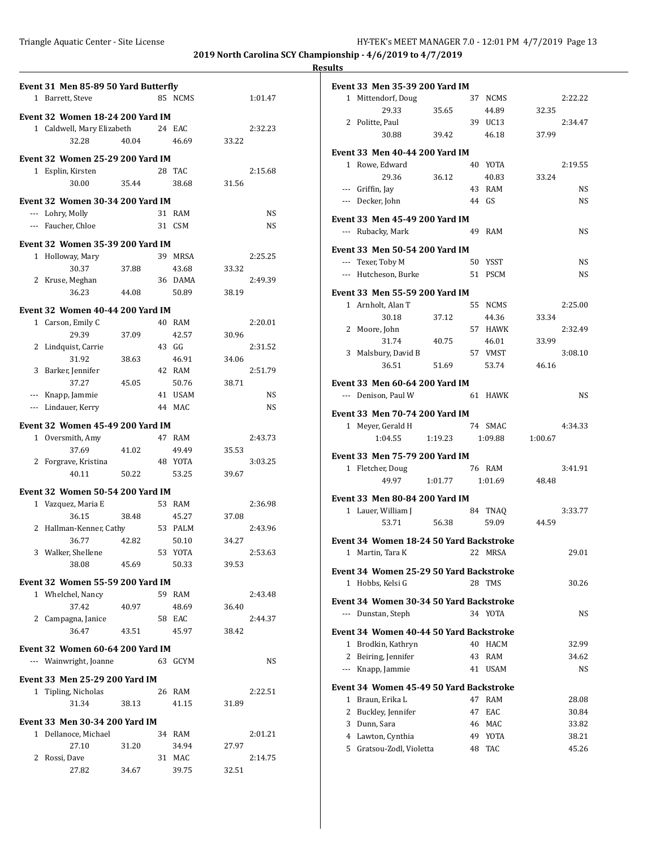| Event 31 Men 85-89 50 Yard Butterfly                        |       |                  |       |           | <b>Event 33 Men 35-39</b> |
|-------------------------------------------------------------|-------|------------------|-------|-----------|---------------------------|
| 1 Barrett, Steve                                            |       | 85 NCMS          |       | 1:01.47   | 1 Mittendorf, Dou         |
| Event 32 Women 18-24 200 Yard IM                            |       |                  |       |           | 29.33                     |
| 1 Caldwell, Mary Elizabeth                                  |       | 24 EAC           |       | 2:32.23   | 2 Politte, Paul<br>30.88  |
| 32.28                                                       | 40.04 | 46.69            | 33.22 |           |                           |
| <b>Event 32 Women 25-29 200 Yard IM</b>                     |       |                  |       |           | Event 33 Men 40-4         |
| 1 Esplin, Kirsten                                           |       | 28 TAC           |       | 2:15.68   | 1 Rowe, Edward            |
| 30.00                                                       | 35.44 | 38.68            | 31.56 |           | 29.36                     |
|                                                             |       |                  |       |           | --- Griffin, Jay          |
| <b>Event 32 Women 30-34 200 Yard IM</b><br>--- Lohry, Molly |       |                  |       | <b>NS</b> | --- Decker, John          |
| --- Faucher, Chloe                                          |       | 31 RAM<br>31 CSM |       | <b>NS</b> | <b>Event 33 Men 45-49</b> |
|                                                             |       |                  |       |           | --- Rubacky, Mark         |
| Event 32 Women 35-39 200 Yard IM                            |       |                  |       |           | <b>Event 33 Men 50-54</b> |
| 1 Holloway, Mary                                            |       | 39 MRSA          |       | 2:25.25   | --- Texer, Toby M         |
| 30.37                                                       | 37.88 | 43.68            | 33.32 |           | --- Hutcheson, Burl       |
| 2 Kruse, Meghan                                             |       | 36 DAMA          |       | 2:49.39   |                           |
| 36.23                                                       | 44.08 | 50.89            | 38.19 |           | <b>Event 33 Men 55-59</b> |
| <b>Event 32 Women 40-44 200 Yard IM</b>                     |       |                  |       |           | 1 Arnholt, Alan T         |
| 1 Carson, Emily C                                           |       | 40 RAM           |       | 2:20.01   | 30.18                     |
| 29.39                                                       | 37.09 | 42.57            | 30.96 |           | 2 Moore, John<br>31.74    |
| 2 Lindquist, Carrie                                         |       | 43 GG            |       | 2:31.52   | 3 Malsbury, David         |
| 31.92                                                       | 38.63 | 46.91            | 34.06 |           | 36.51                     |
| 3 Barker, Jennifer                                          |       | 42 RAM           |       | 2:51.79   |                           |
| 37.27                                                       | 45.05 | 50.76            | 38.71 |           | <b>Event 33 Men 60-64</b> |
| --- Knapp, Jammie                                           |       | 41 USAM          |       | <b>NS</b> | --- Denison, Paul W       |
| --- Lindauer, Kerry                                         |       | 44 MAC           |       | NS        | Event 33 Men 70-74        |
| Event 32 Women 45-49 200 Yard IM                            |       |                  |       |           | 1 Meyer, Gerald H         |
| 1 Oversmith, Amy                                            |       | 47 RAM           |       | 2:43.73   | 1:04.55                   |
| 37.69                                                       | 41.02 | 49.49            | 35.53 |           | <b>Event 33 Men 75-7</b>  |
| 2 Forgrave, Kristina                                        |       | 48 YOTA          |       | 3:03.25   | 1 Fletcher, Doug          |
| 40.11                                                       | 50.22 | 53.25            | 39.67 |           | 49.97                     |
| <b>Event 32 Women 50-54 200 Yard IM</b>                     |       |                  |       |           |                           |
| 1 Vazquez, Maria E                                          |       | 53 RAM           |       | 2:36.98   | Event 33 Men 80-8         |
| 36.15                                                       | 38.48 | 45.27            | 37.08 |           | 1 Lauer, William J        |
| 2 Hallman-Kenner, Cathy                                     |       | 53 PALM          |       | 2:43.96   | 53.71                     |
| 36.77                                                       | 42.82 | 50.10            | 34.27 |           | Event 34 Women 1          |
| 3 Walker, Shellene                                          |       | 53 YOTA          |       | 2:53.63   | 1 Martin, Tara K          |
| 38.08                                                       | 45.69 | 50.33            | 39.53 |           | Event 34 Women 2.         |
| Event 32 Women 55-59 200 Yard IM                            |       |                  |       |           | 1 Hobbs, Kelsi G          |
| 1 Whelchel, Nancy                                           |       | 59 RAM           |       | 2:43.48   |                           |
| 37.42                                                       | 40.97 | 48.69            | 36.40 |           | Event 34 Women 3          |
| 2 Campagna, Janice                                          |       | 58 EAC           |       | 2:44.37   | --- Dunstan, Steph        |
| 36.47                                                       | 43.51 | 45.97            | 38.42 |           | Event 34 Women 4          |
| <b>Event 32 Women 60-64 200 Yard IM</b>                     |       |                  |       |           | 1 Brodkin, Kathry         |
| --- Wainwright, Joanne                                      |       | 63 GCYM          |       | NS        | 2 Beiring, Jennifer       |
|                                                             |       |                  |       |           | --- Knapp, Jammie         |
| Event 33 Men 25-29 200 Yard IM                              |       |                  |       |           | Event 34 Women 4.         |
| 1 Tipling, Nicholas                                         |       | 26 RAM           |       | 2:22.51   | 1 Braun, Erika L          |
| 31.34                                                       | 38.13 | 41.15            | 31.89 |           | 2 Buckley, Jennife        |
| Event 33 Men 30-34 200 Yard IM                              |       |                  |       |           | 3 Dunn, Sara              |
| 1 Dellanoce, Michael                                        |       | 34 RAM           |       | 2:01.21   | 4 Lawton, Cynthia         |
| 27.10                                                       | 31.20 | 34.94            | 27.97 |           | 5 Gratsou-Zodl, Vi        |
| 2 Rossi, Dave                                               |       | 31 MAC           |       | 2:14.75   |                           |
| 27.82                                                       | 34.67 | 39.75            | 32.51 |           |                           |

|              | Event 33 Men 35-39 200 Yard IM           |         |    |             |         |         |  |
|--------------|------------------------------------------|---------|----|-------------|---------|---------|--|
|              | 1 Mittendorf, Doug                       |         |    | 37 NCMS     |         | 2:22.22 |  |
|              | 29.33                                    | 35.65   |    | 44.89       | 32.35   |         |  |
|              | 2 Politte, Paul                          |         |    | 39 UC13     |         | 2:34.47 |  |
|              | 30.88                                    | 39.42   |    | 46.18       | 37.99   |         |  |
|              |                                          |         |    |             |         |         |  |
|              | Event 33 Men 40-44 200 Yard IM           |         |    |             |         |         |  |
|              | 1 Rowe, Edward                           |         |    | 40 YOTA     |         | 2:19.55 |  |
|              | 29.36                                    | 36.12   |    | 40.83       | 33.24   |         |  |
|              | --- Griffin, Jay                         |         |    | 43 RAM      |         | NS      |  |
|              | --- Decker, John                         |         |    | 44 GS       |         | NS      |  |
|              | Event 33 Men 45-49 200 Yard IM           |         |    |             |         |         |  |
|              | --- Rubacky, Mark                        |         | 49 | RAM         |         | NS      |  |
|              |                                          |         |    |             |         |         |  |
|              | Event 33 Men 50-54 200 Yard IM           |         |    |             |         |         |  |
|              | --- Texer, Toby M                        |         |    | 50 YSST     |         | NS      |  |
|              | --- Hutcheson, Burke                     |         |    | 51 PSCM     |         | NS      |  |
|              | Event 33 Men 55-59 200 Yard IM           |         |    |             |         |         |  |
|              | 1 Arnholt, Alan T                        |         |    | 55 NCMS     |         | 2:25.00 |  |
|              | 30.18                                    | 37.12   |    | 44.36       | 33.34   |         |  |
| 2            | Moore, John                              |         |    | 57 HAWK     |         | 2:32.49 |  |
|              | 31.74                                    | 40.75   |    | 46.01       | 33.99   |         |  |
| 3            | Malsbury, David B                        |         |    | 57 VMST     |         | 3:08.10 |  |
|              | 36.51                                    | 51.69   |    | 53.74       | 46.16   |         |  |
|              |                                          |         |    |             |         |         |  |
|              | Event 33  Men 60-64 200 Yard IM          |         |    |             |         |         |  |
|              | --- Denison, Paul W                      |         | 61 | <b>HAWK</b> |         | NS      |  |
|              | Event 33 Men 70-74 200 Yard IM           |         |    |             |         |         |  |
| $1 \quad$    | Meyer, Gerald H                          |         |    | 74 SMAC     |         | 4:34.33 |  |
|              | 1:04.55                                  | 1:19.23 |    | 1:09.88     | 1:00.67 |         |  |
|              |                                          |         |    |             |         |         |  |
|              | Event 33  Men 75-79 200 Yard IM          |         |    |             |         |         |  |
|              | 1 Fletcher, Doug                         |         |    | 76 RAM      |         | 3:41.91 |  |
|              | 49.97                                    | 1:01.77 |    | 1:01.69     | 48.48   |         |  |
|              | Event 33 Men 80-84 200 Yard IM           |         |    |             |         |         |  |
|              | 1 Lauer, William J                       |         |    | 84 TNAQ     |         | 3:33.77 |  |
|              | 53.71                                    | 56.38   |    | 59.09       | 44.59   |         |  |
|              |                                          |         |    |             |         |         |  |
|              | Event 34  Women 18-24 50 Yard Backstroke |         |    |             |         |         |  |
| 1            | Martin, Tara K                           |         | 22 | MRSA        |         | 29.01   |  |
|              | Event 34  Women 25-29 50 Yard Backstroke |         |    |             |         |         |  |
| $\mathbf{1}$ | Hobbs, Kelsi G                           |         |    | 28 TMS      |         | 30.26   |  |
|              |                                          |         |    |             |         |         |  |
|              | Event 34  Women 30-34 50 Yard Backstroke |         |    |             |         |         |  |
|              | --- Dunstan, Steph                       |         |    | 34 YOTA     |         | NS      |  |
|              | Event 34  Women 40-44 50 Yard Backstroke |         |    |             |         |         |  |
|              | 1 Brodkin, Kathryn                       |         | 40 | <b>HACM</b> |         | 32.99   |  |
| $\mathbf{2}$ | Beiring, Jennifer                        |         | 43 | <b>RAM</b>  |         | 34.62   |  |
|              | --- Knapp, Jammie                        |         | 41 | USAM        |         | NS.     |  |
|              |                                          |         |    |             |         |         |  |
|              | Event 34  Women 45-49 50 Yard Backstroke |         |    |             |         |         |  |
|              | 1 Braun, Erika L                         |         | 47 | <b>RAM</b>  |         | 28.08   |  |
|              | 2 Buckley, Jennifer                      |         |    | 47 EAC      |         | 30.84   |  |
|              | 3 Dunn, Sara                             |         |    | 46 MAC      |         | 33.82   |  |
|              | 4 Lawton, Cynthia                        |         |    | 49 YOTA     |         | 38.21   |  |
|              | 5 Gratsou-Zodl, Violetta                 |         |    | 48 TAC      |         | 45.26   |  |
|              |                                          |         |    |             |         |         |  |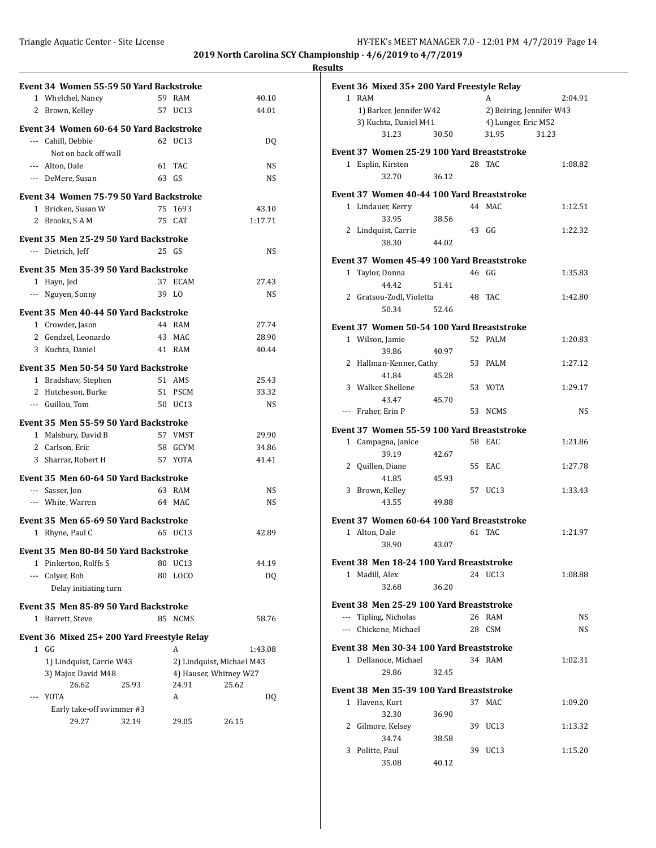|   | Event 34 Women 55-59 50 Yard Backstroke    |       |                  |                           |
|---|--------------------------------------------|-------|------------------|---------------------------|
|   | 1 Whelchel, Nancy                          |       | 59 RAM           | 40.10                     |
|   | 2 Brown, Kelley                            |       | 57 UC13          | 44.01                     |
|   |                                            |       |                  |                           |
|   | Event 34 Women 60-64 50 Yard Backstroke    |       |                  |                           |
|   | --- Cahill, Debbie                         |       | 62 UC13          | DO.                       |
|   | Not on back off wall                       |       |                  |                           |
|   | --- Alton, Dale                            |       | 61 TAC           | NS                        |
|   | --- DeMere, Susan                          |       | 63 GS            | NS                        |
|   | Event 34 Women 75-79 50 Yard Backstroke    |       |                  |                           |
|   | 1 Bricken, Susan W                         |       | 75 1693          | 43.10                     |
|   | 2 Brooks, SAM                              |       | 75 CAT           | 1:17.71                   |
|   |                                            |       |                  |                           |
|   | Event 35 Men 25-29 50 Yard Backstroke      |       | 25 GS            |                           |
|   | --- Dietrich, Jeff                         |       |                  | NS                        |
|   | Event 35 Men 35-39 50 Yard Backstroke      |       |                  |                           |
|   | 1 Hayn, Jed                                | 37    | <b>ECAM</b>      | 27.43                     |
|   | --- Nguyen, Sonny                          |       | 39 LO            | NS                        |
|   | Event 35 Men 40-44 50 Yard Backstroke      |       |                  |                           |
|   | 1 Crowder, Jason                           |       | 44 RAM           | 27.74                     |
|   | 2 Gendzel, Leonardo                        |       | 43 MAC           | 28.90                     |
|   | 3 Kuchta, Daniel                           |       | 41 RAM           | 40.44                     |
|   |                                            |       |                  |                           |
|   | Event 35 Men 50-54 50 Yard Backstroke      |       |                  |                           |
|   | 1 Bradshaw, Stephen                        |       | 51 AMS           | 25.43                     |
|   | 2 Hutcheson, Burke                         |       | 51 PSCM          | 33.32                     |
|   | --- Guillou, Tom                           |       | 50 UC13          | NS                        |
|   | Event 35 Men 55-59 50 Yard Backstroke      |       |                  |                           |
|   | 1 Malsbury, David B                        |       | 57 VMST          | 29.90                     |
|   | 2 Carlson, Eric                            |       | 58 GCYM          | 34.86                     |
|   | 3 Sharrar, Robert H                        |       | 57 YOTA          | 41.41                     |
|   |                                            |       |                  |                           |
|   | Event 35 Men 60-64 50 Yard Backstroke      |       |                  |                           |
|   | --- Sasser, Jon                            |       | 63 RAM           | NS                        |
|   | --- White, Warren                          |       | 64 MAC           | NS                        |
|   | Event 35 Men 65-69 50 Yard Backstroke      |       |                  |                           |
|   | 1 Rhyne, Paul C                            |       | 65 UC13          | 42.89                     |
|   |                                            |       |                  |                           |
|   | Event 35 Men 80-84 50 Yard Backstroke      |       |                  |                           |
| 1 | Pinkerton, Rolffs S                        | 80    | UC <sub>13</sub> | 44.19                     |
|   | --- Colyer, Bob                            | 80    | LOCO             | DQ                        |
|   | Delay initiating turn                      |       |                  |                           |
|   | Event 35 Men 85-89 50 Yard Backstroke      |       |                  |                           |
|   | 1 Barrett, Steve                           |       | 85 NCMS          | 58.76                     |
|   |                                            |       |                  |                           |
|   | Event 36 Mixed 25+200 Yard Freestyle Relay |       |                  |                           |
|   | 1 GG                                       |       | A                | 1:43.08                   |
|   | 1) Lindquist, Carrie W43                   |       |                  | 2) Lindquist, Michael M43 |
|   | 3) Major, David M48                        |       |                  | 4) Hauser, Whitney W27    |
|   | 26.62                                      | 25.93 | 24.91            | 25.62                     |
|   | YOTA                                       |       | A                | DQ                        |
|   | Early take-off swimmer #3                  |       |                  |                           |
|   | 29.27                                      | 32.19 | 29.05            | 26.15                     |

| Event 36 Mixed 35+200 Yard Freestyle Relay |       |                     |                          |         |
|--------------------------------------------|-------|---------------------|--------------------------|---------|
| 1 RAM                                      |       |                     | A                        | 2:04.91 |
| 1) Barker, Jennifer W42                    |       |                     | 2) Beiring, Jennifer W43 |         |
| 3) Kuchta, Daniel M41                      |       | 4) Lunger, Eric M52 |                          |         |
| 31.23                                      | 30.50 |                     | 31.95                    | 31.23   |
|                                            |       |                     |                          |         |
| Event 37 Women 25-29 100 Yard Breaststroke |       |                     |                          |         |
| 1 Esplin, Kirsten                          |       |                     | 28 TAC                   | 1:08.82 |
| 32.70                                      | 36.12 |                     |                          |         |
| Event 37 Women 40-44 100 Yard Breaststroke |       |                     |                          |         |
| 1 Lindauer, Kerry                          |       |                     | 44 MAC                   | 1:12.51 |
|                                            |       |                     |                          |         |
| 33.95                                      | 38.56 |                     |                          |         |
| 2 Lindquist, Carrie                        |       |                     | 43 GG                    | 1:22.32 |
| 38.30                                      | 44.02 |                     |                          |         |
| Event 37 Women 45-49 100 Yard Breaststroke |       |                     |                          |         |
| 1 Taylor, Donna                            |       |                     | 46 GG                    | 1:35.83 |
| 44.42                                      | 51.41 |                     |                          |         |
|                                            |       |                     |                          |         |
| 2 Gratsou-Zodl, Violetta                   |       |                     | 48 TAC                   | 1:42.80 |
| 50.34                                      | 52.46 |                     |                          |         |
| Event 37 Women 50-54 100 Yard Breaststroke |       |                     |                          |         |
| 1 Wilson, Jamie                            |       |                     | 52 PALM                  | 1:20.83 |
| 39.86                                      | 40.97 |                     |                          |         |
| 2 Hallman-Kenner, Cathy                    |       |                     | 53 PALM                  | 1:27.12 |
| 41.84                                      | 45.28 |                     |                          |         |
|                                            |       |                     |                          |         |
| 3 Walker, Shellene                         |       |                     | 53 YOTA                  | 1:29.17 |
| 43.47                                      | 45.70 |                     |                          |         |
| --- Fraher, Erin P                         |       |                     | 53 NCMS                  | NS      |
| Event 37 Women 55-59 100 Yard Breaststroke |       |                     |                          |         |
| 1 Campagna, Janice                         |       |                     | 58 EAC                   | 1:21.86 |
| 39.19                                      | 42.67 |                     |                          |         |
|                                            |       |                     |                          |         |
| 2 Quillen, Diane                           |       |                     | 55 EAC                   | 1:27.78 |
| 41.85                                      | 45.93 |                     |                          |         |
| 3 Brown, Kelley                            |       |                     | 57 UC13                  | 1:33.43 |
| 43.55                                      | 49.88 |                     |                          |         |
| Event 37 Women 60-64 100 Yard Breaststroke |       |                     |                          |         |
| 1 Alton, Dale                              |       |                     | 61 TAC                   | 1:21.97 |
| 38.90                                      |       |                     |                          |         |
|                                            | 43.07 |                     |                          |         |
| Event 38 Men 18-24 100 Yard Breaststroke   |       |                     |                          |         |
| 1 Madill, Alex                             |       |                     | 24 UC13                  | 1:08.88 |
| 32.68                                      | 36.20 |                     |                          |         |
|                                            |       |                     |                          |         |
| Event 38 Men 25-29 100 Yard Breaststroke   |       |                     |                          |         |
| --- Tipling, Nicholas                      |       |                     | 26 RAM                   | NS      |
| --- Chickene, Michael                      |       |                     | 28 CSM                   | NS      |
|                                            |       |                     |                          |         |
| Event 38 Men 30-34 100 Yard Breaststroke   |       |                     |                          |         |
| 1 Dellanoce, Michael                       |       |                     | 34 RAM                   | 1:02.31 |
| 29.86                                      | 32.45 |                     |                          |         |
| Event 38 Men 35-39 100 Yard Breaststroke   |       |                     |                          |         |
|                                            |       |                     |                          |         |
| 1 Havens, Kurt                             |       |                     | 37 MAC                   | 1:09.20 |
| 32.30                                      | 36.90 |                     |                          |         |
|                                            |       |                     | 39 UC13                  | 1:13.32 |
| 2 Gilmore, Kelsey                          |       |                     |                          |         |
| 34.74                                      | 38.58 |                     |                          |         |
| 3 Politte, Paul                            |       |                     | 39 UC13                  | 1:15.20 |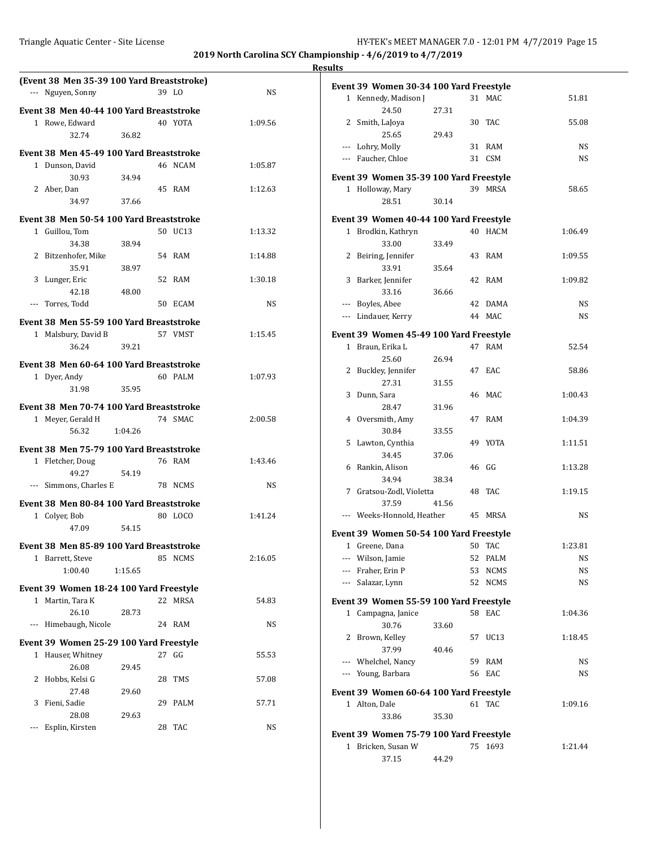| (Event 38 Men 35-39 100 Yard Breaststroke) |         |           |                                                                                    |
|--------------------------------------------|---------|-----------|------------------------------------------------------------------------------------|
| --- Nguyen, Sonny                          | 39 LO   | <b>NS</b> | Event 39 Women 30-34 100 Yard Freestyle<br>1 Kennedy, Madison J<br>31 MAC<br>51.81 |
| Event 38 Men 40-44 100 Yard Breaststroke   |         |           | 24.50<br>27.31                                                                     |
| 1 Rowe, Edward                             | 40 YOTA | 1:09.56   | 2 Smith, LaJoya<br>30 TAC<br>55.08                                                 |
| 32.74<br>36.82                             |         |           | 25.65<br>29.43                                                                     |
|                                            |         |           | --- Lohry, Molly<br>31 RAM<br>NS                                                   |
| Event 38 Men 45-49 100 Yard Breaststroke   |         |           | 31 CSM<br><b>NS</b><br>--- Faucher, Chloe                                          |
| 1 Dunson, David                            | 46 NCAM | 1:05.87   |                                                                                    |
| 30.93<br>34.94                             |         |           | Event 39 Women 35-39 100 Yard Freestyle                                            |
| 2 Aber, Dan<br>34.97<br>37.66              | 45 RAM  | 1:12.63   | 1 Holloway, Mary<br>39 MRSA<br>58.65<br>28.51<br>30.14                             |
|                                            |         |           |                                                                                    |
| Event 38 Men 50-54 100 Yard Breaststroke   |         |           | Event 39 Women 40-44 100 Yard Freestyle                                            |
| 1 Guillou, Tom                             | 50 UC13 | 1:13.32   | 1 Brodkin, Kathryn<br>40 HACM<br>1:06.49                                           |
| 34.38<br>38.94                             |         |           | 33.00<br>33.49                                                                     |
| 2 Bitzenhofer, Mike                        | 54 RAM  | 1:14.88   | 2 Beiring, Jennifer<br>43 RAM<br>1:09.55                                           |
| 35.91<br>38.97                             |         |           | 33.91<br>35.64                                                                     |
| 3 Lunger, Eric                             | 52 RAM  | 1:30.18   | 3 Barker, Jennifer<br>42 RAM<br>1:09.82                                            |
| 42.18<br>48.00                             |         |           | 33.16<br>36.66                                                                     |
| --- Torres, Todd                           | 50 ECAM | NS        | --- Boyles, Abee<br>42 DAMA<br>NS                                                  |
| Event 38 Men 55-59 100 Yard Breaststroke   |         |           | <b>NS</b><br>--- Lindauer, Kerry<br>44 MAC                                         |
| 1 Malsbury, David B                        | 57 VMST | 1:15.45   | Event 39 Women 45-49 100 Yard Freestyle                                            |
| 39.21<br>36.24                             |         |           | 1 Braun, Erika L<br>47 RAM<br>52.54                                                |
| Event 38 Men 60-64 100 Yard Breaststroke   |         |           | 25.60<br>26.94                                                                     |
| 1 Dyer, Andy                               | 60 PALM | 1:07.93   | 2 Buckley, Jennifer<br>47 EAC<br>58.86                                             |
| 31.98<br>35.95                             |         |           | 27.31<br>31.55                                                                     |
|                                            |         |           | 3 Dunn, Sara<br>46 MAC<br>1:00.43                                                  |
| Event 38 Men 70-74 100 Yard Breaststroke   |         |           | 28.47<br>31.96                                                                     |
| 1 Meyer, Gerald H                          | 74 SMAC | 2:00.58   | 4 Oversmith, Amy<br>47 RAM<br>1:04.39                                              |
| 56.32<br>1:04.26                           |         |           | 30.84<br>33.55                                                                     |
| Event 38 Men 75-79 100 Yard Breaststroke   |         |           | 5 Lawton, Cynthia<br>49 YOTA<br>1:11.51                                            |
| 1 Fletcher, Doug                           | 76 RAM  | 1:43.46   | 34.45<br>37.06                                                                     |
| 49.27<br>54.19                             |         |           | 6 Rankin, Alison<br>46 GG<br>1:13.28                                               |
| --- Simmons, Charles E                     | 78 NCMS | NS        | 34.94<br>38.34                                                                     |
| Event 38 Men 80-84 100 Yard Breaststroke   |         |           | 7 Gratsou-Zodl, Violetta<br>48 TAC<br>1:19.15<br>37.59<br>41.56                    |
| 1 Colyer, Bob                              | 80 LOCO | 1:41.24   | --- Weeks-Honnold, Heather<br>NS<br>45 MRSA                                        |
| 47.09<br>54.15                             |         |           |                                                                                    |
|                                            |         |           | Event 39 Women 50-54 100 Yard Freestyle                                            |
| Event 38 Men 85-89 100 Yard Breaststroke   |         |           | 1:23.81<br>1 Greene, Dana<br>50 TAC                                                |
| 1 Barrett, Steve                           | 85 NCMS | 2:16.05   | --- Wilson, Jamie<br>52 PALM<br><b>NS</b>                                          |
| 1:00.40<br>1:15.65                         |         |           | Fraher, Erin P<br>53 NCMS<br>NS<br>$\cdots$                                        |
| Event 39 Women 18-24 100 Yard Freestyle    |         |           | Salazar, Lynn<br>52 NCMS<br>NS<br>$\qquad \qquad - -$                              |
| 1 Martin, Tara K                           | 22 MRSA | 54.83     | Event 39 Women 55-59 100 Yard Freestyle                                            |
| 26.10<br>28.73                             |         |           | 1 Campagna, Janice<br>58 EAC<br>1:04.36                                            |
| --- Himebaugh, Nicole                      | 24 RAM  | NS        | 30.76<br>33.60                                                                     |
| Event 39 Women 25-29 100 Yard Freestyle    |         |           | 2 Brown, Kelley<br>57 UC13<br>1:18.45                                              |
| 1 Hauser, Whitney                          | 27 GG   | 55.53     | 37.99<br>40.46                                                                     |
| 26.08<br>29.45                             |         |           | Whelchel, Nancy<br>59 RAM<br>NS<br>$\cdots$                                        |
| 2 Hobbs, Kelsi G                           | 28 TMS  | 57.08     | --- Young, Barbara<br>56 EAC<br>NS                                                 |
| 27.48<br>29.60                             |         |           | Event 39 Women 60-64 100 Yard Freestyle                                            |
| 3 Fieni, Sadie                             | 29 PALM | 57.71     | 1 Alton, Dale<br>61 TAC<br>1:09.16                                                 |
| 28.08<br>29.63                             |         |           | 33.86<br>35.30                                                                     |
| --- Esplin, Kirsten                        | 28 TAC  | NS        |                                                                                    |
|                                            |         |           | Event 39 Women 75-79 100 Yard Freestyle                                            |
|                                            |         |           | 1 Bricken, Susan W<br>75 1693<br>1:21.44                                           |
|                                            |         |           | 37.15<br>44.29                                                                     |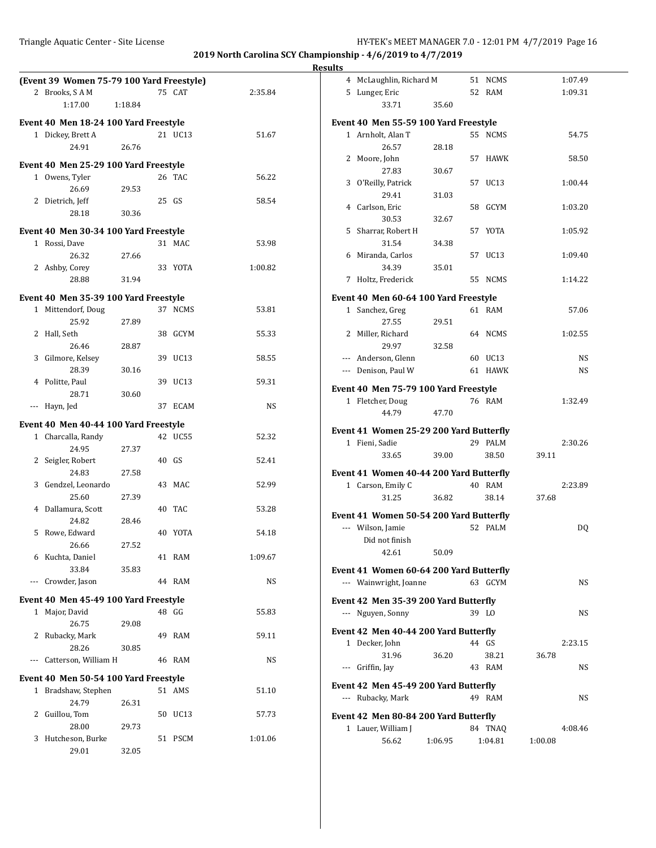|                                                            |         |         |           | <b>Results</b> |                                                            |         |                    |                        |  |
|------------------------------------------------------------|---------|---------|-----------|----------------|------------------------------------------------------------|---------|--------------------|------------------------|--|
| (Event 39 Women 75-79 100 Yard Freestyle)<br>2 Brooks, SAM |         | 75 CAT  | 2:35.84   |                | 4 McLaughlin, Richard M<br>5 Lunger, Eric                  |         | 51 NCMS<br>52 RAM  | 1:07.49<br>1:09.31     |  |
| 1:17.00                                                    | 1:18.84 |         |           |                | 33.71                                                      | 35.60   |                    |                        |  |
| Event 40 Men 18-24 100 Yard Freestyle                      |         |         |           |                | Event 40 Men 55-59 100 Yard Freestyle                      |         |                    |                        |  |
| 1 Dickey, Brett A<br>24.91                                 | 26.76   | 21 UC13 | 51.67     |                | 1 Arnholt, Alan T<br>26.57                                 | 28.18   | 55 NCMS            | 54.75                  |  |
| Event 40 Men 25-29 100 Yard Freestyle                      |         |         |           |                | 2 Moore, John                                              |         | 57 HAWK            | 58.50                  |  |
| 1 Owens, Tyler                                             |         | 26 TAC  | 56.22     |                | 27.83                                                      | 30.67   |                    |                        |  |
| 26.69                                                      | 29.53   |         |           |                | 3 O'Reilly, Patrick<br>29.41                               | 31.03   | 57 UC13            | 1:00.44                |  |
| 2 Dietrich, Jeff<br>28.18                                  | 30.36   | 25 GS   | 58.54     |                | 4 Carlson, Eric<br>30.53                                   | 32.67   | 58 GCYM            | 1:03.20                |  |
| Event 40 Men 30-34 100 Yard Freestyle                      |         |         |           |                | 5 Sharrar, Robert H                                        |         | 57 YOTA            | 1:05.92                |  |
| 1 Rossi, Dave                                              |         | 31 MAC  | 53.98     |                | 31.54                                                      | 34.38   |                    |                        |  |
| 26.32                                                      | 27.66   |         |           |                | 6 Miranda, Carlos                                          |         | 57 UC13            | 1:09.40                |  |
| 2 Ashby, Corey                                             |         | 33 YOTA | 1:00.82   |                | 34.39                                                      | 35.01   |                    |                        |  |
| 28.88                                                      | 31.94   |         |           |                | 7 Holtz, Frederick                                         |         | 55 NCMS            | 1:14.22                |  |
| Event 40 Men 35-39 100 Yard Freestyle                      |         |         |           |                | Event 40 Men 60-64 100 Yard Freestyle                      |         |                    |                        |  |
| 1 Mittendorf, Doug<br>25.92                                | 27.89   | 37 NCMS | 53.81     |                | 1 Sanchez, Greg<br>27.55                                   | 29.51   | 61 RAM             | 57.06                  |  |
| 2 Hall, Seth                                               |         | 38 GCYM | 55.33     |                | 2 Miller, Richard                                          |         | 64 NCMS            | 1:02.55                |  |
| 26.46                                                      | 28.87   |         |           |                | 29.97                                                      | 32.58   |                    |                        |  |
| 3 Gilmore, Kelsey<br>28.39                                 | 30.16   | 39 UC13 | 58.55     |                | --- Anderson, Glenn<br>--- Denison, Paul W                 |         | 60 UC13<br>61 HAWK | <b>NS</b><br><b>NS</b> |  |
| 4 Politte, Paul                                            |         | 39 UC13 | 59.31     |                | Event 40 Men 75-79 100 Yard Freestyle                      |         |                    |                        |  |
| 28.71<br>--- Hayn, Jed                                     | 30.60   | 37 ECAM | <b>NS</b> |                | 1 Fletcher, Doug                                           |         | 76 RAM             | 1:32.49                |  |
|                                                            |         |         |           |                | 44.79                                                      | 47.70   |                    |                        |  |
| Event 40 Men 40-44 100 Yard Freestyle                      |         |         |           |                | Event 41 Women 25-29 200 Yard Butterfly                    |         |                    |                        |  |
| 1 Charcalla, Randy                                         |         | 42 UC55 | 52.32     |                | 1 Fieni, Sadie                                             |         | 29 PALM            | 2:30.26                |  |
| 24.95<br>2 Seigler, Robert                                 | 27.37   | 40 GS   | 52.41     |                | 33.65                                                      | 39.00   | 38.50              | 39.11                  |  |
| 24.83                                                      | 27.58   |         |           |                | Event 41 Women 40-44 200 Yard Butterfly                    |         |                    |                        |  |
| 3 Gendzel, Leonardo                                        |         | 43 MAC  | 52.99     |                | 1 Carson, Emily C                                          |         | 40 RAM             | 2:23.89                |  |
| 25.60                                                      | 27.39   |         |           |                | 31.25                                                      | 36.82   | 38.14              | 37.68                  |  |
| 4 Dallamura, Scott                                         |         | 40 TAC  | 53.28     |                | Event 41 Women 50-54 200 Yard Butterfly                    |         |                    |                        |  |
| 24.82                                                      | 28.46   |         |           |                | --- Wilson, Jamie                                          |         | 52 PALM            | DQ                     |  |
| 5 Rowe, Edward                                             |         | 40 YOTA | 54.18     |                | Did not finish                                             |         |                    |                        |  |
| 26.66<br>6 Kuchta, Daniel                                  | 27.52   | 41 RAM  | 1:09.67   |                | 42.61                                                      | 50.09   |                    |                        |  |
| 33.84                                                      | 35.83   |         |           |                | Event 41 Women 60-64 200 Yard Butterfly                    |         |                    |                        |  |
| --- Crowder, Jason                                         |         | 44 RAM  | <b>NS</b> |                | --- Wainwright, Joanne                                     |         | 63 GCYM            | NS                     |  |
|                                                            |         |         |           |                |                                                            |         |                    |                        |  |
| Event 40 Men 45-49 100 Yard Freestyle<br>1 Major, David    |         | 48 GG   | 55.83     |                | Event 42 Men 35-39 200 Yard Butterfly<br>--- Nguyen, Sonny |         | 39 LO              | <b>NS</b>              |  |
| 26.75                                                      | 29.08   |         |           |                |                                                            |         |                    |                        |  |
| 2 Rubacky, Mark<br>28.26                                   | 30.85   | 49 RAM  | 59.11     |                | Event 42 Men 40-44 200 Yard Butterfly<br>1 Decker, John    |         | 44 GS              | 2:23.15                |  |
| --- Catterson, William H                                   |         | 46 RAM  | <b>NS</b> |                | 31.96                                                      | 36.20   | 38.21              | 36.78                  |  |
|                                                            |         |         |           |                | --- Griffin, Jay                                           |         | 43 RAM             | NS                     |  |
| Event 40 Men 50-54 100 Yard Freestyle                      |         | 51 AMS  |           |                | Event 42 Men 45-49 200 Yard Butterfly                      |         |                    |                        |  |
| 1 Bradshaw, Stephen<br>24.79                               | 26.31   |         | 51.10     |                | --- Rubacky, Mark                                          |         | 49 RAM             | <b>NS</b>              |  |
| 2 Guillou, Tom                                             |         | 50 UC13 | 57.73     |                | Event 42 Men 80-84 200 Yard Butterfly                      |         |                    |                        |  |
| 28.00                                                      | 29.73   |         |           |                | 1 Lauer, William J                                         |         | 84 TNAQ            | 4:08.46                |  |
| 3 Hutcheson, Burke<br>29.01                                | 32.05   | 51 PSCM | 1:01.06   |                | 56.62                                                      | 1:06.95 | 1:04.81            | 1:00.08                |  |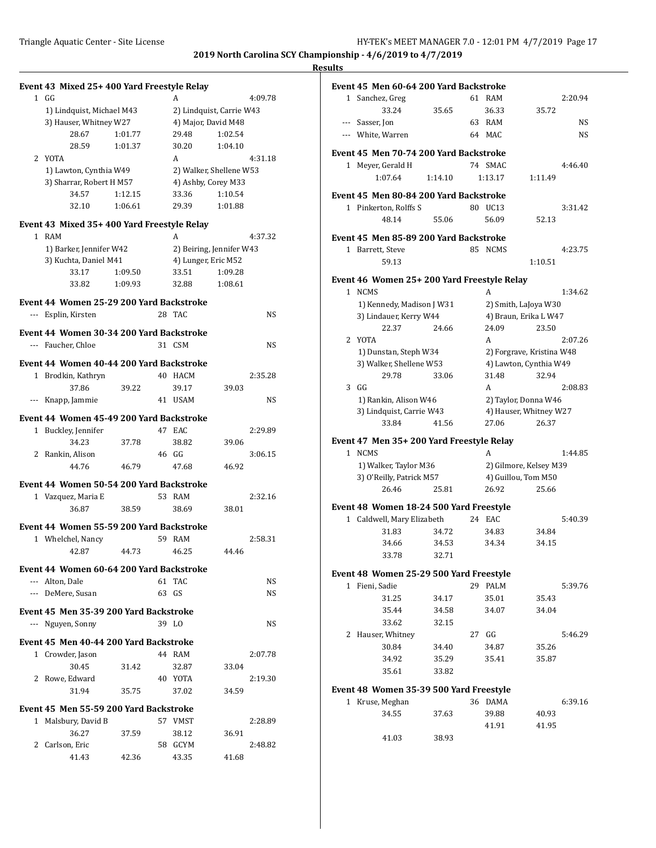2:20.94

 $4:46.40$ 

 $3:31.42$ 

4:23.75

1:34.62

2:07.26

2:08.83

1:44.85

 $5:40.39$ 

5:39.76

 $5:46.29$ 

 $6:39.16$ 

**2019 North Carolina SCY Championship - 4/6/2019 to 4/7/2019**

| $1$ GG                                 |                                                                                                                                                                                      |                                                                                                                                                                                                                | A       |                                                                                                                                                                                                                                                           | 4:09.78                                                                                                                                                                                                                                                                                                                                                                                                                                                                                                                            |                                                                                                                                                            |                                         |                                                                                                                                                                                                                                                                                                                 |                                                                                                                                                                                                                                                                                                                                                                                                 |         |                                                                                                                                                                                                                                                                                                                                                                                                                                                                                                                         | 2:20.94                                                                                                                                                                                                                                                                                                                                                               |
|----------------------------------------|--------------------------------------------------------------------------------------------------------------------------------------------------------------------------------------|----------------------------------------------------------------------------------------------------------------------------------------------------------------------------------------------------------------|---------|-----------------------------------------------------------------------------------------------------------------------------------------------------------------------------------------------------------------------------------------------------------|------------------------------------------------------------------------------------------------------------------------------------------------------------------------------------------------------------------------------------------------------------------------------------------------------------------------------------------------------------------------------------------------------------------------------------------------------------------------------------------------------------------------------------|------------------------------------------------------------------------------------------------------------------------------------------------------------|-----------------------------------------|-----------------------------------------------------------------------------------------------------------------------------------------------------------------------------------------------------------------------------------------------------------------------------------------------------------------|-------------------------------------------------------------------------------------------------------------------------------------------------------------------------------------------------------------------------------------------------------------------------------------------------------------------------------------------------------------------------------------------------|---------|-------------------------------------------------------------------------------------------------------------------------------------------------------------------------------------------------------------------------------------------------------------------------------------------------------------------------------------------------------------------------------------------------------------------------------------------------------------------------------------------------------------------------|-----------------------------------------------------------------------------------------------------------------------------------------------------------------------------------------------------------------------------------------------------------------------------------------------------------------------------------------------------------------------|
|                                        |                                                                                                                                                                                      |                                                                                                                                                                                                                |         |                                                                                                                                                                                                                                                           |                                                                                                                                                                                                                                                                                                                                                                                                                                                                                                                                    |                                                                                                                                                            | 33.24                                   | 35.65                                                                                                                                                                                                                                                                                                           |                                                                                                                                                                                                                                                                                                                                                                                                 | 36.33   | 35.72                                                                                                                                                                                                                                                                                                                                                                                                                                                                                                                   |                                                                                                                                                                                                                                                                                                                                                                       |
|                                        |                                                                                                                                                                                      |                                                                                                                                                                                                                |         |                                                                                                                                                                                                                                                           |                                                                                                                                                                                                                                                                                                                                                                                                                                                                                                                                    |                                                                                                                                                            |                                         |                                                                                                                                                                                                                                                                                                                 |                                                                                                                                                                                                                                                                                                                                                                                                 |         |                                                                                                                                                                                                                                                                                                                                                                                                                                                                                                                         | <b>NS</b>                                                                                                                                                                                                                                                                                                                                                             |
| 28.67                                  | 1:01.77                                                                                                                                                                              |                                                                                                                                                                                                                | 29.48   | 1:02.54                                                                                                                                                                                                                                                   |                                                                                                                                                                                                                                                                                                                                                                                                                                                                                                                                    |                                                                                                                                                            |                                         |                                                                                                                                                                                                                                                                                                                 |                                                                                                                                                                                                                                                                                                                                                                                                 |         |                                                                                                                                                                                                                                                                                                                                                                                                                                                                                                                         | <b>NS</b>                                                                                                                                                                                                                                                                                                                                                             |
| 28.59                                  | 1:01.37                                                                                                                                                                              |                                                                                                                                                                                                                | 30.20   | 1:04.10                                                                                                                                                                                                                                                   |                                                                                                                                                                                                                                                                                                                                                                                                                                                                                                                                    |                                                                                                                                                            |                                         |                                                                                                                                                                                                                                                                                                                 |                                                                                                                                                                                                                                                                                                                                                                                                 |         |                                                                                                                                                                                                                                                                                                                                                                                                                                                                                                                         |                                                                                                                                                                                                                                                                                                                                                                       |
| 2 YOTA                                 |                                                                                                                                                                                      |                                                                                                                                                                                                                | A       |                                                                                                                                                                                                                                                           | 4:31.18                                                                                                                                                                                                                                                                                                                                                                                                                                                                                                                            |                                                                                                                                                            |                                         |                                                                                                                                                                                                                                                                                                                 |                                                                                                                                                                                                                                                                                                                                                                                                 |         |                                                                                                                                                                                                                                                                                                                                                                                                                                                                                                                         |                                                                                                                                                                                                                                                                                                                                                                       |
|                                        |                                                                                                                                                                                      |                                                                                                                                                                                                                |         |                                                                                                                                                                                                                                                           |                                                                                                                                                                                                                                                                                                                                                                                                                                                                                                                                    |                                                                                                                                                            |                                         |                                                                                                                                                                                                                                                                                                                 |                                                                                                                                                                                                                                                                                                                                                                                                 |         |                                                                                                                                                                                                                                                                                                                                                                                                                                                                                                                         | 4:46.40                                                                                                                                                                                                                                                                                                                                                               |
|                                        |                                                                                                                                                                                      |                                                                                                                                                                                                                |         |                                                                                                                                                                                                                                                           |                                                                                                                                                                                                                                                                                                                                                                                                                                                                                                                                    |                                                                                                                                                            |                                         |                                                                                                                                                                                                                                                                                                                 |                                                                                                                                                                                                                                                                                                                                                                                                 |         |                                                                                                                                                                                                                                                                                                                                                                                                                                                                                                                         |                                                                                                                                                                                                                                                                                                                                                                       |
| 34.57                                  | 1:12.15                                                                                                                                                                              |                                                                                                                                                                                                                | 33.36   | 1:10.54                                                                                                                                                                                                                                                   |                                                                                                                                                                                                                                                                                                                                                                                                                                                                                                                                    |                                                                                                                                                            |                                         |                                                                                                                                                                                                                                                                                                                 |                                                                                                                                                                                                                                                                                                                                                                                                 |         |                                                                                                                                                                                                                                                                                                                                                                                                                                                                                                                         |                                                                                                                                                                                                                                                                                                                                                                       |
| 32.10                                  | 1:06.61                                                                                                                                                                              |                                                                                                                                                                                                                | 29.39   | 1:01.88                                                                                                                                                                                                                                                   |                                                                                                                                                                                                                                                                                                                                                                                                                                                                                                                                    |                                                                                                                                                            |                                         |                                                                                                                                                                                                                                                                                                                 |                                                                                                                                                                                                                                                                                                                                                                                                 |         |                                                                                                                                                                                                                                                                                                                                                                                                                                                                                                                         | 3:31.42                                                                                                                                                                                                                                                                                                                                                               |
|                                        |                                                                                                                                                                                      |                                                                                                                                                                                                                |         |                                                                                                                                                                                                                                                           |                                                                                                                                                                                                                                                                                                                                                                                                                                                                                                                                    |                                                                                                                                                            |                                         |                                                                                                                                                                                                                                                                                                                 |                                                                                                                                                                                                                                                                                                                                                                                                 |         |                                                                                                                                                                                                                                                                                                                                                                                                                                                                                                                         |                                                                                                                                                                                                                                                                                                                                                                       |
|                                        |                                                                                                                                                                                      |                                                                                                                                                                                                                |         |                                                                                                                                                                                                                                                           |                                                                                                                                                                                                                                                                                                                                                                                                                                                                                                                                    |                                                                                                                                                            |                                         |                                                                                                                                                                                                                                                                                                                 |                                                                                                                                                                                                                                                                                                                                                                                                 |         |                                                                                                                                                                                                                                                                                                                                                                                                                                                                                                                         |                                                                                                                                                                                                                                                                                                                                                                       |
|                                        |                                                                                                                                                                                      |                                                                                                                                                                                                                |         |                                                                                                                                                                                                                                                           |                                                                                                                                                                                                                                                                                                                                                                                                                                                                                                                                    |                                                                                                                                                            |                                         |                                                                                                                                                                                                                                                                                                                 |                                                                                                                                                                                                                                                                                                                                                                                                 |         |                                                                                                                                                                                                                                                                                                                                                                                                                                                                                                                         |                                                                                                                                                                                                                                                                                                                                                                       |
|                                        |                                                                                                                                                                                      |                                                                                                                                                                                                                |         |                                                                                                                                                                                                                                                           |                                                                                                                                                                                                                                                                                                                                                                                                                                                                                                                                    |                                                                                                                                                            |                                         |                                                                                                                                                                                                                                                                                                                 |                                                                                                                                                                                                                                                                                                                                                                                                 |         |                                                                                                                                                                                                                                                                                                                                                                                                                                                                                                                         | 4:23.75                                                                                                                                                                                                                                                                                                                                                               |
|                                        |                                                                                                                                                                                      |                                                                                                                                                                                                                |         |                                                                                                                                                                                                                                                           |                                                                                                                                                                                                                                                                                                                                                                                                                                                                                                                                    |                                                                                                                                                            |                                         |                                                                                                                                                                                                                                                                                                                 |                                                                                                                                                                                                                                                                                                                                                                                                 |         |                                                                                                                                                                                                                                                                                                                                                                                                                                                                                                                         |                                                                                                                                                                                                                                                                                                                                                                       |
|                                        |                                                                                                                                                                                      |                                                                                                                                                                                                                |         |                                                                                                                                                                                                                                                           |                                                                                                                                                                                                                                                                                                                                                                                                                                                                                                                                    |                                                                                                                                                            |                                         |                                                                                                                                                                                                                                                                                                                 |                                                                                                                                                                                                                                                                                                                                                                                                 |         |                                                                                                                                                                                                                                                                                                                                                                                                                                                                                                                         |                                                                                                                                                                                                                                                                                                                                                                       |
|                                        |                                                                                                                                                                                      |                                                                                                                                                                                                                |         |                                                                                                                                                                                                                                                           |                                                                                                                                                                                                                                                                                                                                                                                                                                                                                                                                    |                                                                                                                                                            |                                         |                                                                                                                                                                                                                                                                                                                 |                                                                                                                                                                                                                                                                                                                                                                                                 |         |                                                                                                                                                                                                                                                                                                                                                                                                                                                                                                                         | 1:34.62                                                                                                                                                                                                                                                                                                                                                               |
|                                        |                                                                                                                                                                                      |                                                                                                                                                                                                                |         |                                                                                                                                                                                                                                                           |                                                                                                                                                                                                                                                                                                                                                                                                                                                                                                                                    |                                                                                                                                                            |                                         |                                                                                                                                                                                                                                                                                                                 |                                                                                                                                                                                                                                                                                                                                                                                                 |         |                                                                                                                                                                                                                                                                                                                                                                                                                                                                                                                         |                                                                                                                                                                                                                                                                                                                                                                       |
|                                        |                                                                                                                                                                                      |                                                                                                                                                                                                                |         |                                                                                                                                                                                                                                                           |                                                                                                                                                                                                                                                                                                                                                                                                                                                                                                                                    |                                                                                                                                                            |                                         |                                                                                                                                                                                                                                                                                                                 |                                                                                                                                                                                                                                                                                                                                                                                                 |         |                                                                                                                                                                                                                                                                                                                                                                                                                                                                                                                         |                                                                                                                                                                                                                                                                                                                                                                       |
|                                        |                                                                                                                                                                                      |                                                                                                                                                                                                                |         |                                                                                                                                                                                                                                                           |                                                                                                                                                                                                                                                                                                                                                                                                                                                                                                                                    |                                                                                                                                                            |                                         |                                                                                                                                                                                                                                                                                                                 |                                                                                                                                                                                                                                                                                                                                                                                                 |         |                                                                                                                                                                                                                                                                                                                                                                                                                                                                                                                         |                                                                                                                                                                                                                                                                                                                                                                       |
|                                        |                                                                                                                                                                                      |                                                                                                                                                                                                                |         |                                                                                                                                                                                                                                                           |                                                                                                                                                                                                                                                                                                                                                                                                                                                                                                                                    |                                                                                                                                                            |                                         |                                                                                                                                                                                                                                                                                                                 |                                                                                                                                                                                                                                                                                                                                                                                                 |         |                                                                                                                                                                                                                                                                                                                                                                                                                                                                                                                         | 2:07.26                                                                                                                                                                                                                                                                                                                                                               |
| --- Faucher, Chloe                     |                                                                                                                                                                                      |                                                                                                                                                                                                                |         |                                                                                                                                                                                                                                                           | NS                                                                                                                                                                                                                                                                                                                                                                                                                                                                                                                                 |                                                                                                                                                            |                                         |                                                                                                                                                                                                                                                                                                                 |                                                                                                                                                                                                                                                                                                                                                                                                 |         |                                                                                                                                                                                                                                                                                                                                                                                                                                                                                                                         |                                                                                                                                                                                                                                                                                                                                                                       |
|                                        |                                                                                                                                                                                      |                                                                                                                                                                                                                |         |                                                                                                                                                                                                                                                           |                                                                                                                                                                                                                                                                                                                                                                                                                                                                                                                                    |                                                                                                                                                            |                                         |                                                                                                                                                                                                                                                                                                                 |                                                                                                                                                                                                                                                                                                                                                                                                 |         |                                                                                                                                                                                                                                                                                                                                                                                                                                                                                                                         |                                                                                                                                                                                                                                                                                                                                                                       |
|                                        |                                                                                                                                                                                      |                                                                                                                                                                                                                |         |                                                                                                                                                                                                                                                           |                                                                                                                                                                                                                                                                                                                                                                                                                                                                                                                                    |                                                                                                                                                            |                                         |                                                                                                                                                                                                                                                                                                                 |                                                                                                                                                                                                                                                                                                                                                                                                 |         |                                                                                                                                                                                                                                                                                                                                                                                                                                                                                                                         |                                                                                                                                                                                                                                                                                                                                                                       |
|                                        |                                                                                                                                                                                      |                                                                                                                                                                                                                |         |                                                                                                                                                                                                                                                           |                                                                                                                                                                                                                                                                                                                                                                                                                                                                                                                                    |                                                                                                                                                            |                                         |                                                                                                                                                                                                                                                                                                                 |                                                                                                                                                                                                                                                                                                                                                                                                 |         |                                                                                                                                                                                                                                                                                                                                                                                                                                                                                                                         | 2:08.83                                                                                                                                                                                                                                                                                                                                                               |
|                                        |                                                                                                                                                                                      |                                                                                                                                                                                                                |         |                                                                                                                                                                                                                                                           |                                                                                                                                                                                                                                                                                                                                                                                                                                                                                                                                    |                                                                                                                                                            |                                         |                                                                                                                                                                                                                                                                                                                 |                                                                                                                                                                                                                                                                                                                                                                                                 |         |                                                                                                                                                                                                                                                                                                                                                                                                                                                                                                                         |                                                                                                                                                                                                                                                                                                                                                                       |
|                                        |                                                                                                                                                                                      |                                                                                                                                                                                                                |         |                                                                                                                                                                                                                                                           |                                                                                                                                                                                                                                                                                                                                                                                                                                                                                                                                    |                                                                                                                                                            |                                         |                                                                                                                                                                                                                                                                                                                 |                                                                                                                                                                                                                                                                                                                                                                                                 |         |                                                                                                                                                                                                                                                                                                                                                                                                                                                                                                                         |                                                                                                                                                                                                                                                                                                                                                                       |
|                                        |                                                                                                                                                                                      |                                                                                                                                                                                                                |         |                                                                                                                                                                                                                                                           |                                                                                                                                                                                                                                                                                                                                                                                                                                                                                                                                    |                                                                                                                                                            |                                         |                                                                                                                                                                                                                                                                                                                 |                                                                                                                                                                                                                                                                                                                                                                                                 |         |                                                                                                                                                                                                                                                                                                                                                                                                                                                                                                                         |                                                                                                                                                                                                                                                                                                                                                                       |
| 1 Buckley, Jennifer                    |                                                                                                                                                                                      |                                                                                                                                                                                                                |         |                                                                                                                                                                                                                                                           | 2:29.89                                                                                                                                                                                                                                                                                                                                                                                                                                                                                                                            |                                                                                                                                                            |                                         |                                                                                                                                                                                                                                                                                                                 |                                                                                                                                                                                                                                                                                                                                                                                                 |         |                                                                                                                                                                                                                                                                                                                                                                                                                                                                                                                         |                                                                                                                                                                                                                                                                                                                                                                       |
| 34.23                                  | 37.78                                                                                                                                                                                |                                                                                                                                                                                                                | 38.82   | 39.06                                                                                                                                                                                                                                                     |                                                                                                                                                                                                                                                                                                                                                                                                                                                                                                                                    |                                                                                                                                                            |                                         |                                                                                                                                                                                                                                                                                                                 |                                                                                                                                                                                                                                                                                                                                                                                                 |         |                                                                                                                                                                                                                                                                                                                                                                                                                                                                                                                         |                                                                                                                                                                                                                                                                                                                                                                       |
| 2 Rankin, Alison                       |                                                                                                                                                                                      |                                                                                                                                                                                                                |         |                                                                                                                                                                                                                                                           | 3:06.15                                                                                                                                                                                                                                                                                                                                                                                                                                                                                                                            |                                                                                                                                                            |                                         |                                                                                                                                                                                                                                                                                                                 |                                                                                                                                                                                                                                                                                                                                                                                                 | A       |                                                                                                                                                                                                                                                                                                                                                                                                                                                                                                                         | 1:44.85                                                                                                                                                                                                                                                                                                                                                               |
| 44.76                                  | 46.79                                                                                                                                                                                |                                                                                                                                                                                                                | 47.68   | 46.92                                                                                                                                                                                                                                                     |                                                                                                                                                                                                                                                                                                                                                                                                                                                                                                                                    |                                                                                                                                                            |                                         |                                                                                                                                                                                                                                                                                                                 |                                                                                                                                                                                                                                                                                                                                                                                                 |         |                                                                                                                                                                                                                                                                                                                                                                                                                                                                                                                         |                                                                                                                                                                                                                                                                                                                                                                       |
|                                        |                                                                                                                                                                                      |                                                                                                                                                                                                                |         |                                                                                                                                                                                                                                                           |                                                                                                                                                                                                                                                                                                                                                                                                                                                                                                                                    |                                                                                                                                                            |                                         |                                                                                                                                                                                                                                                                                                                 |                                                                                                                                                                                                                                                                                                                                                                                                 |         |                                                                                                                                                                                                                                                                                                                                                                                                                                                                                                                         |                                                                                                                                                                                                                                                                                                                                                                       |
|                                        |                                                                                                                                                                                      |                                                                                                                                                                                                                |         |                                                                                                                                                                                                                                                           |                                                                                                                                                                                                                                                                                                                                                                                                                                                                                                                                    |                                                                                                                                                            | 26.46                                   | 25.81                                                                                                                                                                                                                                                                                                           |                                                                                                                                                                                                                                                                                                                                                                                                 | 26.92   | 25.66                                                                                                                                                                                                                                                                                                                                                                                                                                                                                                                   |                                                                                                                                                                                                                                                                                                                                                                       |
|                                        |                                                                                                                                                                                      |                                                                                                                                                                                                                |         |                                                                                                                                                                                                                                                           |                                                                                                                                                                                                                                                                                                                                                                                                                                                                                                                                    |                                                                                                                                                            |                                         |                                                                                                                                                                                                                                                                                                                 |                                                                                                                                                                                                                                                                                                                                                                                                 |         |                                                                                                                                                                                                                                                                                                                                                                                                                                                                                                                         |                                                                                                                                                                                                                                                                                                                                                                       |
|                                        |                                                                                                                                                                                      |                                                                                                                                                                                                                |         |                                                                                                                                                                                                                                                           |                                                                                                                                                                                                                                                                                                                                                                                                                                                                                                                                    |                                                                                                                                                            |                                         |                                                                                                                                                                                                                                                                                                                 |                                                                                                                                                                                                                                                                                                                                                                                                 |         |                                                                                                                                                                                                                                                                                                                                                                                                                                                                                                                         |                                                                                                                                                                                                                                                                                                                                                                       |
|                                        |                                                                                                                                                                                      |                                                                                                                                                                                                                |         |                                                                                                                                                                                                                                                           |                                                                                                                                                                                                                                                                                                                                                                                                                                                                                                                                    |                                                                                                                                                            |                                         |                                                                                                                                                                                                                                                                                                                 |                                                                                                                                                                                                                                                                                                                                                                                                 |         |                                                                                                                                                                                                                                                                                                                                                                                                                                                                                                                         | 5:40.39                                                                                                                                                                                                                                                                                                                                                               |
|                                        |                                                                                                                                                                                      |                                                                                                                                                                                                                |         |                                                                                                                                                                                                                                                           |                                                                                                                                                                                                                                                                                                                                                                                                                                                                                                                                    |                                                                                                                                                            |                                         |                                                                                                                                                                                                                                                                                                                 |                                                                                                                                                                                                                                                                                                                                                                                                 |         |                                                                                                                                                                                                                                                                                                                                                                                                                                                                                                                         |                                                                                                                                                                                                                                                                                                                                                                       |
|                                        |                                                                                                                                                                                      |                                                                                                                                                                                                                |         |                                                                                                                                                                                                                                                           |                                                                                                                                                                                                                                                                                                                                                                                                                                                                                                                                    |                                                                                                                                                            |                                         |                                                                                                                                                                                                                                                                                                                 |                                                                                                                                                                                                                                                                                                                                                                                                 |         |                                                                                                                                                                                                                                                                                                                                                                                                                                                                                                                         |                                                                                                                                                                                                                                                                                                                                                                       |
|                                        |                                                                                                                                                                                      |                                                                                                                                                                                                                |         |                                                                                                                                                                                                                                                           |                                                                                                                                                                                                                                                                                                                                                                                                                                                                                                                                    |                                                                                                                                                            |                                         |                                                                                                                                                                                                                                                                                                                 |                                                                                                                                                                                                                                                                                                                                                                                                 |         |                                                                                                                                                                                                                                                                                                                                                                                                                                                                                                                         |                                                                                                                                                                                                                                                                                                                                                                       |
|                                        |                                                                                                                                                                                      |                                                                                                                                                                                                                |         |                                                                                                                                                                                                                                                           |                                                                                                                                                                                                                                                                                                                                                                                                                                                                                                                                    |                                                                                                                                                            |                                         |                                                                                                                                                                                                                                                                                                                 |                                                                                                                                                                                                                                                                                                                                                                                                 |         |                                                                                                                                                                                                                                                                                                                                                                                                                                                                                                                         |                                                                                                                                                                                                                                                                                                                                                                       |
| --- Alton, Dale                        |                                                                                                                                                                                      |                                                                                                                                                                                                                |         |                                                                                                                                                                                                                                                           | NS                                                                                                                                                                                                                                                                                                                                                                                                                                                                                                                                 |                                                                                                                                                            |                                         |                                                                                                                                                                                                                                                                                                                 |                                                                                                                                                                                                                                                                                                                                                                                                 |         |                                                                                                                                                                                                                                                                                                                                                                                                                                                                                                                         | 5:39.76                                                                                                                                                                                                                                                                                                                                                               |
| --- DeMere, Susan                      |                                                                                                                                                                                      |                                                                                                                                                                                                                |         |                                                                                                                                                                                                                                                           |                                                                                                                                                                                                                                                                                                                                                                                                                                                                                                                                    |                                                                                                                                                            |                                         |                                                                                                                                                                                                                                                                                                                 |                                                                                                                                                                                                                                                                                                                                                                                                 |         |                                                                                                                                                                                                                                                                                                                                                                                                                                                                                                                         |                                                                                                                                                                                                                                                                                                                                                                       |
|                                        |                                                                                                                                                                                      |                                                                                                                                                                                                                |         |                                                                                                                                                                                                                                                           |                                                                                                                                                                                                                                                                                                                                                                                                                                                                                                                                    |                                                                                                                                                            |                                         |                                                                                                                                                                                                                                                                                                                 |                                                                                                                                                                                                                                                                                                                                                                                                 |         |                                                                                                                                                                                                                                                                                                                                                                                                                                                                                                                         |                                                                                                                                                                                                                                                                                                                                                                       |
|                                        |                                                                                                                                                                                      |                                                                                                                                                                                                                |         |                                                                                                                                                                                                                                                           |                                                                                                                                                                                                                                                                                                                                                                                                                                                                                                                                    |                                                                                                                                                            |                                         |                                                                                                                                                                                                                                                                                                                 |                                                                                                                                                                                                                                                                                                                                                                                                 |         |                                                                                                                                                                                                                                                                                                                                                                                                                                                                                                                         |                                                                                                                                                                                                                                                                                                                                                                       |
|                                        |                                                                                                                                                                                      |                                                                                                                                                                                                                |         |                                                                                                                                                                                                                                                           |                                                                                                                                                                                                                                                                                                                                                                                                                                                                                                                                    |                                                                                                                                                            |                                         |                                                                                                                                                                                                                                                                                                                 |                                                                                                                                                                                                                                                                                                                                                                                                 |         |                                                                                                                                                                                                                                                                                                                                                                                                                                                                                                                         | 5:46.29                                                                                                                                                                                                                                                                                                                                                               |
|                                        |                                                                                                                                                                                      |                                                                                                                                                                                                                |         |                                                                                                                                                                                                                                                           |                                                                                                                                                                                                                                                                                                                                                                                                                                                                                                                                    |                                                                                                                                                            |                                         |                                                                                                                                                                                                                                                                                                                 |                                                                                                                                                                                                                                                                                                                                                                                                 |         |                                                                                                                                                                                                                                                                                                                                                                                                                                                                                                                         |                                                                                                                                                                                                                                                                                                                                                                       |
| 1 Crowder, Jason                       |                                                                                                                                                                                      |                                                                                                                                                                                                                |         |                                                                                                                                                                                                                                                           | 2:07.78                                                                                                                                                                                                                                                                                                                                                                                                                                                                                                                            |                                                                                                                                                            |                                         |                                                                                                                                                                                                                                                                                                                 |                                                                                                                                                                                                                                                                                                                                                                                                 |         |                                                                                                                                                                                                                                                                                                                                                                                                                                                                                                                         |                                                                                                                                                                                                                                                                                                                                                                       |
| 30.45                                  | 31.42                                                                                                                                                                                |                                                                                                                                                                                                                | 32.87   | 33.04                                                                                                                                                                                                                                                     |                                                                                                                                                                                                                                                                                                                                                                                                                                                                                                                                    |                                                                                                                                                            |                                         |                                                                                                                                                                                                                                                                                                                 |                                                                                                                                                                                                                                                                                                                                                                                                 |         |                                                                                                                                                                                                                                                                                                                                                                                                                                                                                                                         |                                                                                                                                                                                                                                                                                                                                                                       |
|                                        |                                                                                                                                                                                      |                                                                                                                                                                                                                | 40 YOTA |                                                                                                                                                                                                                                                           | 2:19.30                                                                                                                                                                                                                                                                                                                                                                                                                                                                                                                            |                                                                                                                                                            | 35.61                                   | 33.82                                                                                                                                                                                                                                                                                                           |                                                                                                                                                                                                                                                                                                                                                                                                 |         |                                                                                                                                                                                                                                                                                                                                                                                                                                                                                                                         |                                                                                                                                                                                                                                                                                                                                                                       |
| 2 Rowe, Edward                         |                                                                                                                                                                                      |                                                                                                                                                                                                                |         |                                                                                                                                                                                                                                                           |                                                                                                                                                                                                                                                                                                                                                                                                                                                                                                                                    |                                                                                                                                                            | Event 48 Women 35-39 500 Yard Freestyle |                                                                                                                                                                                                                                                                                                                 |                                                                                                                                                                                                                                                                                                                                                                                                 |         |                                                                                                                                                                                                                                                                                                                                                                                                                                                                                                                         |                                                                                                                                                                                                                                                                                                                                                                       |
| 31.94                                  |                                                                                                                                                                                      |                                                                                                                                                                                                                | 37.02   | 34.59                                                                                                                                                                                                                                                     |                                                                                                                                                                                                                                                                                                                                                                                                                                                                                                                                    |                                                                                                                                                            |                                         |                                                                                                                                                                                                                                                                                                                 |                                                                                                                                                                                                                                                                                                                                                                                                 |         |                                                                                                                                                                                                                                                                                                                                                                                                                                                                                                                         |                                                                                                                                                                                                                                                                                                                                                                       |
|                                        | 35.75                                                                                                                                                                                |                                                                                                                                                                                                                |         |                                                                                                                                                                                                                                                           |                                                                                                                                                                                                                                                                                                                                                                                                                                                                                                                                    |                                                                                                                                                            | 1 Kruse, Meghan                         |                                                                                                                                                                                                                                                                                                                 |                                                                                                                                                                                                                                                                                                                                                                                                 | 36 DAMA |                                                                                                                                                                                                                                                                                                                                                                                                                                                                                                                         | 6:39.16                                                                                                                                                                                                                                                                                                                                                               |
| Event 45 Men 55-59 200 Yard Backstroke |                                                                                                                                                                                      |                                                                                                                                                                                                                |         |                                                                                                                                                                                                                                                           |                                                                                                                                                                                                                                                                                                                                                                                                                                                                                                                                    |                                                                                                                                                            | 34.55                                   | 37.63                                                                                                                                                                                                                                                                                                           |                                                                                                                                                                                                                                                                                                                                                                                                 | 39.88   | 40.93                                                                                                                                                                                                                                                                                                                                                                                                                                                                                                                   |                                                                                                                                                                                                                                                                                                                                                                       |
| 1 Malsbury, David B                    |                                                                                                                                                                                      |                                                                                                                                                                                                                | 57 VMST |                                                                                                                                                                                                                                                           | 2:28.89                                                                                                                                                                                                                                                                                                                                                                                                                                                                                                                            |                                                                                                                                                            |                                         |                                                                                                                                                                                                                                                                                                                 |                                                                                                                                                                                                                                                                                                                                                                                                 |         |                                                                                                                                                                                                                                                                                                                                                                                                                                                                                                                         |                                                                                                                                                                                                                                                                                                                                                                       |
| 36.27                                  | 37.59                                                                                                                                                                                |                                                                                                                                                                                                                | 38.12   | 36.91                                                                                                                                                                                                                                                     |                                                                                                                                                                                                                                                                                                                                                                                                                                                                                                                                    |                                                                                                                                                            |                                         |                                                                                                                                                                                                                                                                                                                 |                                                                                                                                                                                                                                                                                                                                                                                                 | 41.91   | 41.95                                                                                                                                                                                                                                                                                                                                                                                                                                                                                                                   |                                                                                                                                                                                                                                                                                                                                                                       |
| 2 Carlson, Eric                        |                                                                                                                                                                                      |                                                                                                                                                                                                                | 58 GCYM |                                                                                                                                                                                                                                                           | 2:48.82                                                                                                                                                                                                                                                                                                                                                                                                                                                                                                                            |                                                                                                                                                            | 41.03                                   | 38.93                                                                                                                                                                                                                                                                                                           |                                                                                                                                                                                                                                                                                                                                                                                                 |         |                                                                                                                                                                                                                                                                                                                                                                                                                                                                                                                         |                                                                                                                                                                                                                                                                                                                                                                       |
|                                        | 1 RAM<br>33.17<br>33.82<br>--- Esplin, Kirsten<br>1 Brodkin, Kathryn<br>37.86<br>--- Knapp, Jammie<br>1 Vazquez, Maria E<br>36.87<br>1 Whelchel, Nancy<br>42.87<br>--- Nguyen, Sonny | 1) Lindquist, Michael M43<br>3) Hauser, Whitney W27<br>1) Lawton, Cynthia W49<br>3) Sharrar, Robert H M57<br>1) Barker, Jennifer W42<br>3) Kuchta, Daniel M41<br>1:09.50<br>1:09.93<br>39.22<br>38.59<br>44.73 |         | A<br>33.51<br>32.88<br>28 TAC<br>31 CSM<br>40 HACM<br>39.17<br>41 USAM<br>47 EAC<br>46 GG<br>53 RAM<br>38.69<br>59 RAM<br>46.25<br>61 TAC<br>63 GS<br>Event 45 Men 35-39 200 Yard Backstroke<br>39 LO<br>Event 45 Men 40-44 200 Yard Backstroke<br>44 RAM | Event 43 Mixed 25+400 Yard Freestyle Relay<br>4) Major, David M48<br>4) Ashby, Corey M33<br>Event 43 Mixed 35+400 Yard Freestyle Relay<br>4) Lunger, Eric M52<br>1:09.28<br>1:08.61<br>Event 44 Women 25-29 200 Yard Backstroke<br>Event 44 Women 30-34 200 Yard Backstroke<br>Event 44 Women 40-44 200 Yard Backstroke<br>39.03<br>Event 44 Women 45-49 200 Yard Backstroke<br>Event 44 Women 50-54 200 Yard Backstroke<br>38.01<br>Event 44 Women 55-59 200 Yard Backstroke<br>44.46<br>Event 44 Women 60-64 200 Yard Backstroke | 2) Lindquist, Carrie W43<br>2) Walker, Shellene W53<br>4:37.32<br>2) Beiring, Jennifer W43<br>NS<br>2:35.28<br>NS<br>2:32.16<br>2:58.31<br><b>NS</b><br>NS |                                         | 1 Sanchez, Greg<br>--- Sasser, Jon<br>--- White, Warren<br>1 Meyer, Gerald H<br>1:07.64<br>48.14<br>1 Barrett, Steve<br>59.13<br>1 NCMS<br>22.37<br>2 YOTA<br>29.78<br>$3$ GG<br>33.84<br>1 NCMS<br>31.83<br>34.66<br>33.78<br>1 Fieni, Sadie<br>31.25<br>35.44<br>33.62<br>2 Hauser, Whitney<br>30.84<br>34.92 | 1:14.10<br>1 Pinkerton, Rolffs S<br>55.06<br>1) Kennedy, Madison J W31<br>3) Lindauer, Kerry W44<br>24.66<br>1) Dunstan, Steph W34<br>3) Walker, Shellene W53<br>33.06<br>1) Rankin, Alison W46<br>3) Lindquist, Carrie W43<br>41.56<br>1) Walker, Taylor M36<br>3) O'Reilly, Patrick M57<br>1 Caldwell, Mary Elizabeth<br>34.72<br>34.53<br>32.71<br>34.17<br>34.58<br>32.15<br>34.40<br>35.29 |         | Event 45 Men 60-64 200 Yard Backstroke<br>61 RAM<br>63 RAM<br>64 MAC<br>Event 45 Men 70-74 200 Yard Backstroke<br>74 SMAC<br>1:13.17<br>Event 45 Men 80-84 200 Yard Backstroke<br>80 UC13<br>56.09<br>Event 45 Men 85-89 200 Yard Backstroke<br>85 NCMS<br>A<br>24.09<br>A<br>31.48<br>A<br>27.06<br>Event 47 Men 35+200 Yard Freestyle Relay<br>Event 48 Women 18-24 500 Yard Freestyle<br>24 EAC<br>34.83<br>34.34<br>Event 48 Women 25-29 500 Yard Freestyle<br>29 PALM<br>35.01<br>34.07<br>27 GG<br>34.87<br>35.41 | 1:11.49<br>52.13<br>1:10.51<br>Event 46 Women 25+200 Yard Freestyle Relay<br>2) Smith, LaJoya W30<br>4) Braun, Erika L W47<br>23.50<br>2) Forgrave, Kristina W48<br>4) Lawton, Cynthia W49<br>32.94<br>2) Taylor, Donna W46<br>4) Hauser, Whitney W27<br>26.37<br>2) Gilmore, Kelsey M39<br>4) Guillou, Tom M50<br>34.84<br>34.15<br>35.43<br>34.04<br>35.26<br>35.87 |